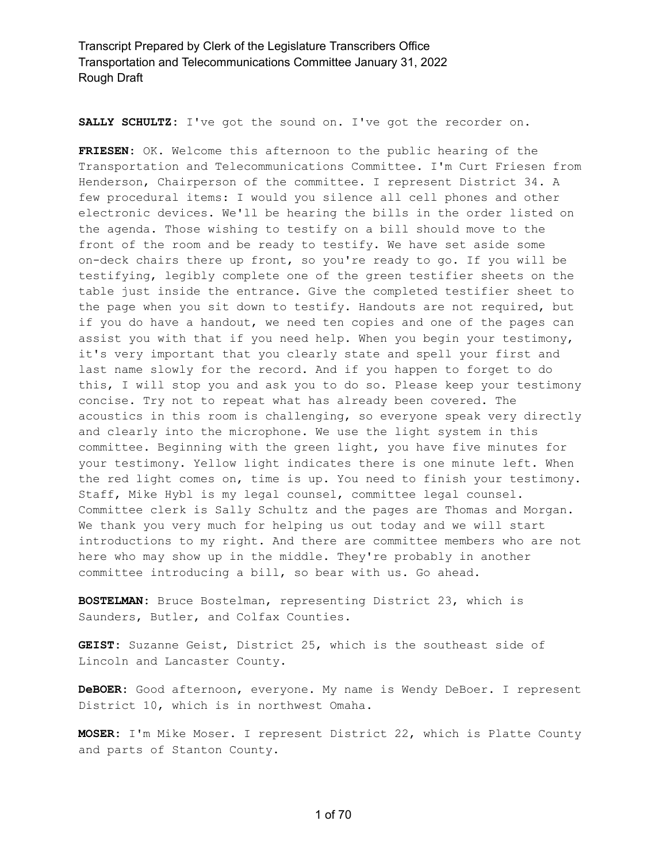**SALLY SCHULTZ:** I've got the sound on. I've got the recorder on.

**FRIESEN:** OK. Welcome this afternoon to the public hearing of the Transportation and Telecommunications Committee. I'm Curt Friesen from Henderson, Chairperson of the committee. I represent District 34. A few procedural items: I would you silence all cell phones and other electronic devices. We'll be hearing the bills in the order listed on the agenda. Those wishing to testify on a bill should move to the front of the room and be ready to testify. We have set aside some on-deck chairs there up front, so you're ready to go. If you will be testifying, legibly complete one of the green testifier sheets on the table just inside the entrance. Give the completed testifier sheet to the page when you sit down to testify. Handouts are not required, but if you do have a handout, we need ten copies and one of the pages can assist you with that if you need help. When you begin your testimony, it's very important that you clearly state and spell your first and last name slowly for the record. And if you happen to forget to do this, I will stop you and ask you to do so. Please keep your testimony concise. Try not to repeat what has already been covered. The acoustics in this room is challenging, so everyone speak very directly and clearly into the microphone. We use the light system in this committee. Beginning with the green light, you have five minutes for your testimony. Yellow light indicates there is one minute left. When the red light comes on, time is up. You need to finish your testimony. Staff, Mike Hybl is my legal counsel, committee legal counsel. Committee clerk is Sally Schultz and the pages are Thomas and Morgan. We thank you very much for helping us out today and we will start introductions to my right. And there are committee members who are not here who may show up in the middle. They're probably in another committee introducing a bill, so bear with us. Go ahead.

**BOSTELMAN:** Bruce Bostelman, representing District 23, which is Saunders, Butler, and Colfax Counties.

**GEIST:** Suzanne Geist, District 25, which is the southeast side of Lincoln and Lancaster County.

**DeBOER:** Good afternoon, everyone. My name is Wendy DeBoer. I represent District 10, which is in northwest Omaha.

**MOSER:** I'm Mike Moser. I represent District 22, which is Platte County and parts of Stanton County.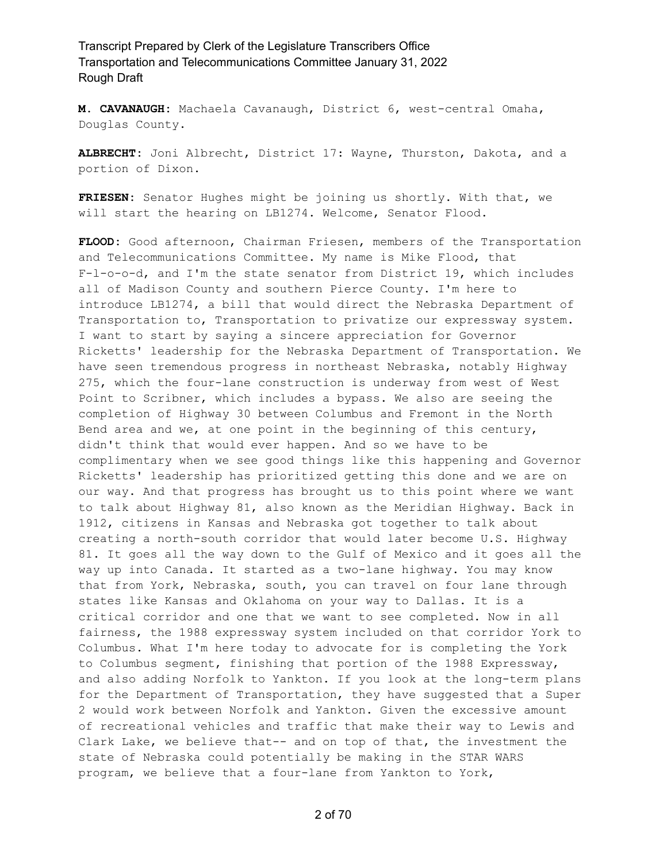**M. CAVANAUGH:** Machaela Cavanaugh, District 6, west-central Omaha, Douglas County.

**ALBRECHT:** Joni Albrecht, District 17: Wayne, Thurston, Dakota, and a portion of Dixon.

**FRIESEN:** Senator Hughes might be joining us shortly. With that, we will start the hearing on LB1274. Welcome, Senator Flood.

**FLOOD:** Good afternoon, Chairman Friesen, members of the Transportation and Telecommunications Committee. My name is Mike Flood, that F-l-o-o-d, and I'm the state senator from District 19, which includes all of Madison County and southern Pierce County. I'm here to introduce LB1274, a bill that would direct the Nebraska Department of Transportation to, Transportation to privatize our expressway system. I want to start by saying a sincere appreciation for Governor Ricketts' leadership for the Nebraska Department of Transportation. We have seen tremendous progress in northeast Nebraska, notably Highway 275, which the four-lane construction is underway from west of West Point to Scribner, which includes a bypass. We also are seeing the completion of Highway 30 between Columbus and Fremont in the North Bend area and we, at one point in the beginning of this century, didn't think that would ever happen. And so we have to be complimentary when we see good things like this happening and Governor Ricketts' leadership has prioritized getting this done and we are on our way. And that progress has brought us to this point where we want to talk about Highway 81, also known as the Meridian Highway. Back in 1912, citizens in Kansas and Nebraska got together to talk about creating a north-south corridor that would later become U.S. Highway 81. It goes all the way down to the Gulf of Mexico and it goes all the way up into Canada. It started as a two-lane highway. You may know that from York, Nebraska, south, you can travel on four lane through states like Kansas and Oklahoma on your way to Dallas. It is a critical corridor and one that we want to see completed. Now in all fairness, the 1988 expressway system included on that corridor York to Columbus. What I'm here today to advocate for is completing the York to Columbus segment, finishing that portion of the 1988 Expressway, and also adding Norfolk to Yankton. If you look at the long-term plans for the Department of Transportation, they have suggested that a Super 2 would work between Norfolk and Yankton. Given the excessive amount of recreational vehicles and traffic that make their way to Lewis and Clark Lake, we believe that-- and on top of that, the investment the state of Nebraska could potentially be making in the STAR WARS program, we believe that a four-lane from Yankton to York,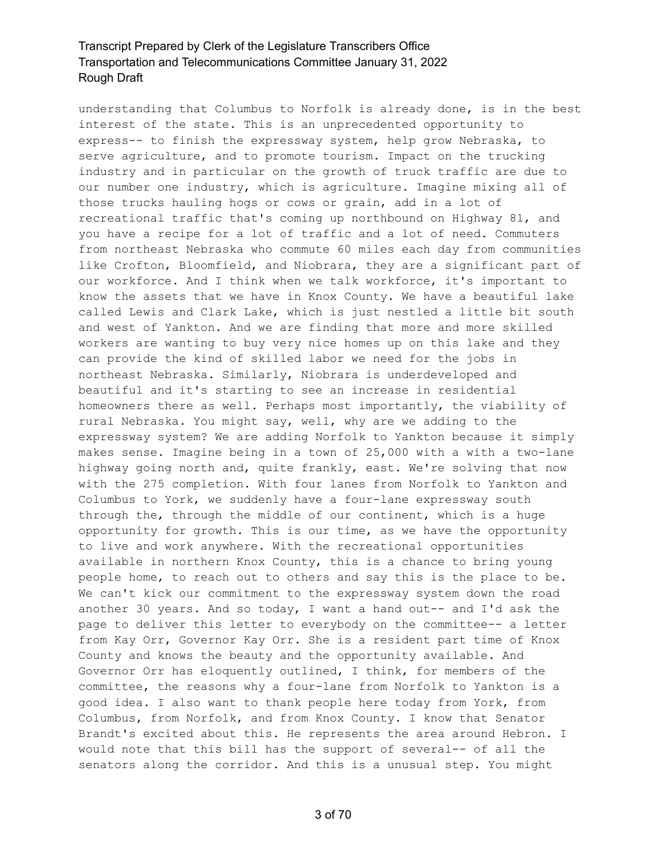understanding that Columbus to Norfolk is already done, is in the best interest of the state. This is an unprecedented opportunity to express-- to finish the expressway system, help grow Nebraska, to serve agriculture, and to promote tourism. Impact on the trucking industry and in particular on the growth of truck traffic are due to our number one industry, which is agriculture. Imagine mixing all of those trucks hauling hogs or cows or grain, add in a lot of recreational traffic that's coming up northbound on Highway 81, and you have a recipe for a lot of traffic and a lot of need. Commuters from northeast Nebraska who commute 60 miles each day from communities like Crofton, Bloomfield, and Niobrara, they are a significant part of our workforce. And I think when we talk workforce, it's important to know the assets that we have in Knox County. We have a beautiful lake called Lewis and Clark Lake, which is just nestled a little bit south and west of Yankton. And we are finding that more and more skilled workers are wanting to buy very nice homes up on this lake and they can provide the kind of skilled labor we need for the jobs in northeast Nebraska. Similarly, Niobrara is underdeveloped and beautiful and it's starting to see an increase in residential homeowners there as well. Perhaps most importantly, the viability of rural Nebraska. You might say, well, why are we adding to the expressway system? We are adding Norfolk to Yankton because it simply makes sense. Imagine being in a town of 25,000 with a with a two-lane highway going north and, quite frankly, east. We're solving that now with the 275 completion. With four lanes from Norfolk to Yankton and Columbus to York, we suddenly have a four-lane expressway south through the, through the middle of our continent, which is a huge opportunity for growth. This is our time, as we have the opportunity to live and work anywhere. With the recreational opportunities available in northern Knox County, this is a chance to bring young people home, to reach out to others and say this is the place to be. We can't kick our commitment to the expressway system down the road another 30 years. And so today, I want a hand out-- and I'd ask the page to deliver this letter to everybody on the committee-- a letter from Kay Orr, Governor Kay Orr. She is a resident part time of Knox County and knows the beauty and the opportunity available. And Governor Orr has eloquently outlined, I think, for members of the committee, the reasons why a four-lane from Norfolk to Yankton is a good idea. I also want to thank people here today from York, from Columbus, from Norfolk, and from Knox County. I know that Senator Brandt's excited about this. He represents the area around Hebron. I would note that this bill has the support of several-- of all the senators along the corridor. And this is a unusual step. You might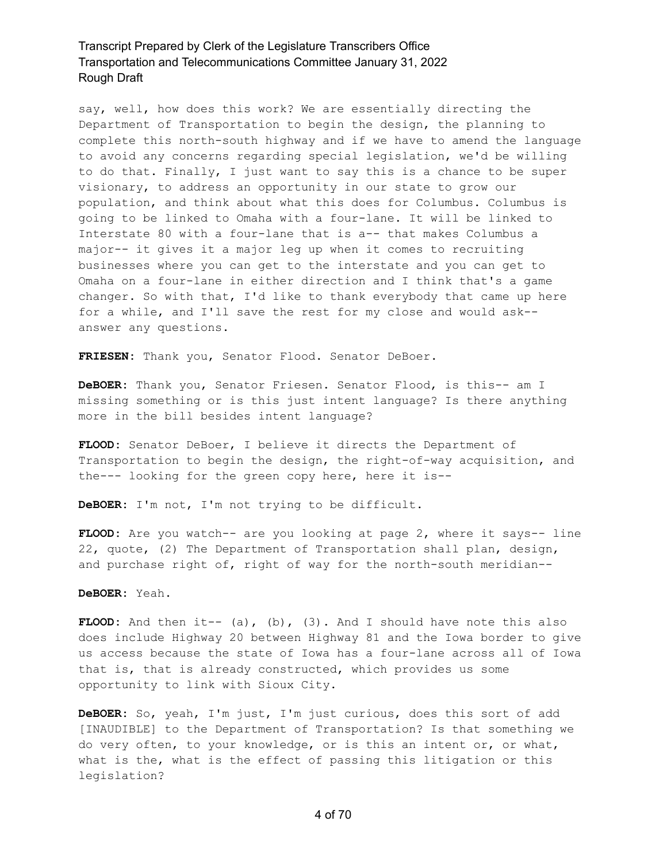say, well, how does this work? We are essentially directing the Department of Transportation to begin the design, the planning to complete this north-south highway and if we have to amend the language to avoid any concerns regarding special legislation, we'd be willing to do that. Finally, I just want to say this is a chance to be super visionary, to address an opportunity in our state to grow our population, and think about what this does for Columbus. Columbus is going to be linked to Omaha with a four-lane. It will be linked to Interstate 80 with a four-lane that is a-- that makes Columbus a major-- it gives it a major leg up when it comes to recruiting businesses where you can get to the interstate and you can get to Omaha on a four-lane in either direction and I think that's a game changer. So with that, I'd like to thank everybody that came up here for a while, and I'll save the rest for my close and would ask- answer any questions.

**FRIESEN:** Thank you, Senator Flood. Senator DeBoer.

**DeBOER:** Thank you, Senator Friesen. Senator Flood, is this-- am I missing something or is this just intent language? Is there anything more in the bill besides intent language?

**FLOOD:** Senator DeBoer, I believe it directs the Department of Transportation to begin the design, the right-of-way acquisition, and the--- looking for the green copy here, here it is--

**DeBOER:** I'm not, I'm not trying to be difficult.

**FLOOD:** Are you watch-- are you looking at page 2, where it says-- line 22, quote, (2) The Department of Transportation shall plan, design, and purchase right of, right of way for the north-south meridian--

#### **DeBOER:** Yeah.

FLOOD: And then it-- (a), (b), (3). And I should have note this also does include Highway 20 between Highway 81 and the Iowa border to give us access because the state of Iowa has a four-lane across all of Iowa that is, that is already constructed, which provides us some opportunity to link with Sioux City.

**DeBOER:** So, yeah, I'm just, I'm just curious, does this sort of add [INAUDIBLE] to the Department of Transportation? Is that something we do very often, to your knowledge, or is this an intent or, or what, what is the, what is the effect of passing this litigation or this legislation?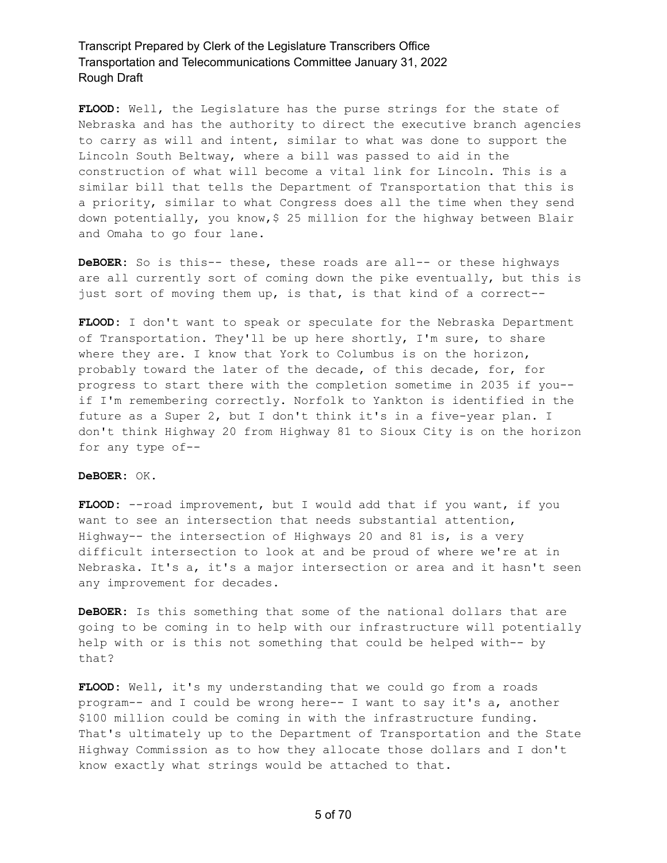**FLOOD:** Well, the Legislature has the purse strings for the state of Nebraska and has the authority to direct the executive branch agencies to carry as will and intent, similar to what was done to support the Lincoln South Beltway, where a bill was passed to aid in the construction of what will become a vital link for Lincoln. This is a similar bill that tells the Department of Transportation that this is a priority, similar to what Congress does all the time when they send down potentially, you know,\$ 25 million for the highway between Blair and Omaha to go four lane.

**DeBOER:** So is this-- these, these roads are all-- or these highways are all currently sort of coming down the pike eventually, but this is just sort of moving them up, is that, is that kind of a correct--

**FLOOD:** I don't want to speak or speculate for the Nebraska Department of Transportation. They'll be up here shortly, I'm sure, to share where they are. I know that York to Columbus is on the horizon, probably toward the later of the decade, of this decade, for, for progress to start there with the completion sometime in 2035 if you- if I'm remembering correctly. Norfolk to Yankton is identified in the future as a Super 2, but I don't think it's in a five-year plan. I don't think Highway 20 from Highway 81 to Sioux City is on the horizon for any type of--

#### **DeBOER:** OK.

FLOOD: --road improvement, but I would add that if you want, if you want to see an intersection that needs substantial attention, Highway-- the intersection of Highways 20 and 81 is, is a very difficult intersection to look at and be proud of where we're at in Nebraska. It's a, it's a major intersection or area and it hasn't seen any improvement for decades.

**DeBOER:** Is this something that some of the national dollars that are going to be coming in to help with our infrastructure will potentially help with or is this not something that could be helped with-- by that?

**FLOOD:** Well, it's my understanding that we could go from a roads program-- and I could be wrong here-- I want to say it's a, another \$100 million could be coming in with the infrastructure funding. That's ultimately up to the Department of Transportation and the State Highway Commission as to how they allocate those dollars and I don't know exactly what strings would be attached to that.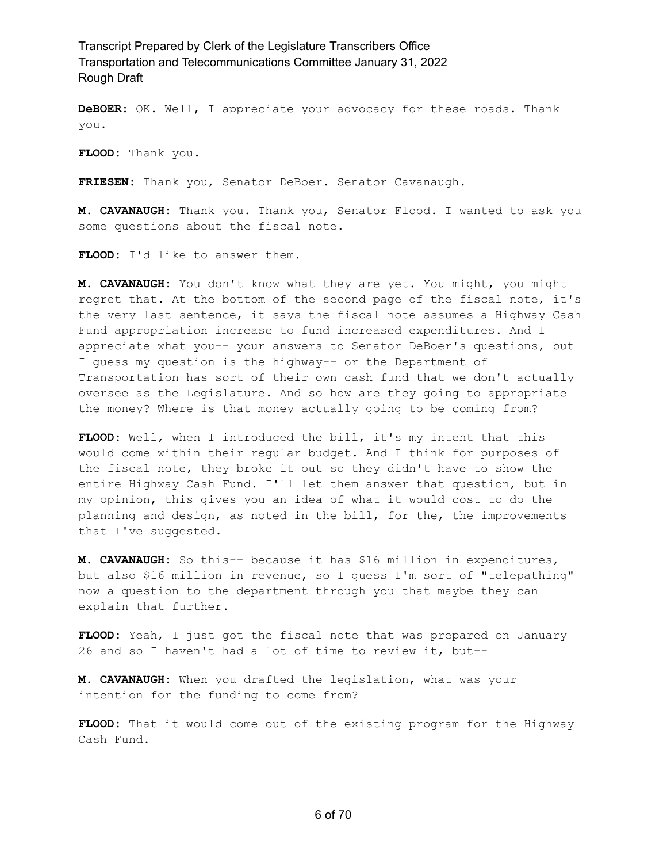**DeBOER:** OK. Well, I appreciate your advocacy for these roads. Thank you.

**FLOOD:** Thank you.

**FRIESEN:** Thank you, Senator DeBoer. Senator Cavanaugh.

**M. CAVANAUGH:** Thank you. Thank you, Senator Flood. I wanted to ask you some questions about the fiscal note.

**FLOOD:** I'd like to answer them.

**M. CAVANAUGH:** You don't know what they are yet. You might, you might regret that. At the bottom of the second page of the fiscal note, it's the very last sentence, it says the fiscal note assumes a Highway Cash Fund appropriation increase to fund increased expenditures. And I appreciate what you-- your answers to Senator DeBoer's questions, but I guess my question is the highway-- or the Department of Transportation has sort of their own cash fund that we don't actually oversee as the Legislature. And so how are they going to appropriate the money? Where is that money actually going to be coming from?

**FLOOD:** Well, when I introduced the bill, it's my intent that this would come within their regular budget. And I think for purposes of the fiscal note, they broke it out so they didn't have to show the entire Highway Cash Fund. I'll let them answer that question, but in my opinion, this gives you an idea of what it would cost to do the planning and design, as noted in the bill, for the, the improvements that I've suggested.

**M. CAVANAUGH:** So this-- because it has \$16 million in expenditures, but also \$16 million in revenue, so I guess I'm sort of "telepathing" now a question to the department through you that maybe they can explain that further.

**FLOOD:** Yeah, I just got the fiscal note that was prepared on January 26 and so I haven't had a lot of time to review it, but--

**M. CAVANAUGH:** When you drafted the legislation, what was your intention for the funding to come from?

**FLOOD:** That it would come out of the existing program for the Highway Cash Fund.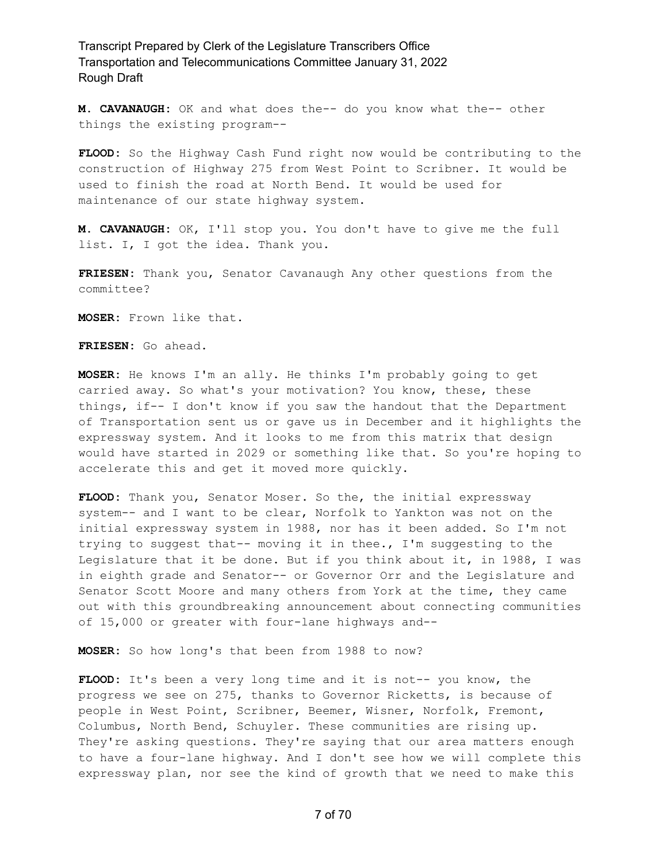**M. CAVANAUGH:** OK and what does the-- do you know what the-- other things the existing program--

**FLOOD:** So the Highway Cash Fund right now would be contributing to the construction of Highway 275 from West Point to Scribner. It would be used to finish the road at North Bend. It would be used for maintenance of our state highway system.

**M. CAVANAUGH:** OK, I'll stop you. You don't have to give me the full list. I, I got the idea. Thank you.

**FRIESEN:** Thank you, Senator Cavanaugh Any other questions from the committee?

**MOSER:** Frown like that.

**FRIESEN:** Go ahead.

**MOSER:** He knows I'm an ally. He thinks I'm probably going to get carried away. So what's your motivation? You know, these, these things, if-- I don't know if you saw the handout that the Department of Transportation sent us or gave us in December and it highlights the expressway system. And it looks to me from this matrix that design would have started in 2029 or something like that. So you're hoping to accelerate this and get it moved more quickly.

**FLOOD:** Thank you, Senator Moser. So the, the initial expressway system-- and I want to be clear, Norfolk to Yankton was not on the initial expressway system in 1988, nor has it been added. So I'm not trying to suggest that-- moving it in thee., I'm suggesting to the Legislature that it be done. But if you think about it, in 1988, I was in eighth grade and Senator-- or Governor Orr and the Legislature and Senator Scott Moore and many others from York at the time, they came out with this groundbreaking announcement about connecting communities of 15,000 or greater with four-lane highways and--

**MOSER:** So how long's that been from 1988 to now?

**FLOOD:** It's been a very long time and it is not-- you know, the progress we see on 275, thanks to Governor Ricketts, is because of people in West Point, Scribner, Beemer, Wisner, Norfolk, Fremont, Columbus, North Bend, Schuyler. These communities are rising up. They're asking questions. They're saying that our area matters enough to have a four-lane highway. And I don't see how we will complete this expressway plan, nor see the kind of growth that we need to make this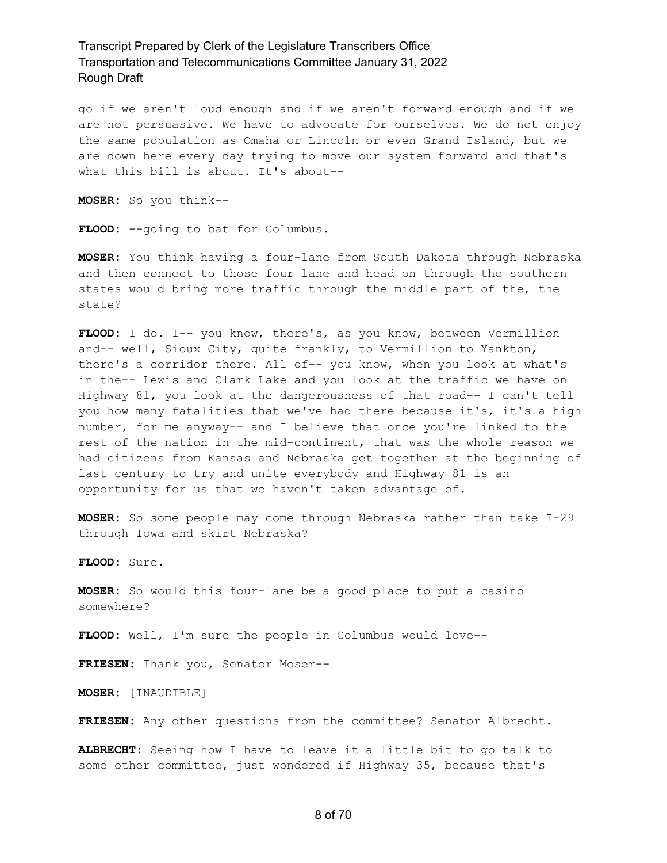go if we aren't loud enough and if we aren't forward enough and if we are not persuasive. We have to advocate for ourselves. We do not enjoy the same population as Omaha or Lincoln or even Grand Island, but we are down here every day trying to move our system forward and that's what this bill is about. It's about--

**MOSER:** So you think--

**FLOOD:** --going to bat for Columbus.

**MOSER:** You think having a four-lane from South Dakota through Nebraska and then connect to those four lane and head on through the southern states would bring more traffic through the middle part of the, the state?

FLOOD: I do. I-- you know, there's, as you know, between Vermillion and-- well, Sioux City, quite frankly, to Vermillion to Yankton, there's a corridor there. All of-- you know, when you look at what's in the-- Lewis and Clark Lake and you look at the traffic we have on Highway 81, you look at the dangerousness of that road-- I can't tell you how many fatalities that we've had there because it's, it's a high number, for me anyway-- and I believe that once you're linked to the rest of the nation in the mid-continent, that was the whole reason we had citizens from Kansas and Nebraska get together at the beginning of last century to try and unite everybody and Highway 81 is an opportunity for us that we haven't taken advantage of.

**MOSER:** So some people may come through Nebraska rather than take I-29 through Iowa and skirt Nebraska?

**FLOOD:** Sure.

**MOSER:** So would this four-lane be a good place to put a casino somewhere?

**FLOOD:** Well, I'm sure the people in Columbus would love--

**FRIESEN:** Thank you, Senator Moser--

**MOSER:** [INAUDIBLE]

**FRIESEN:** Any other questions from the committee? Senator Albrecht.

**ALBRECHT:** Seeing how I have to leave it a little bit to go talk to some other committee, just wondered if Highway 35, because that's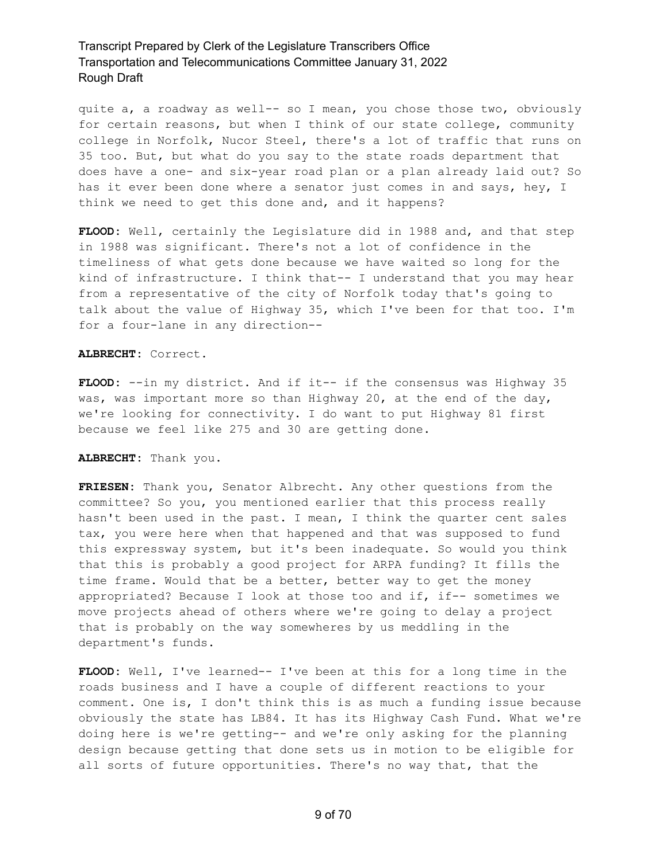quite a, a roadway as well-- so I mean, you chose those two, obviously for certain reasons, but when I think of our state college, community college in Norfolk, Nucor Steel, there's a lot of traffic that runs on 35 too. But, but what do you say to the state roads department that does have a one- and six-year road plan or a plan already laid out? So has it ever been done where a senator just comes in and says, hey, I think we need to get this done and, and it happens?

**FLOOD:** Well, certainly the Legislature did in 1988 and, and that step in 1988 was significant. There's not a lot of confidence in the timeliness of what gets done because we have waited so long for the kind of infrastructure. I think that-- I understand that you may hear from a representative of the city of Norfolk today that's going to talk about the value of Highway 35, which I've been for that too. I'm for a four-lane in any direction--

#### **ALBRECHT:** Correct.

**FLOOD:** --in my district. And if it-- if the consensus was Highway 35 was, was important more so than Highway 20, at the end of the day, we're looking for connectivity. I do want to put Highway 81 first because we feel like 275 and 30 are getting done.

#### **ALBRECHT:** Thank you.

**FRIESEN:** Thank you, Senator Albrecht. Any other questions from the committee? So you, you mentioned earlier that this process really hasn't been used in the past. I mean, I think the quarter cent sales tax, you were here when that happened and that was supposed to fund this expressway system, but it's been inadequate. So would you think that this is probably a good project for ARPA funding? It fills the time frame. Would that be a better, better way to get the money appropriated? Because I look at those too and if, if-- sometimes we move projects ahead of others where we're going to delay a project that is probably on the way somewheres by us meddling in the department's funds.

**FLOOD:** Well, I've learned-- I've been at this for a long time in the roads business and I have a couple of different reactions to your comment. One is, I don't think this is as much a funding issue because obviously the state has LB84. It has its Highway Cash Fund. What we're doing here is we're getting-- and we're only asking for the planning design because getting that done sets us in motion to be eligible for all sorts of future opportunities. There's no way that, that the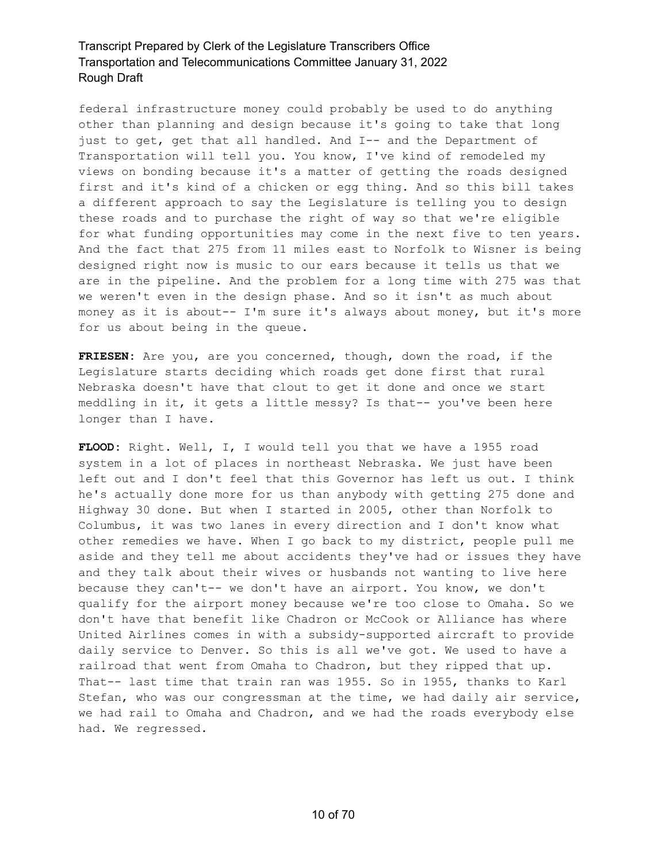federal infrastructure money could probably be used to do anything other than planning and design because it's going to take that long just to get, get that all handled. And I-- and the Department of Transportation will tell you. You know, I've kind of remodeled my views on bonding because it's a matter of getting the roads designed first and it's kind of a chicken or egg thing. And so this bill takes a different approach to say the Legislature is telling you to design these roads and to purchase the right of way so that we're eligible for what funding opportunities may come in the next five to ten years. And the fact that 275 from 11 miles east to Norfolk to Wisner is being designed right now is music to our ears because it tells us that we are in the pipeline. And the problem for a long time with 275 was that we weren't even in the design phase. And so it isn't as much about money as it is about-- I'm sure it's always about money, but it's more for us about being in the queue.

**FRIESEN:** Are you, are you concerned, though, down the road, if the Legislature starts deciding which roads get done first that rural Nebraska doesn't have that clout to get it done and once we start meddling in it, it gets a little messy? Is that-- you've been here longer than I have.

**FLOOD:** Right. Well, I, I would tell you that we have a 1955 road system in a lot of places in northeast Nebraska. We just have been left out and I don't feel that this Governor has left us out. I think he's actually done more for us than anybody with getting 275 done and Highway 30 done. But when I started in 2005, other than Norfolk to Columbus, it was two lanes in every direction and I don't know what other remedies we have. When I go back to my district, people pull me aside and they tell me about accidents they've had or issues they have and they talk about their wives or husbands not wanting to live here because they can't-- we don't have an airport. You know, we don't qualify for the airport money because we're too close to Omaha. So we don't have that benefit like Chadron or McCook or Alliance has where United Airlines comes in with a subsidy-supported aircraft to provide daily service to Denver. So this is all we've got. We used to have a railroad that went from Omaha to Chadron, but they ripped that up. That-- last time that train ran was 1955. So in 1955, thanks to Karl Stefan, who was our congressman at the time, we had daily air service, we had rail to Omaha and Chadron, and we had the roads everybody else had. We regressed.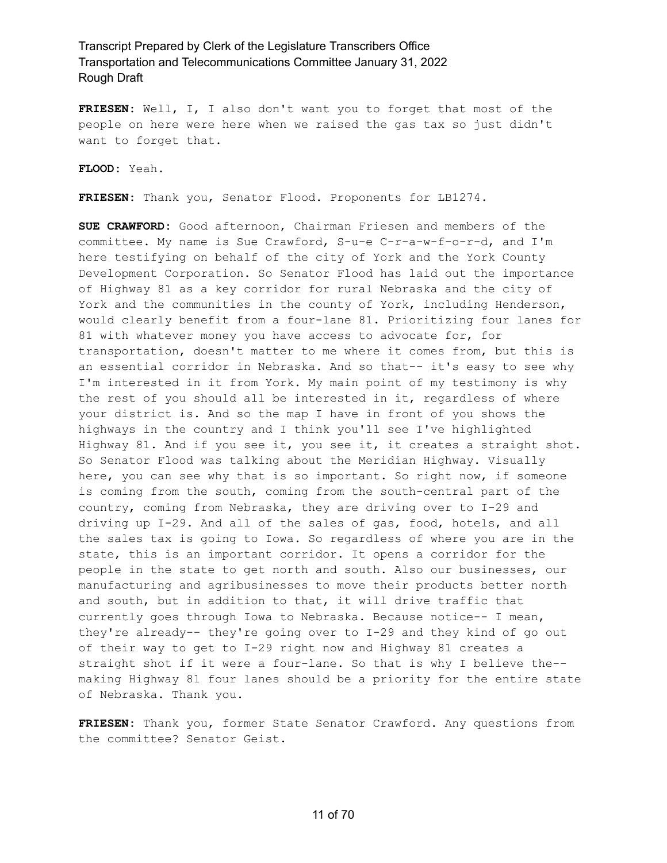**FRIESEN:** Well, I, I also don't want you to forget that most of the people on here were here when we raised the gas tax so just didn't want to forget that.

**FLOOD:** Yeah.

**FRIESEN:** Thank you, Senator Flood. Proponents for LB1274.

**SUE CRAWFORD:** Good afternoon, Chairman Friesen and members of the committee. My name is Sue Crawford, S-u-e C-r-a-w-f-o-r-d, and I'm here testifying on behalf of the city of York and the York County Development Corporation. So Senator Flood has laid out the importance of Highway 81 as a key corridor for rural Nebraska and the city of York and the communities in the county of York, including Henderson, would clearly benefit from a four-lane 81. Prioritizing four lanes for 81 with whatever money you have access to advocate for, for transportation, doesn't matter to me where it comes from, but this is an essential corridor in Nebraska. And so that-- it's easy to see why I'm interested in it from York. My main point of my testimony is why the rest of you should all be interested in it, regardless of where your district is. And so the map I have in front of you shows the highways in the country and I think you'll see I've highlighted Highway 81. And if you see it, you see it, it creates a straight shot. So Senator Flood was talking about the Meridian Highway. Visually here, you can see why that is so important. So right now, if someone is coming from the south, coming from the south-central part of the country, coming from Nebraska, they are driving over to I-29 and driving up I-29. And all of the sales of gas, food, hotels, and all the sales tax is going to Iowa. So regardless of where you are in the state, this is an important corridor. It opens a corridor for the people in the state to get north and south. Also our businesses, our manufacturing and agribusinesses to move their products better north and south, but in addition to that, it will drive traffic that currently goes through Iowa to Nebraska. Because notice-- I mean, they're already-- they're going over to I-29 and they kind of go out of their way to get to I-29 right now and Highway 81 creates a straight shot if it were a four-lane. So that is why I believe the- making Highway 81 four lanes should be a priority for the entire state of Nebraska. Thank you.

**FRIESEN:** Thank you, former State Senator Crawford. Any questions from the committee? Senator Geist.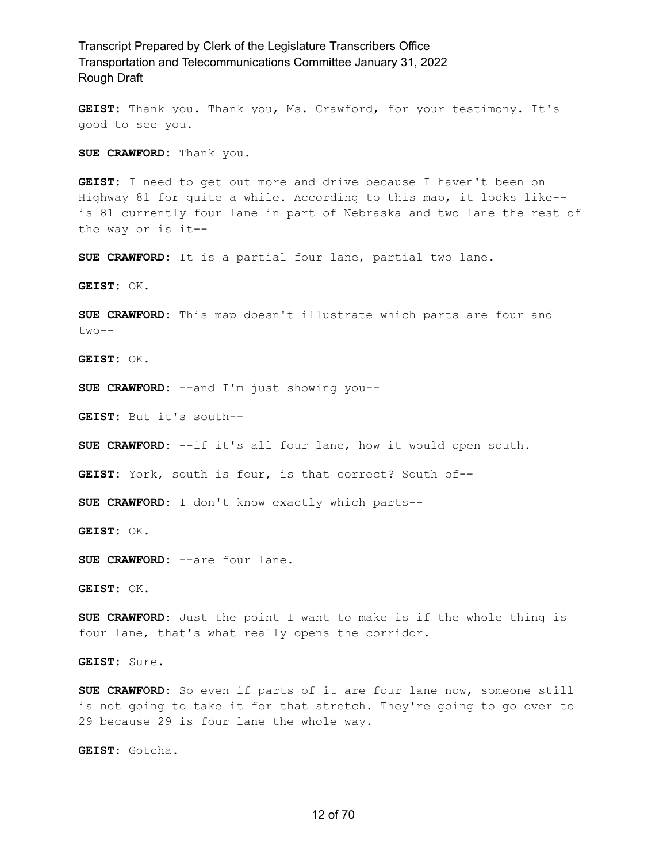**GEIST:** Thank you. Thank you, Ms. Crawford, for your testimony. It's good to see you.

**SUE CRAWFORD:** Thank you.

**GEIST:** I need to get out more and drive because I haven't been on Highway 81 for quite a while. According to this map, it looks like- is 81 currently four lane in part of Nebraska and two lane the rest of the way or is it--

**SUE CRAWFORD:** It is a partial four lane, partial two lane.

**GEIST:** OK.

**SUE CRAWFORD:** This map doesn't illustrate which parts are four and two--

**GEIST:** OK.

**SUE CRAWFORD:** --and I'm just showing you--

**GEIST:** But it's south--

**SUE CRAWFORD:** --if it's all four lane, how it would open south.

**GEIST:** York, south is four, is that correct? South of--

**SUE CRAWFORD:** I don't know exactly which parts--

**GEIST:** OK.

**SUE CRAWFORD:** --are four lane.

**GEIST:** OK.

**SUE CRAWFORD:** Just the point I want to make is if the whole thing is four lane, that's what really opens the corridor.

**GEIST:** Sure.

**SUE CRAWFORD:** So even if parts of it are four lane now, someone still is not going to take it for that stretch. They're going to go over to 29 because 29 is four lane the whole way.

**GEIST:** Gotcha.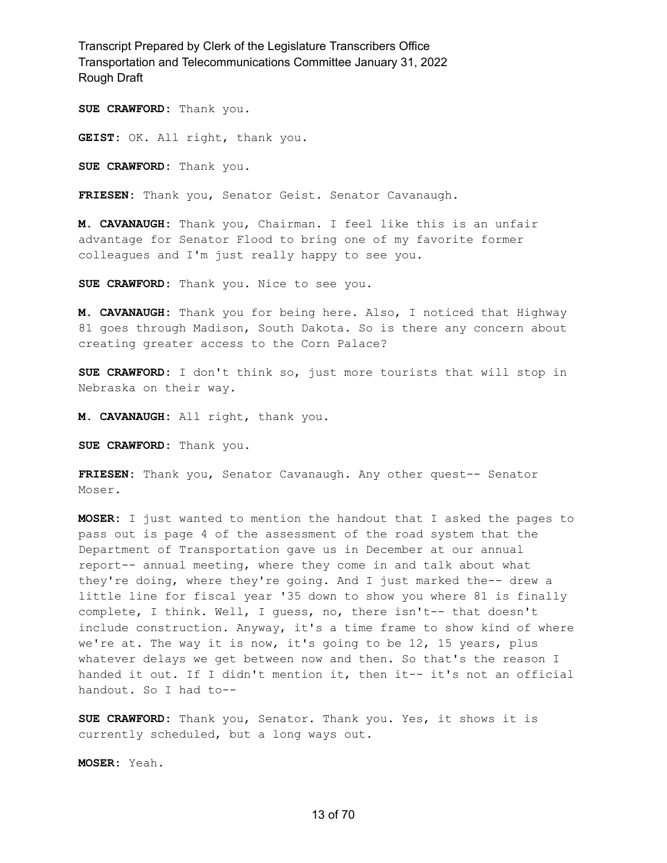**SUE CRAWFORD:** Thank you.

**GEIST:** OK. All right, thank you.

**SUE CRAWFORD:** Thank you.

**FRIESEN:** Thank you, Senator Geist. Senator Cavanaugh.

**M. CAVANAUGH:** Thank you, Chairman. I feel like this is an unfair advantage for Senator Flood to bring one of my favorite former colleagues and I'm just really happy to see you.

**SUE CRAWFORD:** Thank you. Nice to see you.

**M. CAVANAUGH:** Thank you for being here. Also, I noticed that Highway 81 goes through Madison, South Dakota. So is there any concern about creating greater access to the Corn Palace?

**SUE CRAWFORD:** I don't think so, just more tourists that will stop in Nebraska on their way.

**M. CAVANAUGH:** All right, thank you.

**SUE CRAWFORD:** Thank you.

**FRIESEN:** Thank you, Senator Cavanaugh. Any other quest-- Senator Moser.

**MOSER:** I just wanted to mention the handout that I asked the pages to pass out is page 4 of the assessment of the road system that the Department of Transportation gave us in December at our annual report-- annual meeting, where they come in and talk about what they're doing, where they're going. And I just marked the-- drew a little line for fiscal year '35 down to show you where 81 is finally complete, I think. Well, I guess, no, there isn't-- that doesn't include construction. Anyway, it's a time frame to show kind of where we're at. The way it is now, it's going to be 12, 15 years, plus whatever delays we get between now and then. So that's the reason I handed it out. If I didn't mention it, then it-- it's not an official handout. So I had to--

**SUE CRAWFORD:** Thank you, Senator. Thank you. Yes, it shows it is currently scheduled, but a long ways out.

**MOSER:** Yeah.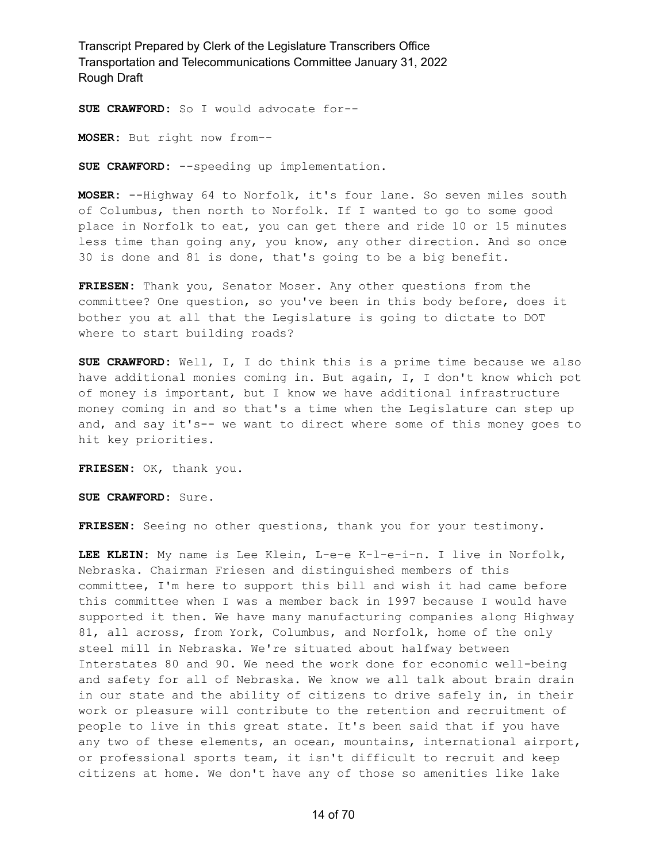**SUE CRAWFORD:** So I would advocate for--

**MOSER:** But right now from--

**SUE CRAWFORD:** --speeding up implementation.

**MOSER:** --Highway 64 to Norfolk, it's four lane. So seven miles south of Columbus, then north to Norfolk. If I wanted to go to some good place in Norfolk to eat, you can get there and ride 10 or 15 minutes less time than going any, you know, any other direction. And so once 30 is done and 81 is done, that's going to be a big benefit.

**FRIESEN:** Thank you, Senator Moser. Any other questions from the committee? One question, so you've been in this body before, does it bother you at all that the Legislature is going to dictate to DOT where to start building roads?

**SUE CRAWFORD:** Well, I, I do think this is a prime time because we also have additional monies coming in. But again, I, I don't know which pot of money is important, but I know we have additional infrastructure money coming in and so that's a time when the Legislature can step up and, and say it's-- we want to direct where some of this money goes to hit key priorities.

**FRIESEN:** OK, thank you.

**SUE CRAWFORD:** Sure.

**FRIESEN:** Seeing no other questions, thank you for your testimony.

**LEE KLEIN:** My name is Lee Klein, L-e-e K-l-e-i-n. I live in Norfolk, Nebraska. Chairman Friesen and distinguished members of this committee, I'm here to support this bill and wish it had came before this committee when I was a member back in 1997 because I would have supported it then. We have many manufacturing companies along Highway 81, all across, from York, Columbus, and Norfolk, home of the only steel mill in Nebraska. We're situated about halfway between Interstates 80 and 90. We need the work done for economic well-being and safety for all of Nebraska. We know we all talk about brain drain in our state and the ability of citizens to drive safely in, in their work or pleasure will contribute to the retention and recruitment of people to live in this great state. It's been said that if you have any two of these elements, an ocean, mountains, international airport, or professional sports team, it isn't difficult to recruit and keep citizens at home. We don't have any of those so amenities like lake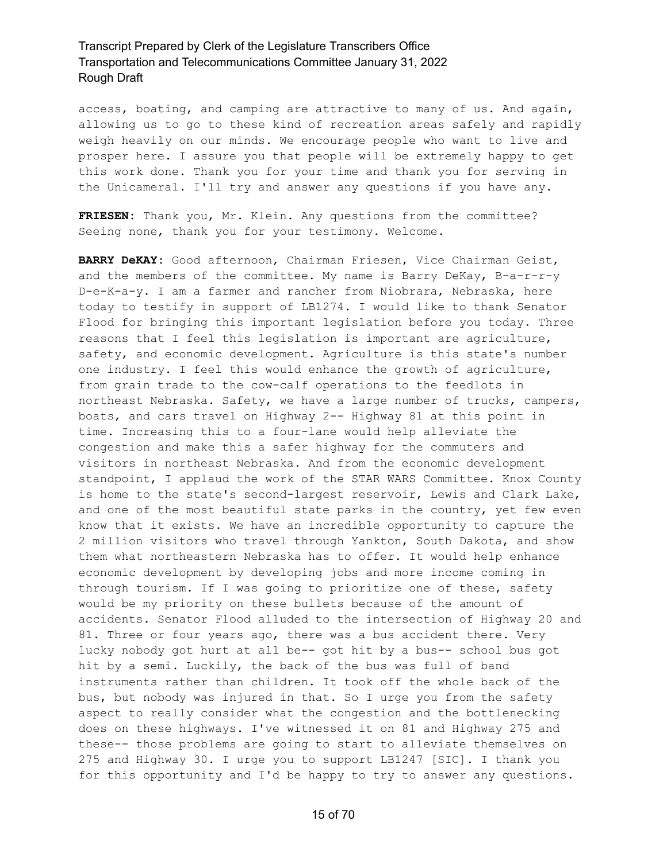access, boating, and camping are attractive to many of us. And again, allowing us to go to these kind of recreation areas safely and rapidly weigh heavily on our minds. We encourage people who want to live and prosper here. I assure you that people will be extremely happy to get this work done. Thank you for your time and thank you for serving in the Unicameral. I'll try and answer any questions if you have any.

**FRIESEN:** Thank you, Mr. Klein. Any questions from the committee? Seeing none, thank you for your testimony. Welcome.

**BARRY DeKAY:** Good afternoon, Chairman Friesen, Vice Chairman Geist, and the members of the committee. My name is Barry DeKay, B-a-r-r-y D-e-K-a-y. I am a farmer and rancher from Niobrara, Nebraska, here today to testify in support of LB1274. I would like to thank Senator Flood for bringing this important legislation before you today. Three reasons that I feel this legislation is important are agriculture, safety, and economic development. Agriculture is this state's number one industry. I feel this would enhance the growth of agriculture, from grain trade to the cow-calf operations to the feedlots in northeast Nebraska. Safety, we have a large number of trucks, campers, boats, and cars travel on Highway 2-- Highway 81 at this point in time. Increasing this to a four-lane would help alleviate the congestion and make this a safer highway for the commuters and visitors in northeast Nebraska. And from the economic development standpoint, I applaud the work of the STAR WARS Committee. Knox County is home to the state's second-largest reservoir, Lewis and Clark Lake, and one of the most beautiful state parks in the country, yet few even know that it exists. We have an incredible opportunity to capture the 2 million visitors who travel through Yankton, South Dakota, and show them what northeastern Nebraska has to offer. It would help enhance economic development by developing jobs and more income coming in through tourism. If I was going to prioritize one of these, safety would be my priority on these bullets because of the amount of accidents. Senator Flood alluded to the intersection of Highway 20 and 81. Three or four years ago, there was a bus accident there. Very lucky nobody got hurt at all be-- got hit by a bus-- school bus got hit by a semi. Luckily, the back of the bus was full of band instruments rather than children. It took off the whole back of the bus, but nobody was injured in that. So I urge you from the safety aspect to really consider what the congestion and the bottlenecking does on these highways. I've witnessed it on 81 and Highway 275 and these-- those problems are going to start to alleviate themselves on 275 and Highway 30. I urge you to support LB1247 [SIC]. I thank you for this opportunity and I'd be happy to try to answer any questions.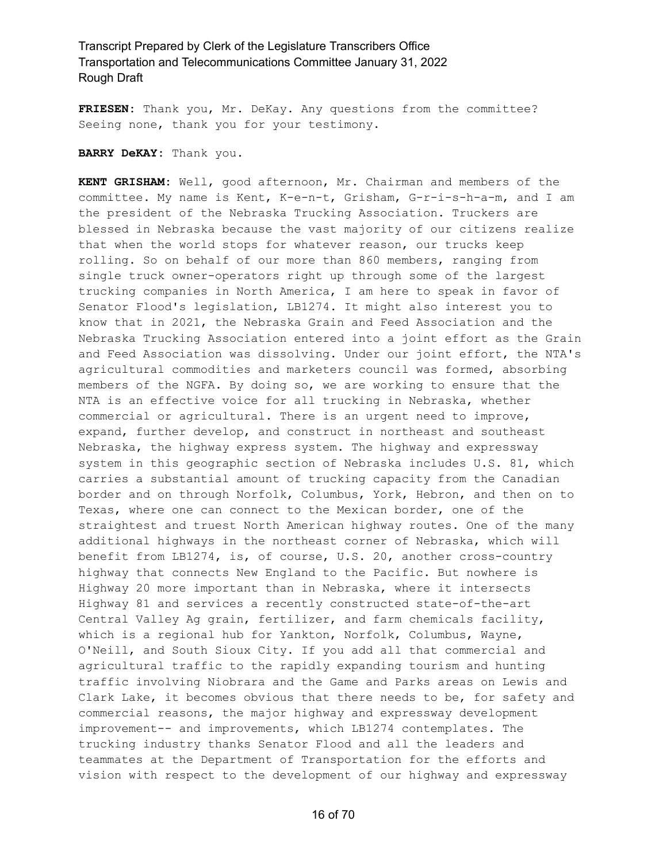**FRIESEN:** Thank you, Mr. DeKay. Any questions from the committee? Seeing none, thank you for your testimony.

#### **BARRY DeKAY:** Thank you.

**KENT GRISHAM:** Well, good afternoon, Mr. Chairman and members of the committee. My name is Kent, K-e-n-t, Grisham, G-r-i-s-h-a-m, and I am the president of the Nebraska Trucking Association. Truckers are blessed in Nebraska because the vast majority of our citizens realize that when the world stops for whatever reason, our trucks keep rolling. So on behalf of our more than 860 members, ranging from single truck owner-operators right up through some of the largest trucking companies in North America, I am here to speak in favor of Senator Flood's legislation, LB1274. It might also interest you to know that in 2021, the Nebraska Grain and Feed Association and the Nebraska Trucking Association entered into a joint effort as the Grain and Feed Association was dissolving. Under our joint effort, the NTA's agricultural commodities and marketers council was formed, absorbing members of the NGFA. By doing so, we are working to ensure that the NTA is an effective voice for all trucking in Nebraska, whether commercial or agricultural. There is an urgent need to improve, expand, further develop, and construct in northeast and southeast Nebraska, the highway express system. The highway and expressway system in this geographic section of Nebraska includes U.S. 81, which carries a substantial amount of trucking capacity from the Canadian border and on through Norfolk, Columbus, York, Hebron, and then on to Texas, where one can connect to the Mexican border, one of the straightest and truest North American highway routes. One of the many additional highways in the northeast corner of Nebraska, which will benefit from LB1274, is, of course, U.S. 20, another cross-country highway that connects New England to the Pacific. But nowhere is Highway 20 more important than in Nebraska, where it intersects Highway 81 and services a recently constructed state-of-the-art Central Valley Ag grain, fertilizer, and farm chemicals facility, which is a regional hub for Yankton, Norfolk, Columbus, Wayne, O'Neill, and South Sioux City. If you add all that commercial and agricultural traffic to the rapidly expanding tourism and hunting traffic involving Niobrara and the Game and Parks areas on Lewis and Clark Lake, it becomes obvious that there needs to be, for safety and commercial reasons, the major highway and expressway development improvement-- and improvements, which LB1274 contemplates. The trucking industry thanks Senator Flood and all the leaders and teammates at the Department of Transportation for the efforts and vision with respect to the development of our highway and expressway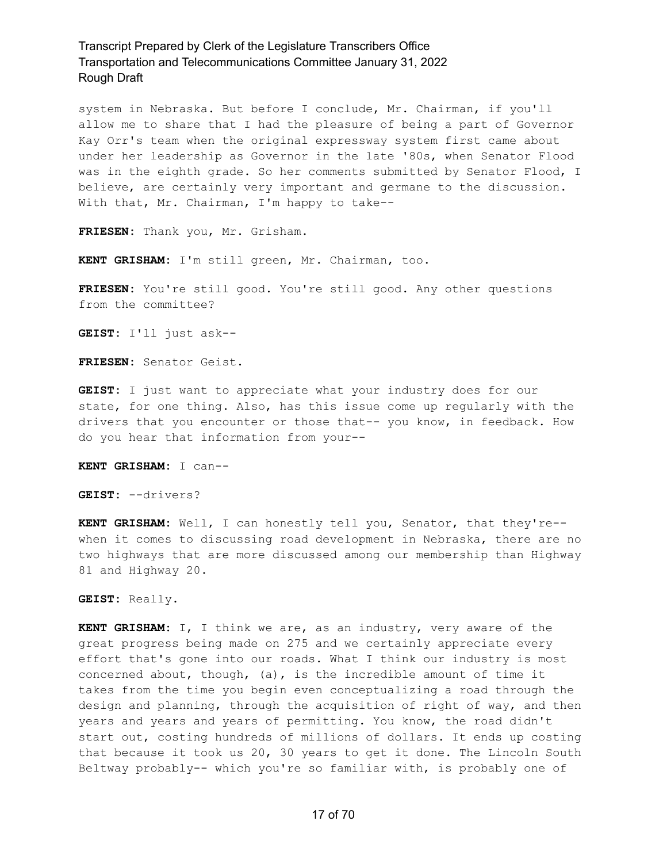system in Nebraska. But before I conclude, Mr. Chairman, if you'll allow me to share that I had the pleasure of being a part of Governor Kay Orr's team when the original expressway system first came about under her leadership as Governor in the late '80s, when Senator Flood was in the eighth grade. So her comments submitted by Senator Flood, I believe, are certainly very important and germane to the discussion. With that, Mr. Chairman, I'm happy to take--

**FRIESEN:** Thank you, Mr. Grisham.

**KENT GRISHAM:** I'm still green, Mr. Chairman, too.

**FRIESEN:** You're still good. You're still good. Any other questions from the committee?

**GEIST:** I'll just ask--

**FRIESEN:** Senator Geist.

**GEIST:** I just want to appreciate what your industry does for our state, for one thing. Also, has this issue come up regularly with the drivers that you encounter or those that-- you know, in feedback. How do you hear that information from your--

**KENT GRISHAM:** I can--

**GEIST:** --drivers?

**KENT GRISHAM:** Well, I can honestly tell you, Senator, that they're- when it comes to discussing road development in Nebraska, there are no two highways that are more discussed among our membership than Highway 81 and Highway 20.

**GEIST:** Really.

**KENT GRISHAM:** I, I think we are, as an industry, very aware of the great progress being made on 275 and we certainly appreciate every effort that's gone into our roads. What I think our industry is most concerned about, though, (a), is the incredible amount of time it takes from the time you begin even conceptualizing a road through the design and planning, through the acquisition of right of way, and then years and years and years of permitting. You know, the road didn't start out, costing hundreds of millions of dollars. It ends up costing that because it took us 20, 30 years to get it done. The Lincoln South Beltway probably-- which you're so familiar with, is probably one of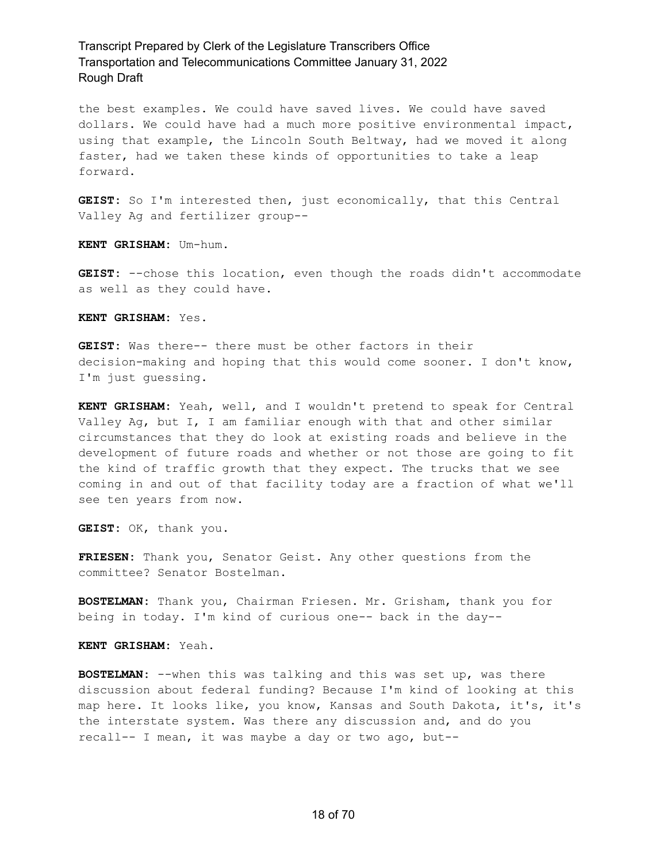the best examples. We could have saved lives. We could have saved dollars. We could have had a much more positive environmental impact, using that example, the Lincoln South Beltway, had we moved it along faster, had we taken these kinds of opportunities to take a leap forward.

**GEIST:** So I'm interested then, just economically, that this Central Valley Ag and fertilizer group--

**KENT GRISHAM:** Um-hum.

**GEIST:** --chose this location, even though the roads didn't accommodate as well as they could have.

**KENT GRISHAM:** Yes.

**GEIST:** Was there-- there must be other factors in their decision-making and hoping that this would come sooner. I don't know, I'm just guessing.

**KENT GRISHAM:** Yeah, well, and I wouldn't pretend to speak for Central Valley Ag, but I, I am familiar enough with that and other similar circumstances that they do look at existing roads and believe in the development of future roads and whether or not those are going to fit the kind of traffic growth that they expect. The trucks that we see coming in and out of that facility today are a fraction of what we'll see ten years from now.

**GEIST:** OK, thank you.

**FRIESEN:** Thank you, Senator Geist. Any other questions from the committee? Senator Bostelman.

**BOSTELMAN:** Thank you, Chairman Friesen. Mr. Grisham, thank you for being in today. I'm kind of curious one-- back in the day--

**KENT GRISHAM:** Yeah.

**BOSTELMAN:** --when this was talking and this was set up, was there discussion about federal funding? Because I'm kind of looking at this map here. It looks like, you know, Kansas and South Dakota, it's, it's the interstate system. Was there any discussion and, and do you recall-- I mean, it was maybe a day or two ago, but--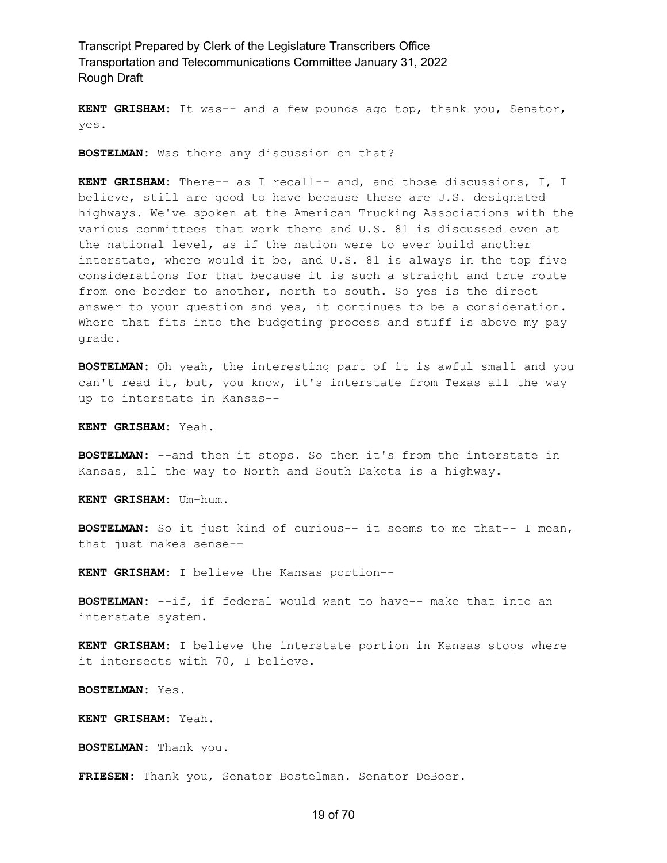**KENT GRISHAM:** It was-- and a few pounds ago top, thank you, Senator, yes.

**BOSTELMAN:** Was there any discussion on that?

**KENT GRISHAM:** There-- as I recall-- and, and those discussions, I, I believe, still are good to have because these are U.S. designated highways. We've spoken at the American Trucking Associations with the various committees that work there and U.S. 81 is discussed even at the national level, as if the nation were to ever build another interstate, where would it be, and U.S. 81 is always in the top five considerations for that because it is such a straight and true route from one border to another, north to south. So yes is the direct answer to your question and yes, it continues to be a consideration. Where that fits into the budgeting process and stuff is above my pay grade.

**BOSTELMAN:** Oh yeah, the interesting part of it is awful small and you can't read it, but, you know, it's interstate from Texas all the way up to interstate in Kansas--

**KENT GRISHAM:** Yeah.

**BOSTELMAN:** --and then it stops. So then it's from the interstate in Kansas, all the way to North and South Dakota is a highway.

**KENT GRISHAM:** Um-hum.

**BOSTELMAN:** So it just kind of curious-- it seems to me that-- I mean, that just makes sense--

**KENT GRISHAM:** I believe the Kansas portion--

**BOSTELMAN:** --if, if federal would want to have-- make that into an interstate system.

**KENT GRISHAM:** I believe the interstate portion in Kansas stops where it intersects with 70, I believe.

**BOSTELMAN:** Yes.

**KENT GRISHAM:** Yeah.

**BOSTELMAN:** Thank you.

**FRIESEN:** Thank you, Senator Bostelman. Senator DeBoer.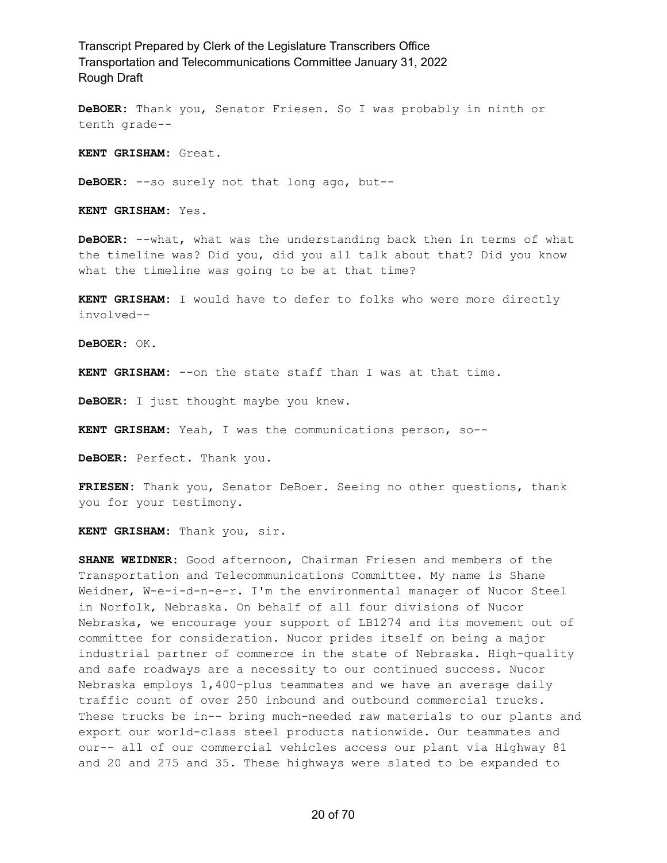**DeBOER:** Thank you, Senator Friesen. So I was probably in ninth or tenth grade--

**KENT GRISHAM:** Great.

**DeBOER:** --so surely not that long ago, but--

**KENT GRISHAM:** Yes.

**DeBOER:** --what, what was the understanding back then in terms of what the timeline was? Did you, did you all talk about that? Did you know what the timeline was going to be at that time?

**KENT GRISHAM:** I would have to defer to folks who were more directly involved--

**DeBOER:** OK.

**KENT GRISHAM:** --on the state staff than I was at that time.

**DeBOER:** I just thought maybe you knew.

**KENT GRISHAM:** Yeah, I was the communications person, so--

**DeBOER:** Perfect. Thank you.

**FRIESEN:** Thank you, Senator DeBoer. Seeing no other questions, thank you for your testimony.

**KENT GRISHAM:** Thank you, sir.

**SHANE WEIDNER:** Good afternoon, Chairman Friesen and members of the Transportation and Telecommunications Committee. My name is Shane Weidner, W-e-i-d-n-e-r. I'm the environmental manager of Nucor Steel in Norfolk, Nebraska. On behalf of all four divisions of Nucor Nebraska, we encourage your support of LB1274 and its movement out of committee for consideration. Nucor prides itself on being a major industrial partner of commerce in the state of Nebraska. High-quality and safe roadways are a necessity to our continued success. Nucor Nebraska employs 1,400-plus teammates and we have an average daily traffic count of over 250 inbound and outbound commercial trucks. These trucks be in-- bring much-needed raw materials to our plants and export our world-class steel products nationwide. Our teammates and our-- all of our commercial vehicles access our plant via Highway 81 and 20 and 275 and 35. These highways were slated to be expanded to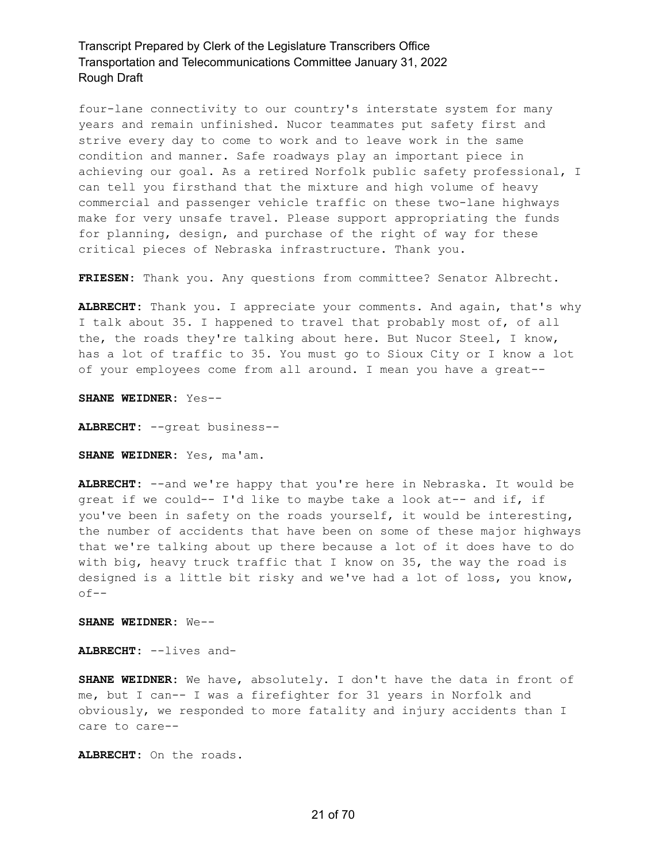four-lane connectivity to our country's interstate system for many years and remain unfinished. Nucor teammates put safety first and strive every day to come to work and to leave work in the same condition and manner. Safe roadways play an important piece in achieving our goal. As a retired Norfolk public safety professional, I can tell you firsthand that the mixture and high volume of heavy commercial and passenger vehicle traffic on these two-lane highways make for very unsafe travel. Please support appropriating the funds for planning, design, and purchase of the right of way for these critical pieces of Nebraska infrastructure. Thank you.

**FRIESEN:** Thank you. Any questions from committee? Senator Albrecht.

**ALBRECHT:** Thank you. I appreciate your comments. And again, that's why I talk about 35. I happened to travel that probably most of, of all the, the roads they're talking about here. But Nucor Steel, I know, has a lot of traffic to 35. You must go to Sioux City or I know a lot of your employees come from all around. I mean you have a great--

**SHANE WEIDNER:** Yes--

**ALBRECHT:** --great business--

**SHANE WEIDNER:** Yes, ma'am.

**ALBRECHT:** --and we're happy that you're here in Nebraska. It would be great if we could-- I'd like to maybe take a look at-- and if, if you've been in safety on the roads yourself, it would be interesting, the number of accidents that have been on some of these major highways that we're talking about up there because a lot of it does have to do with big, heavy truck traffic that I know on 35, the way the road is designed is a little bit risky and we've had a lot of loss, you know, of--

**SHANE WEIDNER:** We--

**ALBRECHT:** --lives and-

**SHANE WEIDNER:** We have, absolutely. I don't have the data in front of me, but I can-- I was a firefighter for 31 years in Norfolk and obviously, we responded to more fatality and injury accidents than I care to care--

**ALBRECHT:** On the roads.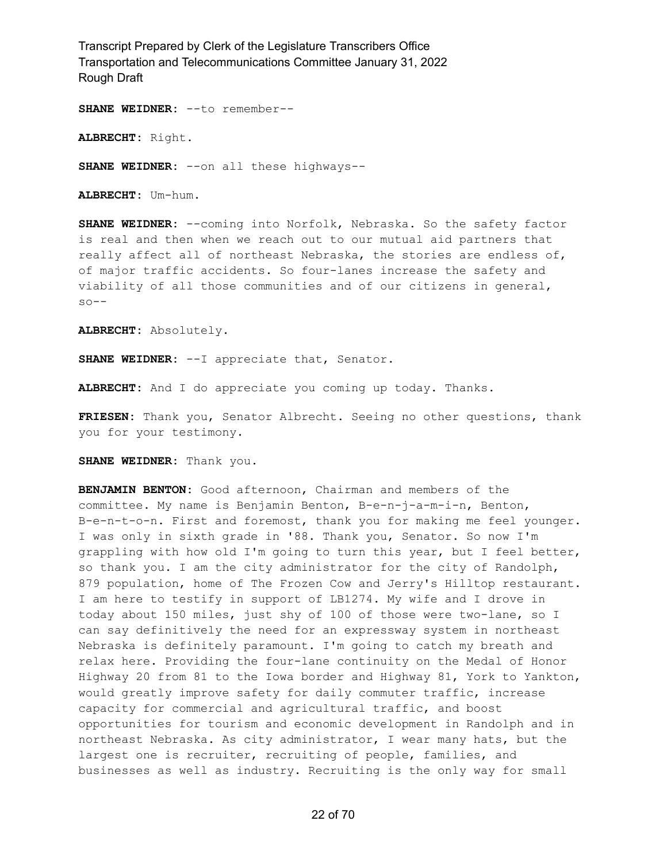**SHANE WEIDNER:** --to remember--

**ALBRECHT:** Right.

**SHANE WEIDNER:** --on all these highways--

**ALBRECHT:** Um-hum.

**SHANE WEIDNER:** --coming into Norfolk, Nebraska. So the safety factor is real and then when we reach out to our mutual aid partners that really affect all of northeast Nebraska, the stories are endless of, of major traffic accidents. So four-lanes increase the safety and viability of all those communities and of our citizens in general,  $so--$ 

**ALBRECHT:** Absolutely.

**SHANE WEIDNER:** --I appreciate that, Senator.

**ALBRECHT:** And I do appreciate you coming up today. Thanks.

**FRIESEN:** Thank you, Senator Albrecht. Seeing no other questions, thank you for your testimony.

**SHANE WEIDNER:** Thank you.

**BENJAMIN BENTON:** Good afternoon, Chairman and members of the committee. My name is Benjamin Benton, B-e-n-j-a-m-i-n, Benton, B-e-n-t-o-n. First and foremost, thank you for making me feel younger. I was only in sixth grade in '88. Thank you, Senator. So now I'm grappling with how old I'm going to turn this year, but I feel better, so thank you. I am the city administrator for the city of Randolph, 879 population, home of The Frozen Cow and Jerry's Hilltop restaurant. I am here to testify in support of LB1274. My wife and I drove in today about 150 miles, just shy of 100 of those were two-lane, so I can say definitively the need for an expressway system in northeast Nebraska is definitely paramount. I'm going to catch my breath and relax here. Providing the four-lane continuity on the Medal of Honor Highway 20 from 81 to the Iowa border and Highway 81, York to Yankton, would greatly improve safety for daily commuter traffic, increase capacity for commercial and agricultural traffic, and boost opportunities for tourism and economic development in Randolph and in northeast Nebraska. As city administrator, I wear many hats, but the largest one is recruiter, recruiting of people, families, and businesses as well as industry. Recruiting is the only way for small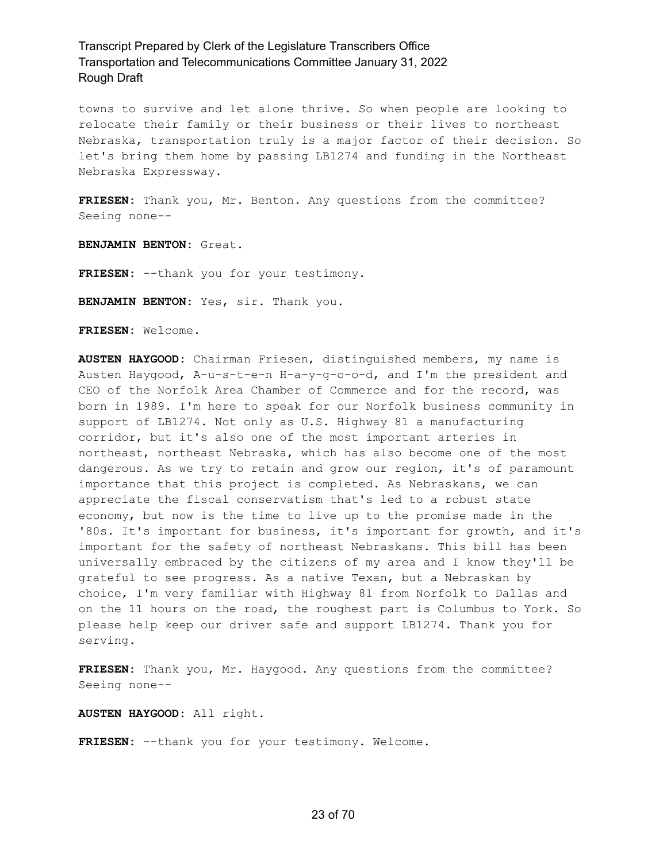towns to survive and let alone thrive. So when people are looking to relocate their family or their business or their lives to northeast Nebraska, transportation truly is a major factor of their decision. So let's bring them home by passing LB1274 and funding in the Northeast Nebraska Expressway.

**FRIESEN:** Thank you, Mr. Benton. Any questions from the committee? Seeing none--

**BENJAMIN BENTON:** Great.

**FRIESEN:** --thank you for your testimony.

**BENJAMIN BENTON:** Yes, sir. Thank you.

**FRIESEN:** Welcome.

**AUSTEN HAYGOOD:** Chairman Friesen, distinguished members, my name is Austen Haygood, A-u-s-t-e-n H-a-y-g-o-o-d, and I'm the president and CEO of the Norfolk Area Chamber of Commerce and for the record, was born in 1989. I'm here to speak for our Norfolk business community in support of LB1274. Not only as U.S. Highway 81 a manufacturing corridor, but it's also one of the most important arteries in northeast, northeast Nebraska, which has also become one of the most dangerous. As we try to retain and grow our region, it's of paramount importance that this project is completed. As Nebraskans, we can appreciate the fiscal conservatism that's led to a robust state economy, but now is the time to live up to the promise made in the '80s. It's important for business, it's important for growth, and it's important for the safety of northeast Nebraskans. This bill has been universally embraced by the citizens of my area and I know they'll be grateful to see progress. As a native Texan, but a Nebraskan by choice, I'm very familiar with Highway 81 from Norfolk to Dallas and on the 11 hours on the road, the roughest part is Columbus to York. So please help keep our driver safe and support LB1274. Thank you for serving.

**FRIESEN:** Thank you, Mr. Haygood. Any questions from the committee? Seeing none--

**AUSTEN HAYGOOD:** All right.

**FRIESEN:** --thank you for your testimony. Welcome.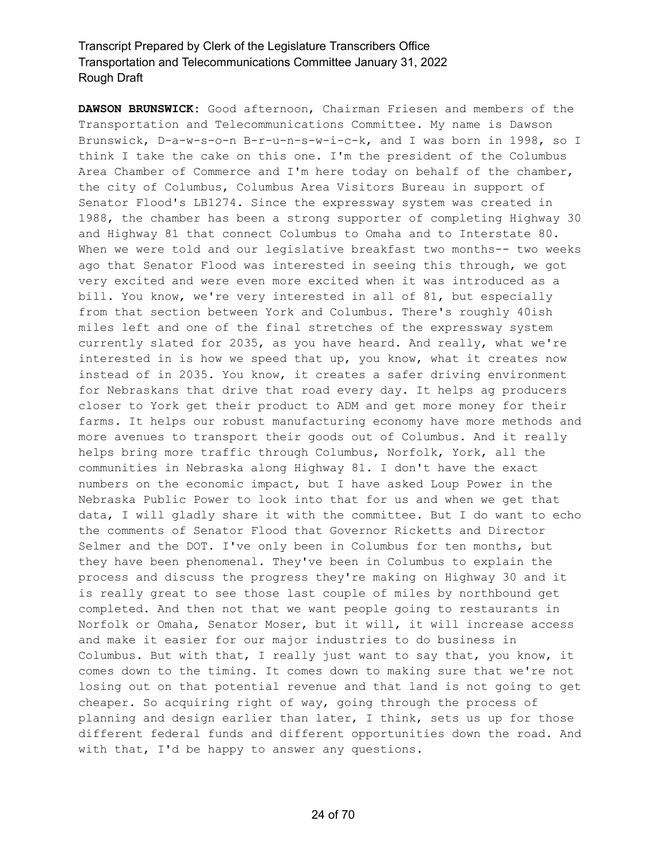**DAWSON BRUNSWICK:** Good afternoon, Chairman Friesen and members of the Transportation and Telecommunications Committee. My name is Dawson Brunswick, D-a-w-s-o-n B-r-u-n-s-w-i-c-k, and I was born in 1998, so I think I take the cake on this one. I'm the president of the Columbus Area Chamber of Commerce and I'm here today on behalf of the chamber, the city of Columbus, Columbus Area Visitors Bureau in support of Senator Flood's LB1274. Since the expressway system was created in 1988, the chamber has been a strong supporter of completing Highway 30 and Highway 81 that connect Columbus to Omaha and to Interstate 80. When we were told and our legislative breakfast two months-- two weeks ago that Senator Flood was interested in seeing this through, we got very excited and were even more excited when it was introduced as a bill. You know, we're very interested in all of 81, but especially from that section between York and Columbus. There's roughly 40ish miles left and one of the final stretches of the expressway system currently slated for 2035, as you have heard. And really, what we're interested in is how we speed that up, you know, what it creates now instead of in 2035. You know, it creates a safer driving environment for Nebraskans that drive that road every day. It helps ag producers closer to York get their product to ADM and get more money for their farms. It helps our robust manufacturing economy have more methods and more avenues to transport their goods out of Columbus. And it really helps bring more traffic through Columbus, Norfolk, York, all the communities in Nebraska along Highway 81. I don't have the exact numbers on the economic impact, but I have asked Loup Power in the Nebraska Public Power to look into that for us and when we get that data, I will gladly share it with the committee. But I do want to echo the comments of Senator Flood that Governor Ricketts and Director Selmer and the DOT. I've only been in Columbus for ten months, but they have been phenomenal. They've been in Columbus to explain the process and discuss the progress they're making on Highway 30 and it is really great to see those last couple of miles by northbound get completed. And then not that we want people going to restaurants in Norfolk or Omaha, Senator Moser, but it will, it will increase access and make it easier for our major industries to do business in Columbus. But with that, I really just want to say that, you know, it comes down to the timing. It comes down to making sure that we're not losing out on that potential revenue and that land is not going to get cheaper. So acquiring right of way, going through the process of planning and design earlier than later, I think, sets us up for those different federal funds and different opportunities down the road. And with that, I'd be happy to answer any questions.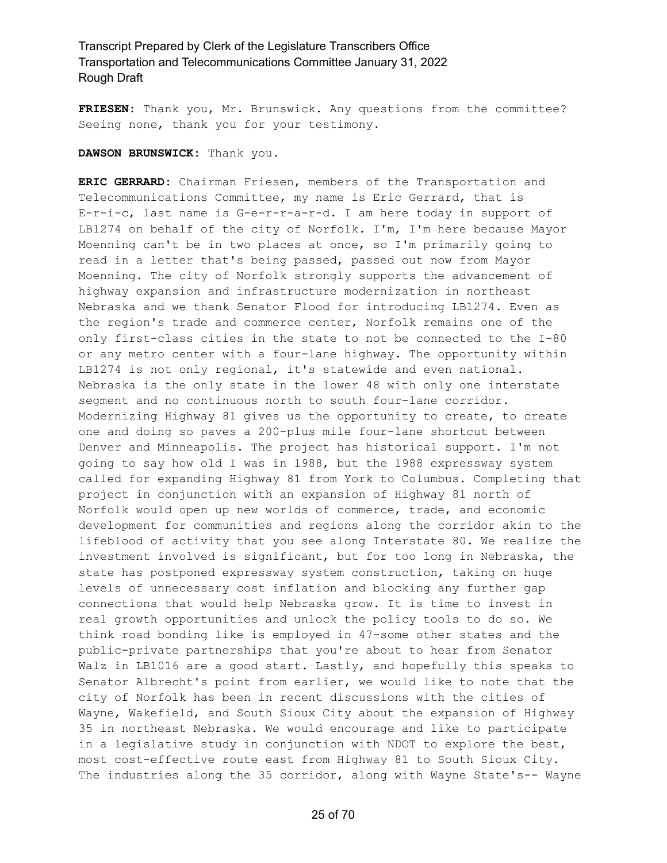**FRIESEN:** Thank you, Mr. Brunswick. Any questions from the committee? Seeing none, thank you for your testimony.

#### **DAWSON BRUNSWICK:** Thank you.

**ERIC GERRARD:** Chairman Friesen, members of the Transportation and Telecommunications Committee, my name is Eric Gerrard, that is E-r-i-c, last name is G-e-r-r-a-r-d. I am here today in support of LB1274 on behalf of the city of Norfolk. I'm, I'm here because Mayor Moenning can't be in two places at once, so I'm primarily going to read in a letter that's being passed, passed out now from Mayor Moenning. The city of Norfolk strongly supports the advancement of highway expansion and infrastructure modernization in northeast Nebraska and we thank Senator Flood for introducing LB1274. Even as the region's trade and commerce center, Norfolk remains one of the only first-class cities in the state to not be connected to the I-80 or any metro center with a four-lane highway. The opportunity within LB1274 is not only regional, it's statewide and even national. Nebraska is the only state in the lower 48 with only one interstate segment and no continuous north to south four-lane corridor. Modernizing Highway 81 gives us the opportunity to create, to create one and doing so paves a 200-plus mile four-lane shortcut between Denver and Minneapolis. The project has historical support. I'm not going to say how old I was in 1988, but the 1988 expressway system called for expanding Highway 81 from York to Columbus. Completing that project in conjunction with an expansion of Highway 81 north of Norfolk would open up new worlds of commerce, trade, and economic development for communities and regions along the corridor akin to the lifeblood of activity that you see along Interstate 80. We realize the investment involved is significant, but for too long in Nebraska, the state has postponed expressway system construction, taking on huge levels of unnecessary cost inflation and blocking any further gap connections that would help Nebraska grow. It is time to invest in real growth opportunities and unlock the policy tools to do so. We think road bonding like is employed in 47-some other states and the public-private partnerships that you're about to hear from Senator Walz in LB1016 are a good start. Lastly, and hopefully this speaks to Senator Albrecht's point from earlier, we would like to note that the city of Norfolk has been in recent discussions with the cities of Wayne, Wakefield, and South Sioux City about the expansion of Highway 35 in northeast Nebraska. We would encourage and like to participate in a legislative study in conjunction with NDOT to explore the best, most cost-effective route east from Highway 81 to South Sioux City. The industries along the 35 corridor, along with Wayne State's-- Wayne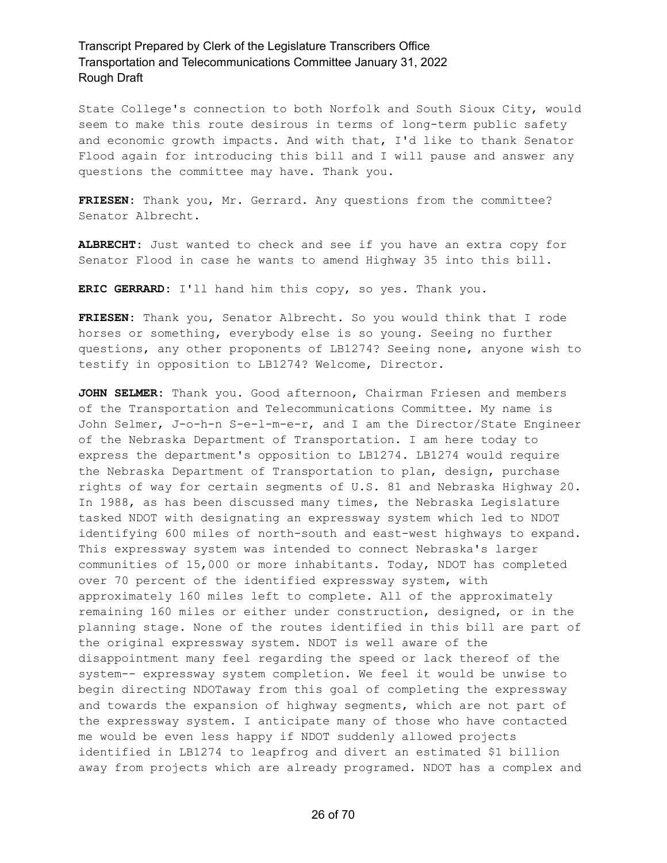State College's connection to both Norfolk and South Sioux City, would seem to make this route desirous in terms of long-term public safety and economic growth impacts. And with that, I'd like to thank Senator Flood again for introducing this bill and I will pause and answer any questions the committee may have. Thank you.

**FRIESEN:** Thank you, Mr. Gerrard. Any questions from the committee? Senator Albrecht.

**ALBRECHT:** Just wanted to check and see if you have an extra copy for Senator Flood in case he wants to amend Highway 35 into this bill.

**ERIC GERRARD:** I'll hand him this copy, so yes. Thank you.

**FRIESEN:** Thank you, Senator Albrecht. So you would think that I rode horses or something, everybody else is so young. Seeing no further questions, any other proponents of LB1274? Seeing none, anyone wish to testify in opposition to LB1274? Welcome, Director.

**JOHN SELMER:** Thank you. Good afternoon, Chairman Friesen and members of the Transportation and Telecommunications Committee. My name is John Selmer, J-o-h-n S-e-l-m-e-r, and I am the Director/State Engineer of the Nebraska Department of Transportation. I am here today to express the department's opposition to LB1274. LB1274 would require the Nebraska Department of Transportation to plan, design, purchase rights of way for certain segments of U.S. 81 and Nebraska Highway 20. In 1988, as has been discussed many times, the Nebraska Legislature tasked NDOT with designating an expressway system which led to NDOT identifying 600 miles of north-south and east-west highways to expand. This expressway system was intended to connect Nebraska's larger communities of 15,000 or more inhabitants. Today, NDOT has completed over 70 percent of the identified expressway system, with approximately 160 miles left to complete. All of the approximately remaining 160 miles or either under construction, designed, or in the planning stage. None of the routes identified in this bill are part of the original expressway system. NDOT is well aware of the disappointment many feel regarding the speed or lack thereof of the system-- expressway system completion. We feel it would be unwise to begin directing NDOTaway from this goal of completing the expressway and towards the expansion of highway segments, which are not part of the expressway system. I anticipate many of those who have contacted me would be even less happy if NDOT suddenly allowed projects identified in LB1274 to leapfrog and divert an estimated \$1 billion away from projects which are already programed. NDOT has a complex and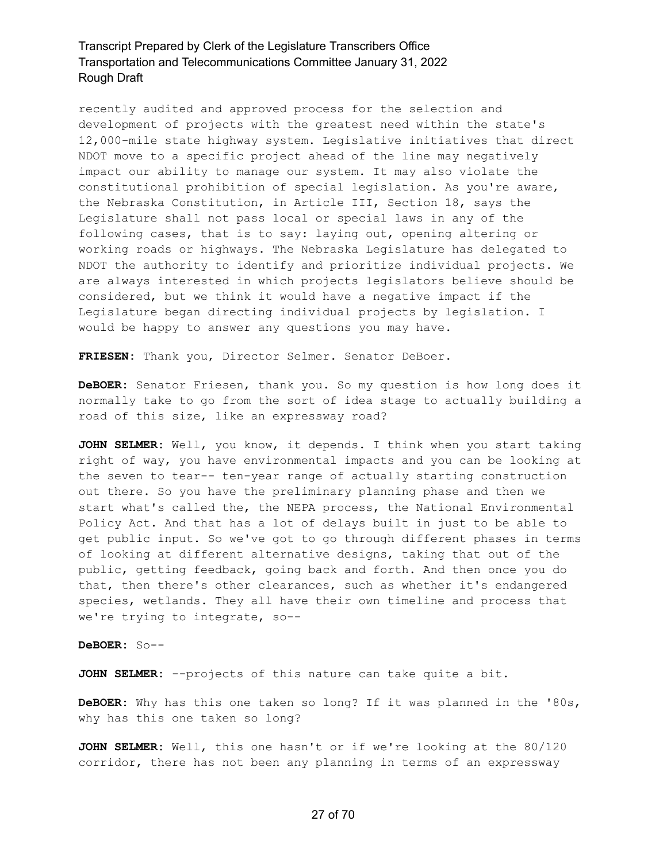recently audited and approved process for the selection and development of projects with the greatest need within the state's 12,000-mile state highway system. Legislative initiatives that direct NDOT move to a specific project ahead of the line may negatively impact our ability to manage our system. It may also violate the constitutional prohibition of special legislation. As you're aware, the Nebraska Constitution, in Article III, Section 18, says the Legislature shall not pass local or special laws in any of the following cases, that is to say: laying out, opening altering or working roads or highways. The Nebraska Legislature has delegated to NDOT the authority to identify and prioritize individual projects. We are always interested in which projects legislators believe should be considered, but we think it would have a negative impact if the Legislature began directing individual projects by legislation. I would be happy to answer any questions you may have.

**FRIESEN:** Thank you, Director Selmer. Senator DeBoer.

**DeBOER:** Senator Friesen, thank you. So my question is how long does it normally take to go from the sort of idea stage to actually building a road of this size, like an expressway road?

**JOHN SELMER:** Well, you know, it depends. I think when you start taking right of way, you have environmental impacts and you can be looking at the seven to tear-- ten-year range of actually starting construction out there. So you have the preliminary planning phase and then we start what's called the, the NEPA process, the National Environmental Policy Act. And that has a lot of delays built in just to be able to get public input. So we've got to go through different phases in terms of looking at different alternative designs, taking that out of the public, getting feedback, going back and forth. And then once you do that, then there's other clearances, such as whether it's endangered species, wetlands. They all have their own timeline and process that we're trying to integrate, so--

**DeBOER:** So--

**JOHN SELMER:** --projects of this nature can take quite a bit.

**DeBOER:** Why has this one taken so long? If it was planned in the '80s, why has this one taken so long?

**JOHN SELMER:** Well, this one hasn't or if we're looking at the 80/120 corridor, there has not been any planning in terms of an expressway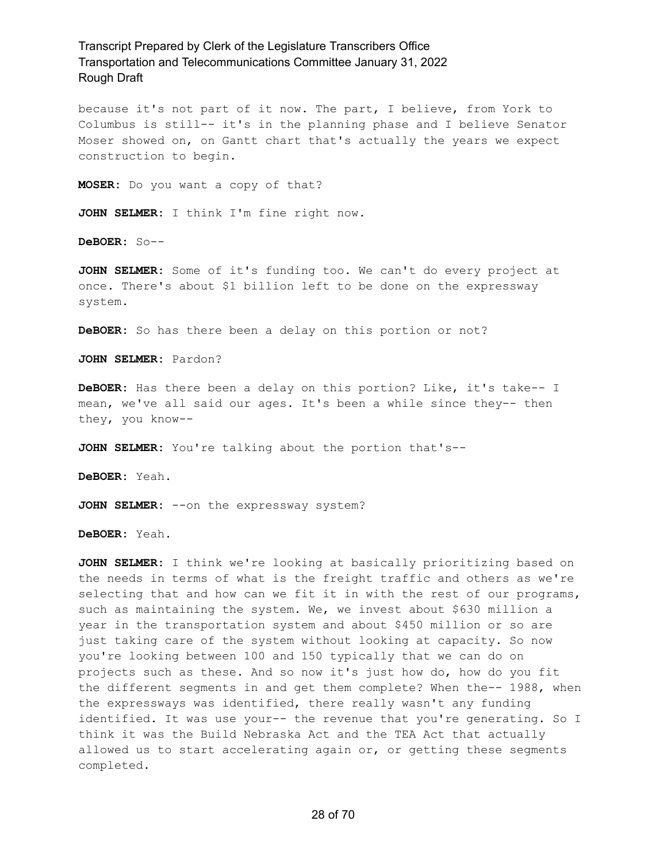because it's not part of it now. The part, I believe, from York to Columbus is still-- it's in the planning phase and I believe Senator Moser showed on, on Gantt chart that's actually the years we expect construction to begin.

**MOSER:** Do you want a copy of that?

**JOHN SELMER:** I think I'm fine right now.

**DeBOER:** So--

**JOHN SELMER:** Some of it's funding too. We can't do every project at once. There's about \$1 billion left to be done on the expressway system.

**DeBOER:** So has there been a delay on this portion or not?

**JOHN SELMER:** Pardon?

**DeBOER:** Has there been a delay on this portion? Like, it's take-- I mean, we've all said our ages. It's been a while since they-- then they, you know--

**JOHN SELMER:** You're talking about the portion that's--

**DeBOER:** Yeah.

**JOHN SELMER:** --on the expressway system?

**DeBOER:** Yeah.

**JOHN SELMER:** I think we're looking at basically prioritizing based on the needs in terms of what is the freight traffic and others as we're selecting that and how can we fit it in with the rest of our programs, such as maintaining the system. We, we invest about \$630 million a year in the transportation system and about \$450 million or so are just taking care of the system without looking at capacity. So now you're looking between 100 and 150 typically that we can do on projects such as these. And so now it's just how do, how do you fit the different segments in and get them complete? When the-- 1988, when the expressways was identified, there really wasn't any funding identified. It was use your-- the revenue that you're generating. So I think it was the Build Nebraska Act and the TEA Act that actually allowed us to start accelerating again or, or getting these segments completed.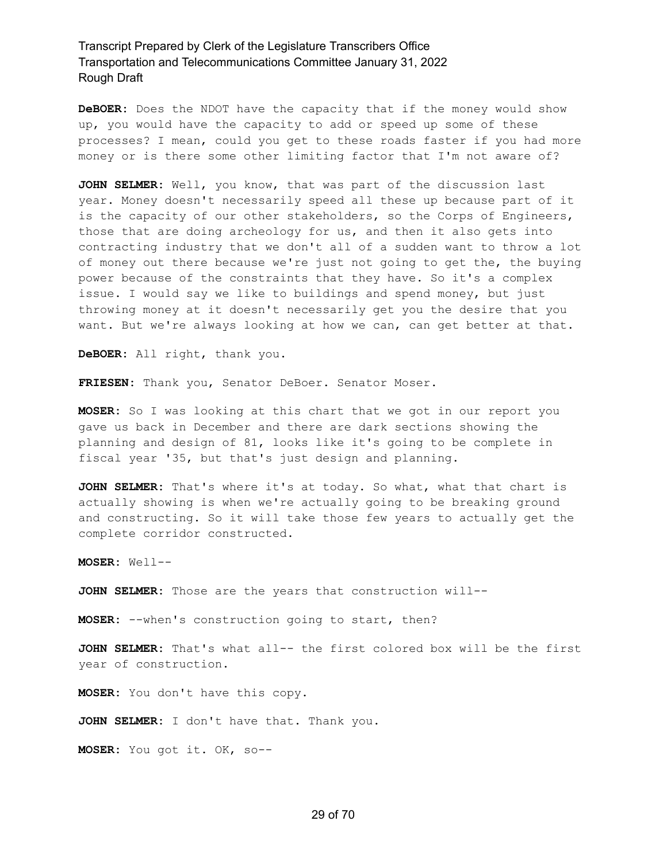**DeBOER:** Does the NDOT have the capacity that if the money would show up, you would have the capacity to add or speed up some of these processes? I mean, could you get to these roads faster if you had more money or is there some other limiting factor that I'm not aware of?

**JOHN SELMER:** Well, you know, that was part of the discussion last year. Money doesn't necessarily speed all these up because part of it is the capacity of our other stakeholders, so the Corps of Engineers, those that are doing archeology for us, and then it also gets into contracting industry that we don't all of a sudden want to throw a lot of money out there because we're just not going to get the, the buying power because of the constraints that they have. So it's a complex issue. I would say we like to buildings and spend money, but just throwing money at it doesn't necessarily get you the desire that you want. But we're always looking at how we can, can get better at that.

**DeBOER:** All right, thank you.

**FRIESEN:** Thank you, Senator DeBoer. Senator Moser.

**MOSER:** So I was looking at this chart that we got in our report you gave us back in December and there are dark sections showing the planning and design of 81, looks like it's going to be complete in fiscal year '35, but that's just design and planning.

**JOHN SELMER:** That's where it's at today. So what, what that chart is actually showing is when we're actually going to be breaking ground and constructing. So it will take those few years to actually get the complete corridor constructed.

**MOSER:** Well--

**JOHN SELMER:** Those are the years that construction will--

**MOSER:** --when's construction going to start, then?

**JOHN SELMER:** That's what all-- the first colored box will be the first year of construction.

**MOSER:** You don't have this copy.

**JOHN SELMER:** I don't have that. Thank you.

**MOSER:** You got it. OK, so--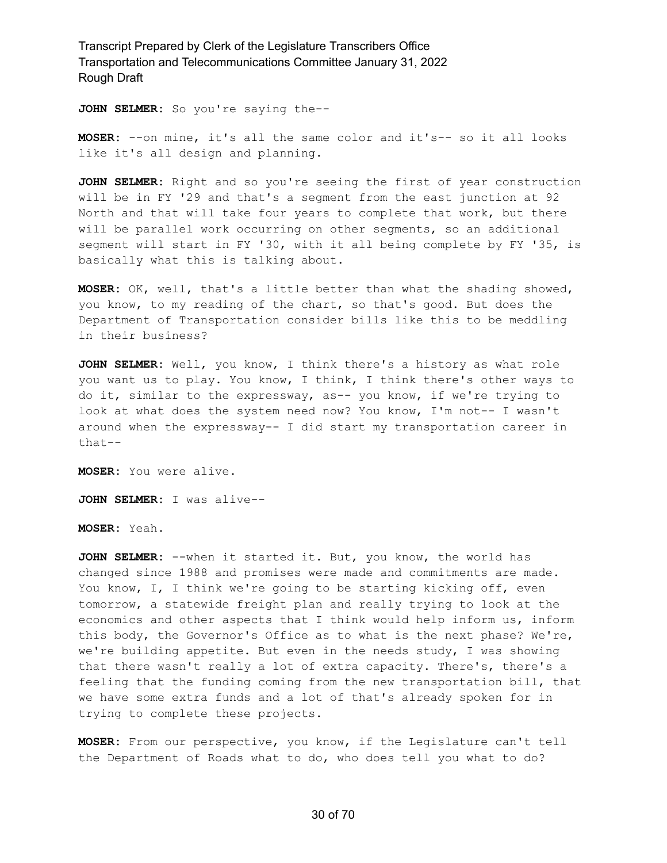**JOHN SELMER:** So you're saying the--

**MOSER:** --on mine, it's all the same color and it's-- so it all looks like it's all design and planning.

**JOHN SELMER:** Right and so you're seeing the first of year construction will be in FY '29 and that's a segment from the east junction at 92 North and that will take four years to complete that work, but there will be parallel work occurring on other segments, so an additional segment will start in FY '30, with it all being complete by FY '35, is basically what this is talking about.

**MOSER:** OK, well, that's a little better than what the shading showed, you know, to my reading of the chart, so that's good. But does the Department of Transportation consider bills like this to be meddling in their business?

**JOHN SELMER:** Well, you know, I think there's a history as what role you want us to play. You know, I think, I think there's other ways to do it, similar to the expressway, as-- you know, if we're trying to look at what does the system need now? You know, I'm not-- I wasn't around when the expressway-- I did start my transportation career in that--

**MOSER:** You were alive.

**JOHN SELMER:** I was alive--

**MOSER:** Yeah.

**JOHN SELMER:** --when it started it. But, you know, the world has changed since 1988 and promises were made and commitments are made. You know, I, I think we're going to be starting kicking off, even tomorrow, a statewide freight plan and really trying to look at the economics and other aspects that I think would help inform us, inform this body, the Governor's Office as to what is the next phase? We're, we're building appetite. But even in the needs study, I was showing that there wasn't really a lot of extra capacity. There's, there's a feeling that the funding coming from the new transportation bill, that we have some extra funds and a lot of that's already spoken for in trying to complete these projects.

**MOSER:** From our perspective, you know, if the Legislature can't tell the Department of Roads what to do, who does tell you what to do?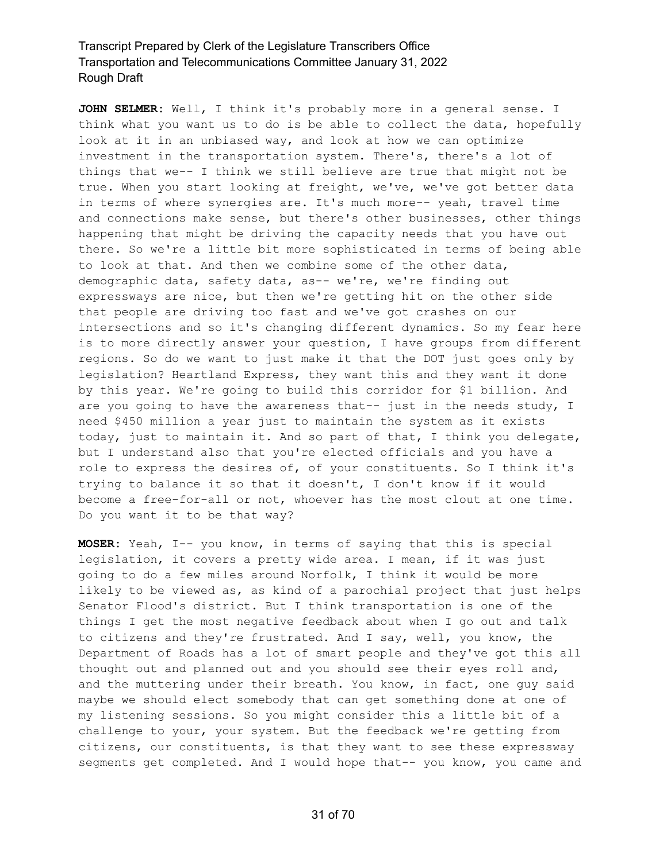**JOHN SELMER:** Well, I think it's probably more in a general sense. I think what you want us to do is be able to collect the data, hopefully look at it in an unbiased way, and look at how we can optimize investment in the transportation system. There's, there's a lot of things that we-- I think we still believe are true that might not be true. When you start looking at freight, we've, we've got better data in terms of where synergies are. It's much more-- yeah, travel time and connections make sense, but there's other businesses, other things happening that might be driving the capacity needs that you have out there. So we're a little bit more sophisticated in terms of being able to look at that. And then we combine some of the other data, demographic data, safety data, as-- we're, we're finding out expressways are nice, but then we're getting hit on the other side that people are driving too fast and we've got crashes on our intersections and so it's changing different dynamics. So my fear here is to more directly answer your question, I have groups from different regions. So do we want to just make it that the DOT just goes only by legislation? Heartland Express, they want this and they want it done by this year. We're going to build this corridor for \$1 billion. And are you going to have the awareness that-- just in the needs study, I need \$450 million a year just to maintain the system as it exists today, just to maintain it. And so part of that, I think you delegate, but I understand also that you're elected officials and you have a role to express the desires of, of your constituents. So I think it's trying to balance it so that it doesn't, I don't know if it would become a free-for-all or not, whoever has the most clout at one time. Do you want it to be that way?

**MOSER:** Yeah, I-- you know, in terms of saying that this is special legislation, it covers a pretty wide area. I mean, if it was just going to do a few miles around Norfolk, I think it would be more likely to be viewed as, as kind of a parochial project that just helps Senator Flood's district. But I think transportation is one of the things I get the most negative feedback about when I go out and talk to citizens and they're frustrated. And I say, well, you know, the Department of Roads has a lot of smart people and they've got this all thought out and planned out and you should see their eyes roll and, and the muttering under their breath. You know, in fact, one guy said maybe we should elect somebody that can get something done at one of my listening sessions. So you might consider this a little bit of a challenge to your, your system. But the feedback we're getting from citizens, our constituents, is that they want to see these expressway segments get completed. And I would hope that-- you know, you came and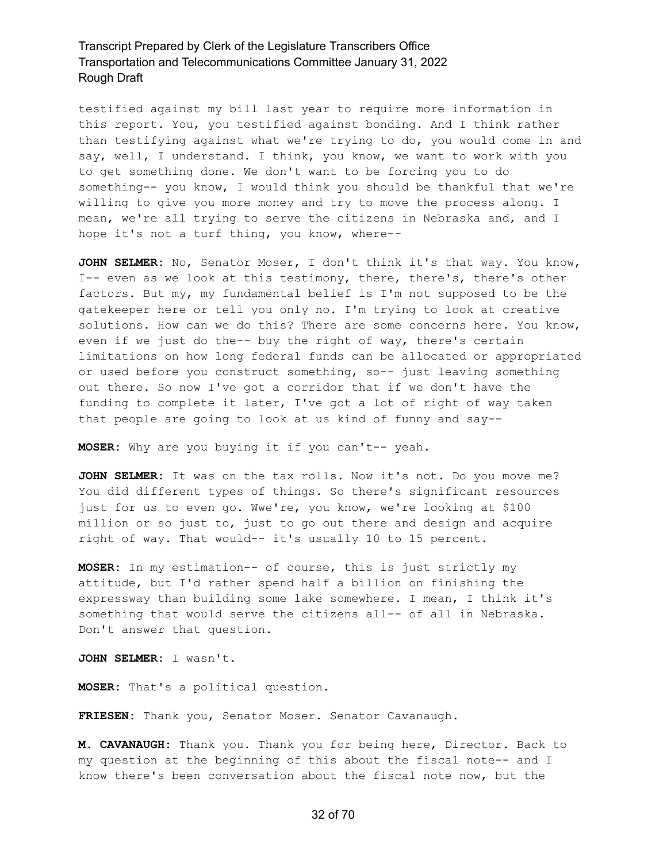testified against my bill last year to require more information in this report. You, you testified against bonding. And I think rather than testifying against what we're trying to do, you would come in and say, well, I understand. I think, you know, we want to work with you to get something done. We don't want to be forcing you to do something-- you know, I would think you should be thankful that we're willing to give you more money and try to move the process along. I mean, we're all trying to serve the citizens in Nebraska and, and I hope it's not a turf thing, you know, where--

**JOHN SELMER:** No, Senator Moser, I don't think it's that way. You know, I-- even as we look at this testimony, there, there's, there's other factors. But my, my fundamental belief is I'm not supposed to be the gatekeeper here or tell you only no. I'm trying to look at creative solutions. How can we do this? There are some concerns here. You know, even if we just do the-- buy the right of way, there's certain limitations on how long federal funds can be allocated or appropriated or used before you construct something, so-- just leaving something out there. So now I've got a corridor that if we don't have the funding to complete it later, I've got a lot of right of way taken that people are going to look at us kind of funny and say--

**MOSER:** Why are you buying it if you can't-- yeah.

**JOHN SELMER:** It was on the tax rolls. Now it's not. Do you move me? You did different types of things. So there's significant resources just for us to even go. Wwe're, you know, we're looking at \$100 million or so just to, just to go out there and design and acquire right of way. That would-- it's usually 10 to 15 percent.

**MOSER:** In my estimation-- of course, this is just strictly my attitude, but I'd rather spend half a billion on finishing the expressway than building some lake somewhere. I mean, I think it's something that would serve the citizens all-- of all in Nebraska. Don't answer that question.

**JOHN SELMER:** I wasn't.

**MOSER:** That's a political question.

**FRIESEN:** Thank you, Senator Moser. Senator Cavanaugh.

**M. CAVANAUGH:** Thank you. Thank you for being here, Director. Back to my question at the beginning of this about the fiscal note-- and I know there's been conversation about the fiscal note now, but the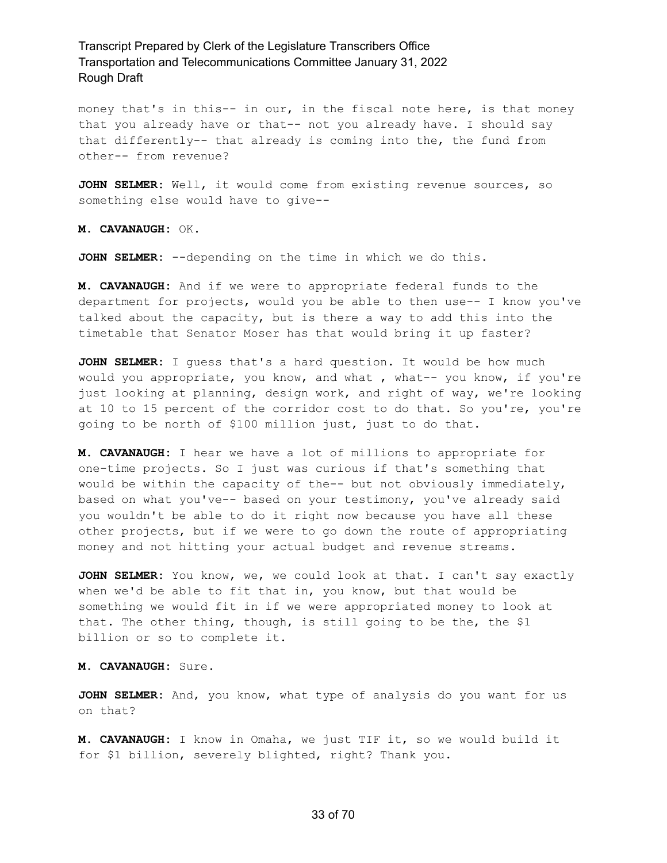money that's in this-- in our, in the fiscal note here, is that money that you already have or that-- not you already have. I should say that differently-- that already is coming into the, the fund from other-- from revenue?

**JOHN SELMER:** Well, it would come from existing revenue sources, so something else would have to give--

**M. CAVANAUGH:** OK.

**JOHN SELMER:** --depending on the time in which we do this.

**M. CAVANAUGH:** And if we were to appropriate federal funds to the department for projects, would you be able to then use-- I know you've talked about the capacity, but is there a way to add this into the timetable that Senator Moser has that would bring it up faster?

**JOHN SELMER:** I guess that's a hard question. It would be how much would you appropriate, you know, and what , what-- you know, if you're just looking at planning, design work, and right of way, we're looking at 10 to 15 percent of the corridor cost to do that. So you're, you're going to be north of \$100 million just, just to do that.

**M. CAVANAUGH:** I hear we have a lot of millions to appropriate for one-time projects. So I just was curious if that's something that would be within the capacity of the-- but not obviously immediately, based on what you've-- based on your testimony, you've already said you wouldn't be able to do it right now because you have all these other projects, but if we were to go down the route of appropriating money and not hitting your actual budget and revenue streams.

**JOHN SELMER:** You know, we, we could look at that. I can't say exactly when we'd be able to fit that in, you know, but that would be something we would fit in if we were appropriated money to look at that. The other thing, though, is still going to be the, the \$1 billion or so to complete it.

**M. CAVANAUGH:** Sure.

**JOHN SELMER:** And, you know, what type of analysis do you want for us on that?

**M. CAVANAUGH:** I know in Omaha, we just TIF it, so we would build it for \$1 billion, severely blighted, right? Thank you.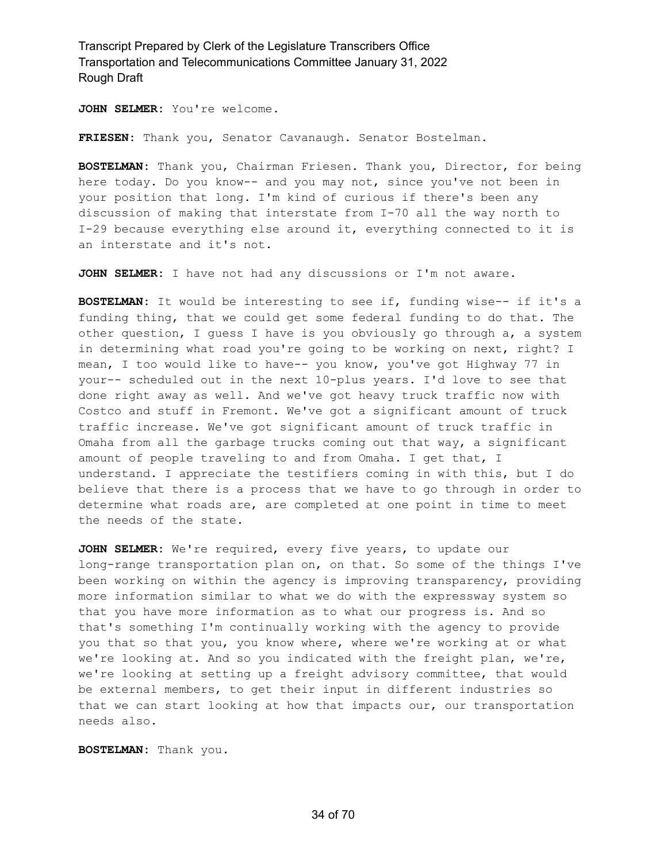**JOHN SELMER:** You're welcome.

**FRIESEN:** Thank you, Senator Cavanaugh. Senator Bostelman.

**BOSTELMAN:** Thank you, Chairman Friesen. Thank you, Director, for being here today. Do you know-- and you may not, since you've not been in your position that long. I'm kind of curious if there's been any discussion of making that interstate from I-70 all the way north to I-29 because everything else around it, everything connected to it is an interstate and it's not.

**JOHN SELMER:** I have not had any discussions or I'm not aware.

**BOSTELMAN:** It would be interesting to see if, funding wise-- if it's a funding thing, that we could get some federal funding to do that. The other question, I guess I have is you obviously go through a, a system in determining what road you're going to be working on next, right? I mean, I too would like to have-- you know, you've got Highway 77 in your-- scheduled out in the next 10-plus years. I'd love to see that done right away as well. And we've got heavy truck traffic now with Costco and stuff in Fremont. We've got a significant amount of truck traffic increase. We've got significant amount of truck traffic in Omaha from all the garbage trucks coming out that way, a significant amount of people traveling to and from Omaha. I get that, I understand. I appreciate the testifiers coming in with this, but I do believe that there is a process that we have to go through in order to determine what roads are, are completed at one point in time to meet the needs of the state.

**JOHN SELMER:** We're required, every five years, to update our long-range transportation plan on, on that. So some of the things I've been working on within the agency is improving transparency, providing more information similar to what we do with the expressway system so that you have more information as to what our progress is. And so that's something I'm continually working with the agency to provide you that so that you, you know where, where we're working at or what we're looking at. And so you indicated with the freight plan, we're, we're looking at setting up a freight advisory committee, that would be external members, to get their input in different industries so that we can start looking at how that impacts our, our transportation needs also.

**BOSTELMAN:** Thank you.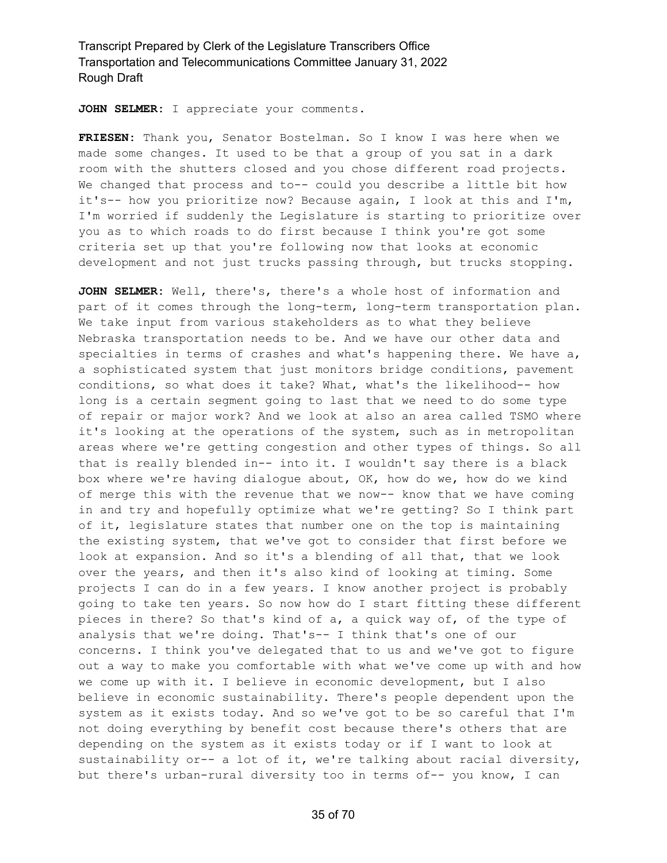**JOHN SELMER:** I appreciate your comments.

**FRIESEN:** Thank you, Senator Bostelman. So I know I was here when we made some changes. It used to be that a group of you sat in a dark room with the shutters closed and you chose different road projects. We changed that process and to-- could you describe a little bit how it's-- how you prioritize now? Because again, I look at this and I'm, I'm worried if suddenly the Legislature is starting to prioritize over you as to which roads to do first because I think you're got some criteria set up that you're following now that looks at economic development and not just trucks passing through, but trucks stopping.

**JOHN SELMER:** Well, there's, there's a whole host of information and part of it comes through the long-term, long-term transportation plan. We take input from various stakeholders as to what they believe Nebraska transportation needs to be. And we have our other data and specialties in terms of crashes and what's happening there. We have a, a sophisticated system that just monitors bridge conditions, pavement conditions, so what does it take? What, what's the likelihood-- how long is a certain segment going to last that we need to do some type of repair or major work? And we look at also an area called TSMO where it's looking at the operations of the system, such as in metropolitan areas where we're getting congestion and other types of things. So all that is really blended in-- into it. I wouldn't say there is a black box where we're having dialogue about, OK, how do we, how do we kind of merge this with the revenue that we now-- know that we have coming in and try and hopefully optimize what we're getting? So I think part of it, legislature states that number one on the top is maintaining the existing system, that we've got to consider that first before we look at expansion. And so it's a blending of all that, that we look over the years, and then it's also kind of looking at timing. Some projects I can do in a few years. I know another project is probably going to take ten years. So now how do I start fitting these different pieces in there? So that's kind of a, a quick way of, of the type of analysis that we're doing. That's-- I think that's one of our concerns. I think you've delegated that to us and we've got to figure out a way to make you comfortable with what we've come up with and how we come up with it. I believe in economic development, but I also believe in economic sustainability. There's people dependent upon the system as it exists today. And so we've got to be so careful that I'm not doing everything by benefit cost because there's others that are depending on the system as it exists today or if I want to look at sustainability or-- a lot of it, we're talking about racial diversity, but there's urban-rural diversity too in terms of-- you know, I can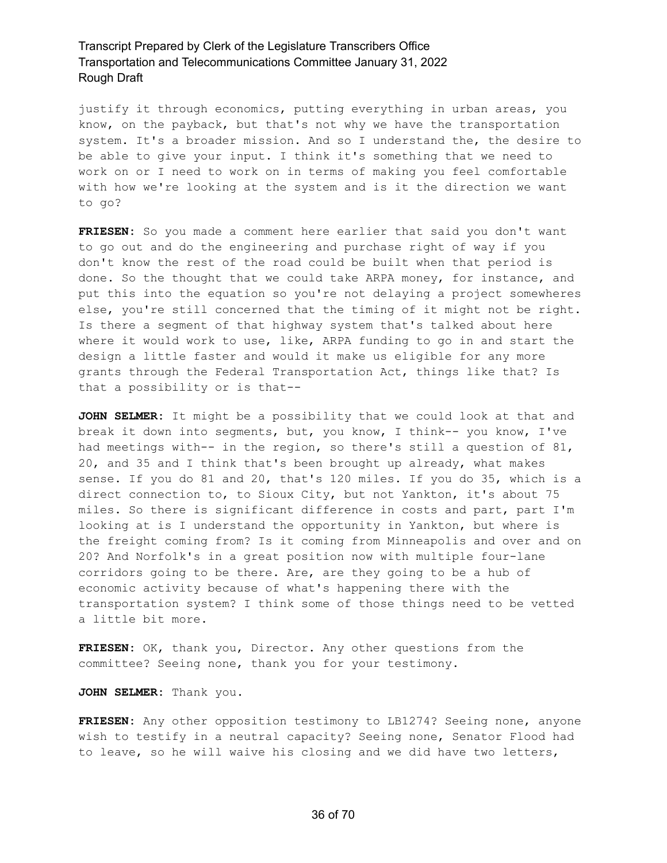justify it through economics, putting everything in urban areas, you know, on the payback, but that's not why we have the transportation system. It's a broader mission. And so I understand the, the desire to be able to give your input. I think it's something that we need to work on or I need to work on in terms of making you feel comfortable with how we're looking at the system and is it the direction we want to go?

**FRIESEN:** So you made a comment here earlier that said you don't want to go out and do the engineering and purchase right of way if you don't know the rest of the road could be built when that period is done. So the thought that we could take ARPA money, for instance, and put this into the equation so you're not delaying a project somewheres else, you're still concerned that the timing of it might not be right. Is there a segment of that highway system that's talked about here where it would work to use, like, ARPA funding to go in and start the design a little faster and would it make us eligible for any more grants through the Federal Transportation Act, things like that? Is that a possibility or is that--

**JOHN SELMER:** It might be a possibility that we could look at that and break it down into segments, but, you know, I think-- you know, I've had meetings with-- in the region, so there's still a question of 81, 20, and 35 and I think that's been brought up already, what makes sense. If you do 81 and 20, that's 120 miles. If you do 35, which is a direct connection to, to Sioux City, but not Yankton, it's about 75 miles. So there is significant difference in costs and part, part I'm looking at is I understand the opportunity in Yankton, but where is the freight coming from? Is it coming from Minneapolis and over and on 20? And Norfolk's in a great position now with multiple four-lane corridors going to be there. Are, are they going to be a hub of economic activity because of what's happening there with the transportation system? I think some of those things need to be vetted a little bit more.

**FRIESEN:** OK, thank you, Director. Any other questions from the committee? Seeing none, thank you for your testimony.

**JOHN SELMER:** Thank you.

**FRIESEN:** Any other opposition testimony to LB1274? Seeing none, anyone wish to testify in a neutral capacity? Seeing none, Senator Flood had to leave, so he will waive his closing and we did have two letters,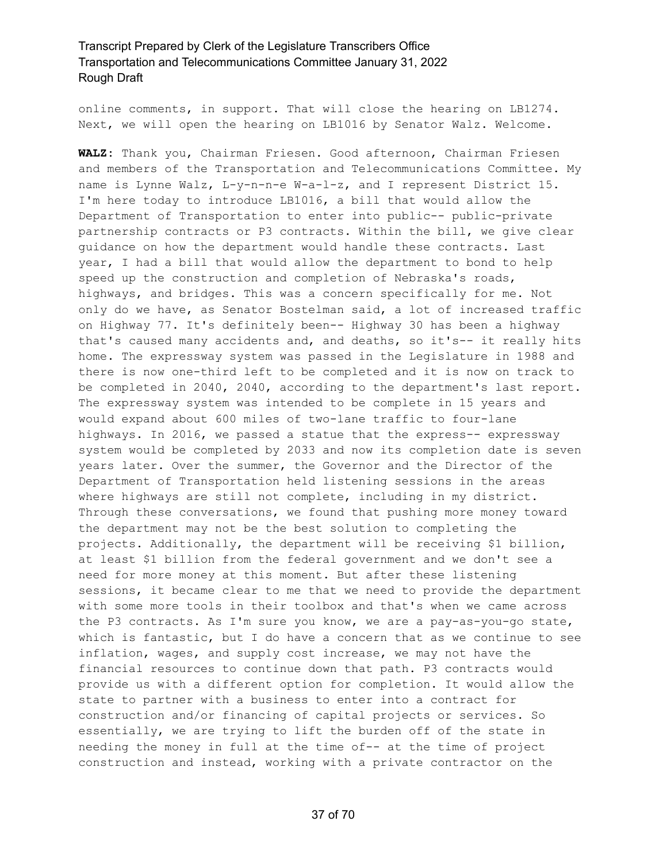online comments, in support. That will close the hearing on LB1274. Next, we will open the hearing on LB1016 by Senator Walz. Welcome.

**WALZ:** Thank you, Chairman Friesen. Good afternoon, Chairman Friesen and members of the Transportation and Telecommunications Committee. My name is Lynne Walz, L-y-n-n-e W-a-l-z, and I represent District 15. I'm here today to introduce LB1016, a bill that would allow the Department of Transportation to enter into public-- public-private partnership contracts or P3 contracts. Within the bill, we give clear guidance on how the department would handle these contracts. Last year, I had a bill that would allow the department to bond to help speed up the construction and completion of Nebraska's roads, highways, and bridges. This was a concern specifically for me. Not only do we have, as Senator Bostelman said, a lot of increased traffic on Highway 77. It's definitely been-- Highway 30 has been a highway that's caused many accidents and, and deaths, so it's-- it really hits home. The expressway system was passed in the Legislature in 1988 and there is now one-third left to be completed and it is now on track to be completed in 2040, 2040, according to the department's last report. The expressway system was intended to be complete in 15 years and would expand about 600 miles of two-lane traffic to four-lane highways. In 2016, we passed a statue that the express-- expressway system would be completed by 2033 and now its completion date is seven years later. Over the summer, the Governor and the Director of the Department of Transportation held listening sessions in the areas where highways are still not complete, including in my district. Through these conversations, we found that pushing more money toward the department may not be the best solution to completing the projects. Additionally, the department will be receiving \$1 billion, at least \$1 billion from the federal government and we don't see a need for more money at this moment. But after these listening sessions, it became clear to me that we need to provide the department with some more tools in their toolbox and that's when we came across the P3 contracts. As I'm sure you know, we are a pay-as-you-go state, which is fantastic, but I do have a concern that as we continue to see inflation, wages, and supply cost increase, we may not have the financial resources to continue down that path. P3 contracts would provide us with a different option for completion. It would allow the state to partner with a business to enter into a contract for construction and/or financing of capital projects or services. So essentially, we are trying to lift the burden off of the state in needing the money in full at the time of-- at the time of project construction and instead, working with a private contractor on the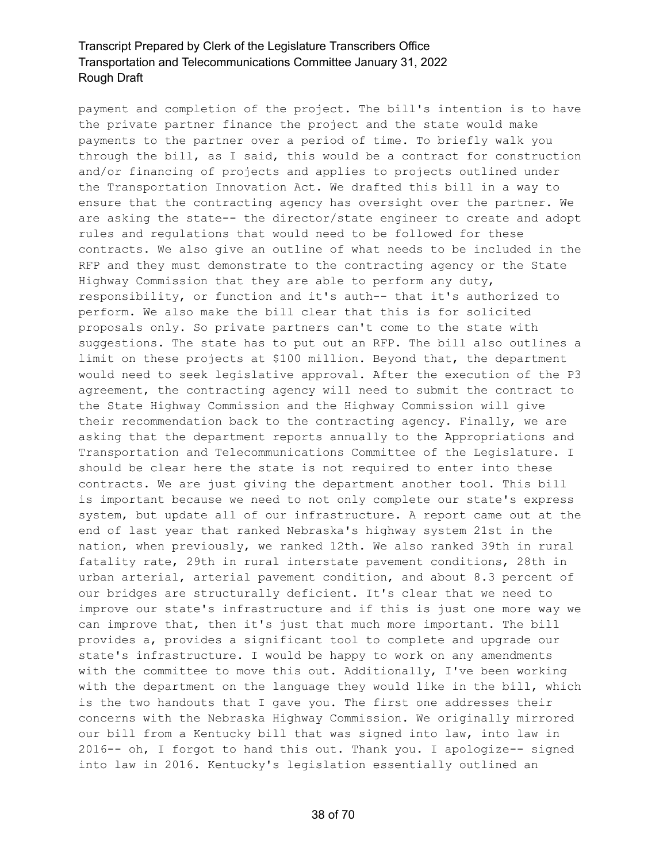payment and completion of the project. The bill's intention is to have the private partner finance the project and the state would make payments to the partner over a period of time. To briefly walk you through the bill, as I said, this would be a contract for construction and/or financing of projects and applies to projects outlined under the Transportation Innovation Act. We drafted this bill in a way to ensure that the contracting agency has oversight over the partner. We are asking the state-- the director/state engineer to create and adopt rules and regulations that would need to be followed for these contracts. We also give an outline of what needs to be included in the RFP and they must demonstrate to the contracting agency or the State Highway Commission that they are able to perform any duty, responsibility, or function and it's auth-- that it's authorized to perform. We also make the bill clear that this is for solicited proposals only. So private partners can't come to the state with suggestions. The state has to put out an RFP. The bill also outlines a limit on these projects at \$100 million. Beyond that, the department would need to seek legislative approval. After the execution of the P3 agreement, the contracting agency will need to submit the contract to the State Highway Commission and the Highway Commission will give their recommendation back to the contracting agency. Finally, we are asking that the department reports annually to the Appropriations and Transportation and Telecommunications Committee of the Legislature. I should be clear here the state is not required to enter into these contracts. We are just giving the department another tool. This bill is important because we need to not only complete our state's express system, but update all of our infrastructure. A report came out at the end of last year that ranked Nebraska's highway system 21st in the nation, when previously, we ranked 12th. We also ranked 39th in rural fatality rate, 29th in rural interstate pavement conditions, 28th in urban arterial, arterial pavement condition, and about 8.3 percent of our bridges are structurally deficient. It's clear that we need to improve our state's infrastructure and if this is just one more way we can improve that, then it's just that much more important. The bill provides a, provides a significant tool to complete and upgrade our state's infrastructure. I would be happy to work on any amendments with the committee to move this out. Additionally, I've been working with the department on the language they would like in the bill, which is the two handouts that I gave you. The first one addresses their concerns with the Nebraska Highway Commission. We originally mirrored our bill from a Kentucky bill that was signed into law, into law in 2016-- oh, I forgot to hand this out. Thank you. I apologize-- signed into law in 2016. Kentucky's legislation essentially outlined an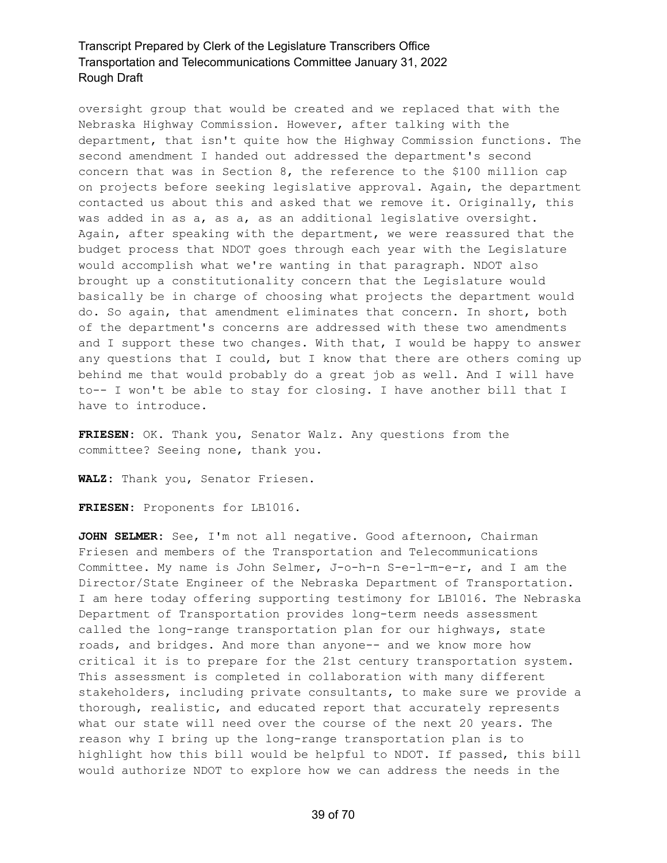oversight group that would be created and we replaced that with the Nebraska Highway Commission. However, after talking with the department, that isn't quite how the Highway Commission functions. The second amendment I handed out addressed the department's second concern that was in Section 8, the reference to the \$100 million cap on projects before seeking legislative approval. Again, the department contacted us about this and asked that we remove it. Originally, this was added in as a, as a, as an additional legislative oversight. Again, after speaking with the department, we were reassured that the budget process that NDOT goes through each year with the Legislature would accomplish what we're wanting in that paragraph. NDOT also brought up a constitutionality concern that the Legislature would basically be in charge of choosing what projects the department would do. So again, that amendment eliminates that concern. In short, both of the department's concerns are addressed with these two amendments and I support these two changes. With that, I would be happy to answer any questions that I could, but I know that there are others coming up behind me that would probably do a great job as well. And I will have to-- I won't be able to stay for closing. I have another bill that I have to introduce.

**FRIESEN:** OK. Thank you, Senator Walz. Any questions from the committee? Seeing none, thank you.

**WALZ:** Thank you, Senator Friesen.

**FRIESEN:** Proponents for LB1016.

**JOHN SELMER:** See, I'm not all negative. Good afternoon, Chairman Friesen and members of the Transportation and Telecommunications Committee. My name is John Selmer, J-o-h-n S-e-l-m-e-r, and I am the Director/State Engineer of the Nebraska Department of Transportation. I am here today offering supporting testimony for LB1016. The Nebraska Department of Transportation provides long-term needs assessment called the long-range transportation plan for our highways, state roads, and bridges. And more than anyone-- and we know more how critical it is to prepare for the 21st century transportation system. This assessment is completed in collaboration with many different stakeholders, including private consultants, to make sure we provide a thorough, realistic, and educated report that accurately represents what our state will need over the course of the next 20 years. The reason why I bring up the long-range transportation plan is to highlight how this bill would be helpful to NDOT. If passed, this bill would authorize NDOT to explore how we can address the needs in the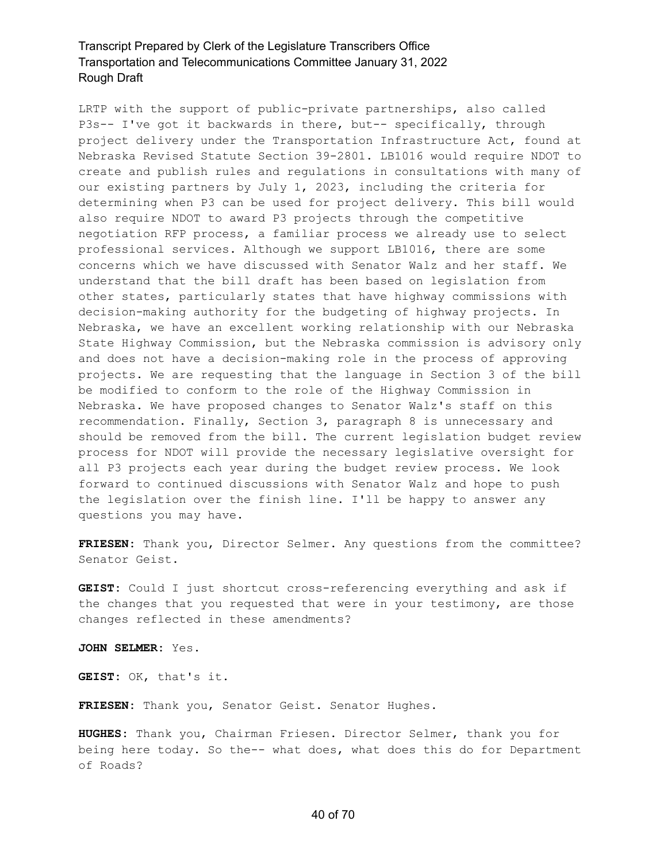LRTP with the support of public-private partnerships, also called P3s-- I've got it backwards in there, but-- specifically, through project delivery under the Transportation Infrastructure Act, found at Nebraska Revised Statute Section 39-2801. LB1016 would require NDOT to create and publish rules and regulations in consultations with many of our existing partners by July 1, 2023, including the criteria for determining when P3 can be used for project delivery. This bill would also require NDOT to award P3 projects through the competitive negotiation RFP process, a familiar process we already use to select professional services. Although we support LB1016, there are some concerns which we have discussed with Senator Walz and her staff. We understand that the bill draft has been based on legislation from other states, particularly states that have highway commissions with decision-making authority for the budgeting of highway projects. In Nebraska, we have an excellent working relationship with our Nebraska State Highway Commission, but the Nebraska commission is advisory only and does not have a decision-making role in the process of approving projects. We are requesting that the language in Section 3 of the bill be modified to conform to the role of the Highway Commission in Nebraska. We have proposed changes to Senator Walz's staff on this recommendation. Finally, Section 3, paragraph 8 is unnecessary and should be removed from the bill. The current legislation budget review process for NDOT will provide the necessary legislative oversight for all P3 projects each year during the budget review process. We look forward to continued discussions with Senator Walz and hope to push the legislation over the finish line. I'll be happy to answer any questions you may have.

**FRIESEN:** Thank you, Director Selmer. Any questions from the committee? Senator Geist.

**GEIST:** Could I just shortcut cross-referencing everything and ask if the changes that you requested that were in your testimony, are those changes reflected in these amendments?

**JOHN SELMER:** Yes.

**GEIST:** OK, that's it.

**FRIESEN:** Thank you, Senator Geist. Senator Hughes.

**HUGHES:** Thank you, Chairman Friesen. Director Selmer, thank you for being here today. So the-- what does, what does this do for Department of Roads?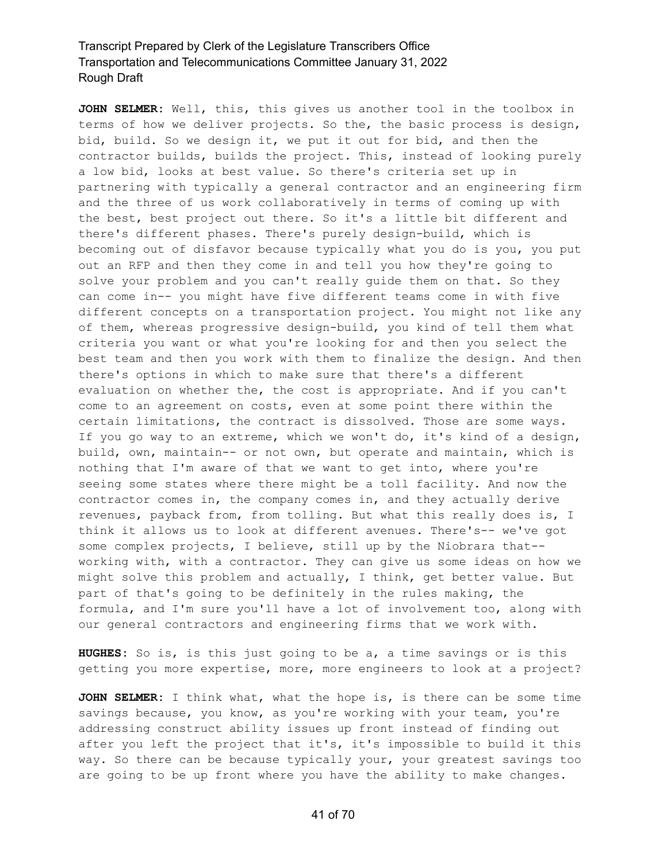**JOHN SELMER:** Well, this, this gives us another tool in the toolbox in terms of how we deliver projects. So the, the basic process is design, bid, build. So we design it, we put it out for bid, and then the contractor builds, builds the project. This, instead of looking purely a low bid, looks at best value. So there's criteria set up in partnering with typically a general contractor and an engineering firm and the three of us work collaboratively in terms of coming up with the best, best project out there. So it's a little bit different and there's different phases. There's purely design-build, which is becoming out of disfavor because typically what you do is you, you put out an RFP and then they come in and tell you how they're going to solve your problem and you can't really guide them on that. So they can come in-- you might have five different teams come in with five different concepts on a transportation project. You might not like any of them, whereas progressive design-build, you kind of tell them what criteria you want or what you're looking for and then you select the best team and then you work with them to finalize the design. And then there's options in which to make sure that there's a different evaluation on whether the, the cost is appropriate. And if you can't come to an agreement on costs, even at some point there within the certain limitations, the contract is dissolved. Those are some ways. If you go way to an extreme, which we won't do, it's kind of a design, build, own, maintain-- or not own, but operate and maintain, which is nothing that I'm aware of that we want to get into, where you're seeing some states where there might be a toll facility. And now the contractor comes in, the company comes in, and they actually derive revenues, payback from, from tolling. But what this really does is, I think it allows us to look at different avenues. There's-- we've got some complex projects, I believe, still up by the Niobrara that- working with, with a contractor. They can give us some ideas on how we might solve this problem and actually, I think, get better value. But part of that's going to be definitely in the rules making, the formula, and I'm sure you'll have a lot of involvement too, along with our general contractors and engineering firms that we work with.

**HUGHES:** So is, is this just going to be a, a time savings or is this getting you more expertise, more, more engineers to look at a project?

**JOHN SELMER:** I think what, what the hope is, is there can be some time savings because, you know, as you're working with your team, you're addressing construct ability issues up front instead of finding out after you left the project that it's, it's impossible to build it this way. So there can be because typically your, your greatest savings too are going to be up front where you have the ability to make changes.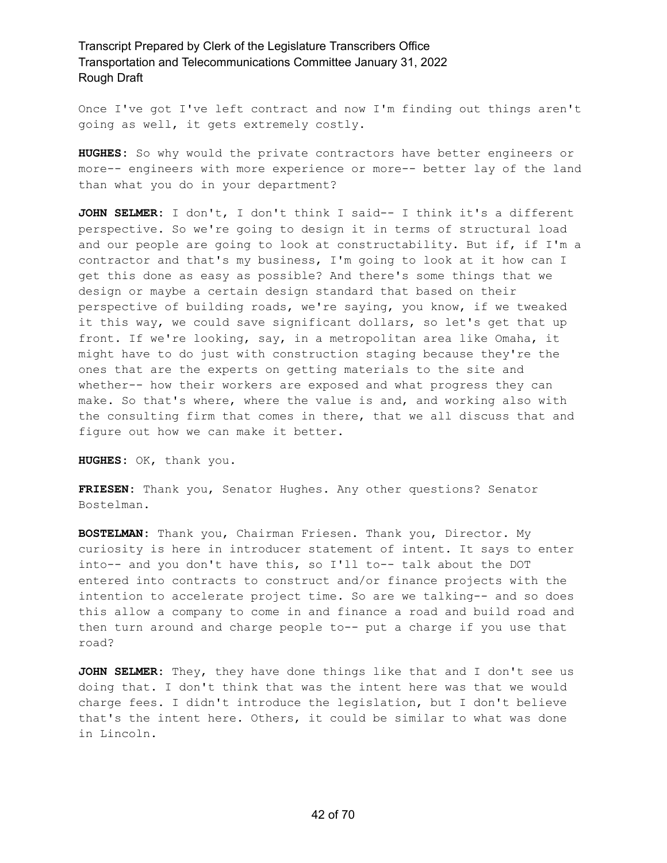Once I've got I've left contract and now I'm finding out things aren't going as well, it gets extremely costly.

**HUGHES:** So why would the private contractors have better engineers or more-- engineers with more experience or more-- better lay of the land than what you do in your department?

**JOHN SELMER:** I don't, I don't think I said-- I think it's a different perspective. So we're going to design it in terms of structural load and our people are going to look at constructability. But if, if I'm a contractor and that's my business, I'm going to look at it how can I get this done as easy as possible? And there's some things that we design or maybe a certain design standard that based on their perspective of building roads, we're saying, you know, if we tweaked it this way, we could save significant dollars, so let's get that up front. If we're looking, say, in a metropolitan area like Omaha, it might have to do just with construction staging because they're the ones that are the experts on getting materials to the site and whether-- how their workers are exposed and what progress they can make. So that's where, where the value is and, and working also with the consulting firm that comes in there, that we all discuss that and figure out how we can make it better.

**HUGHES:** OK, thank you.

**FRIESEN:** Thank you, Senator Hughes. Any other questions? Senator Bostelman.

**BOSTELMAN:** Thank you, Chairman Friesen. Thank you, Director. My curiosity is here in introducer statement of intent. It says to enter into-- and you don't have this, so I'll to-- talk about the DOT entered into contracts to construct and/or finance projects with the intention to accelerate project time. So are we talking-- and so does this allow a company to come in and finance a road and build road and then turn around and charge people to-- put a charge if you use that road?

**JOHN SELMER:** They, they have done things like that and I don't see us doing that. I don't think that was the intent here was that we would charge fees. I didn't introduce the legislation, but I don't believe that's the intent here. Others, it could be similar to what was done in Lincoln.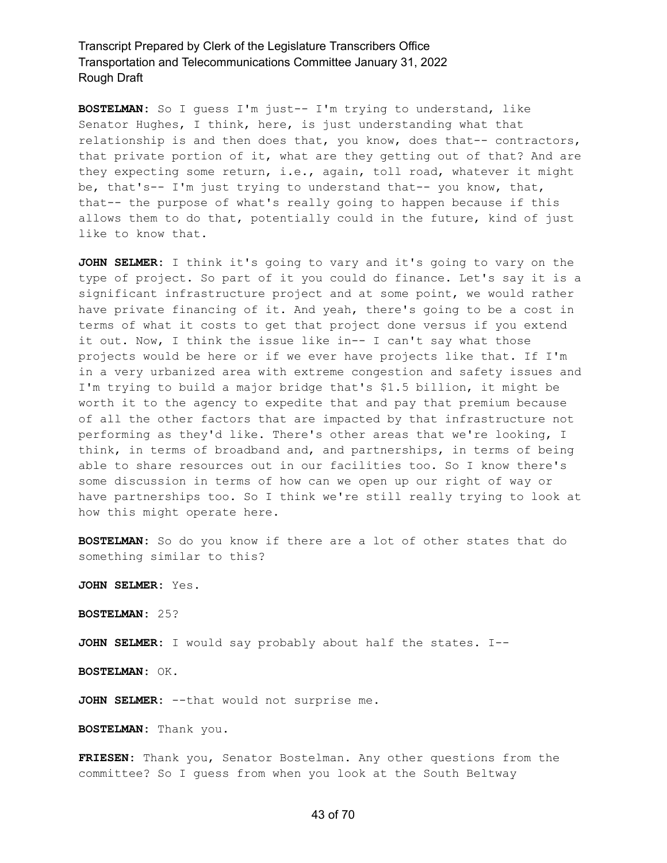**BOSTELMAN:** So I guess I'm just-- I'm trying to understand, like Senator Hughes, I think, here, is just understanding what that relationship is and then does that, you know, does that-- contractors, that private portion of it, what are they getting out of that? And are they expecting some return, i.e., again, toll road, whatever it might be, that's-- I'm just trying to understand that-- you know, that, that-- the purpose of what's really going to happen because if this allows them to do that, potentially could in the future, kind of just like to know that.

**JOHN SELMER:** I think it's going to vary and it's going to vary on the type of project. So part of it you could do finance. Let's say it is a significant infrastructure project and at some point, we would rather have private financing of it. And yeah, there's going to be a cost in terms of what it costs to get that project done versus if you extend it out. Now, I think the issue like in-- I can't say what those projects would be here or if we ever have projects like that. If I'm in a very urbanized area with extreme congestion and safety issues and I'm trying to build a major bridge that's \$1.5 billion, it might be worth it to the agency to expedite that and pay that premium because of all the other factors that are impacted by that infrastructure not performing as they'd like. There's other areas that we're looking, I think, in terms of broadband and, and partnerships, in terms of being able to share resources out in our facilities too. So I know there's some discussion in terms of how can we open up our right of way or have partnerships too. So I think we're still really trying to look at how this might operate here.

**BOSTELMAN:** So do you know if there are a lot of other states that do something similar to this?

**JOHN SELMER:** Yes.

**BOSTELMAN:** 25?

**JOHN SELMER:** I would say probably about half the states. I--

**BOSTELMAN:** OK.

**JOHN SELMER:** --that would not surprise me.

**BOSTELMAN:** Thank you.

**FRIESEN:** Thank you, Senator Bostelman. Any other questions from the committee? So I guess from when you look at the South Beltway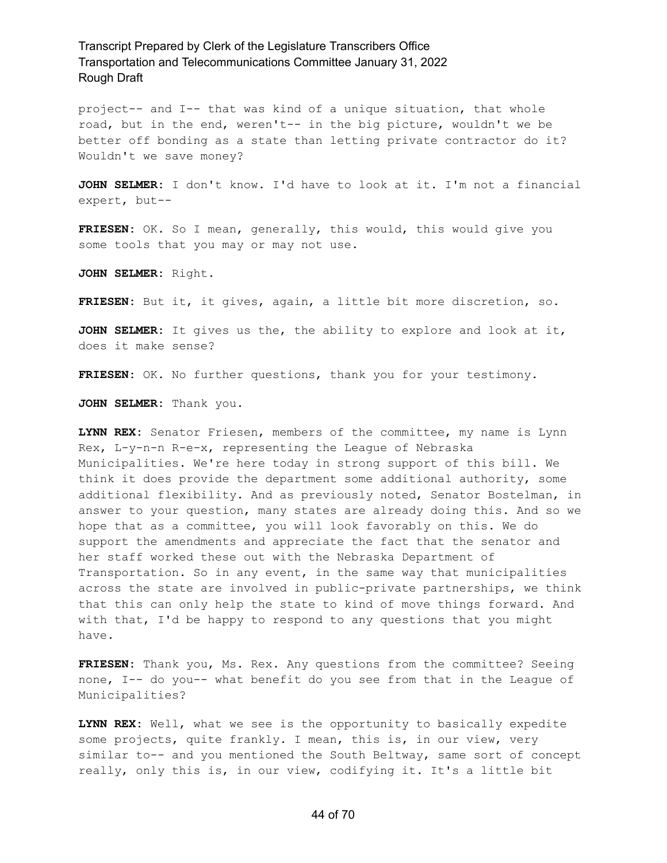project-- and I-- that was kind of a unique situation, that whole road, but in the end, weren't-- in the big picture, wouldn't we be better off bonding as a state than letting private contractor do it? Wouldn't we save money?

**JOHN SELMER:** I don't know. I'd have to look at it. I'm not a financial expert, but--

**FRIESEN:** OK. So I mean, generally, this would, this would give you some tools that you may or may not use.

**JOHN SELMER:** Right.

**FRIESEN:** But it, it gives, again, a little bit more discretion, so.

**JOHN SELMER:** It gives us the, the ability to explore and look at it, does it make sense?

**FRIESEN:** OK. No further questions, thank you for your testimony.

**JOHN SELMER:** Thank you.

**LYNN REX:** Senator Friesen, members of the committee, my name is Lynn Rex, L-y-n-n R-e-x, representing the League of Nebraska Municipalities. We're here today in strong support of this bill. We think it does provide the department some additional authority, some additional flexibility. And as previously noted, Senator Bostelman, in answer to your question, many states are already doing this. And so we hope that as a committee, you will look favorably on this. We do support the amendments and appreciate the fact that the senator and her staff worked these out with the Nebraska Department of Transportation. So in any event, in the same way that municipalities across the state are involved in public-private partnerships, we think that this can only help the state to kind of move things forward. And with that, I'd be happy to respond to any questions that you might have.

**FRIESEN:** Thank you, Ms. Rex. Any questions from the committee? Seeing none, I-- do you-- what benefit do you see from that in the League of Municipalities?

**LYNN REX:** Well, what we see is the opportunity to basically expedite some projects, quite frankly. I mean, this is, in our view, very similar to-- and you mentioned the South Beltway, same sort of concept really, only this is, in our view, codifying it. It's a little bit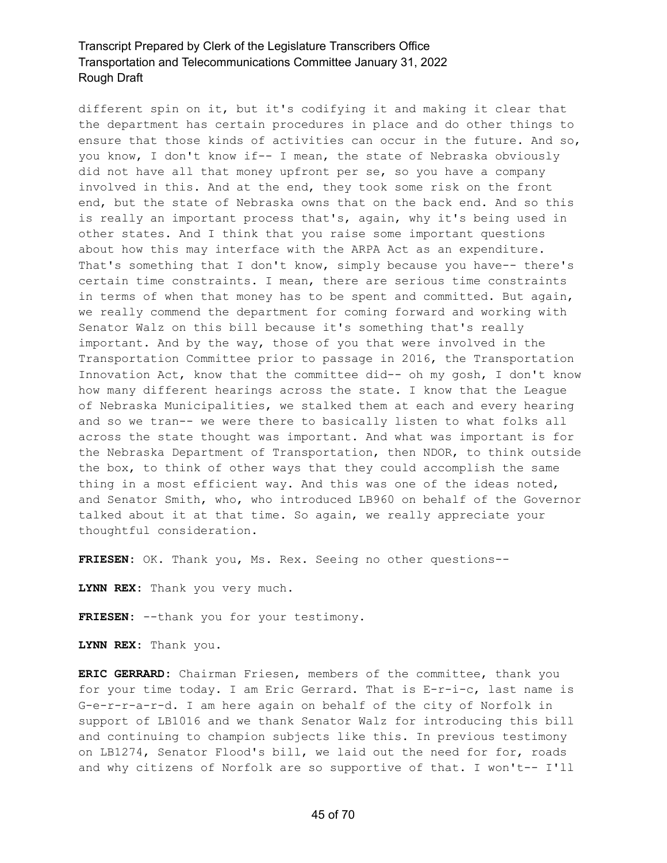different spin on it, but it's codifying it and making it clear that the department has certain procedures in place and do other things to ensure that those kinds of activities can occur in the future. And so, you know, I don't know if-- I mean, the state of Nebraska obviously did not have all that money upfront per se, so you have a company involved in this. And at the end, they took some risk on the front end, but the state of Nebraska owns that on the back end. And so this is really an important process that's, again, why it's being used in other states. And I think that you raise some important questions about how this may interface with the ARPA Act as an expenditure. That's something that I don't know, simply because you have-- there's certain time constraints. I mean, there are serious time constraints in terms of when that money has to be spent and committed. But again, we really commend the department for coming forward and working with Senator Walz on this bill because it's something that's really important. And by the way, those of you that were involved in the Transportation Committee prior to passage in 2016, the Transportation Innovation Act, know that the committee did-- oh my gosh, I don't know how many different hearings across the state. I know that the League of Nebraska Municipalities, we stalked them at each and every hearing and so we tran-- we were there to basically listen to what folks all across the state thought was important. And what was important is for the Nebraska Department of Transportation, then NDOR, to think outside the box, to think of other ways that they could accomplish the same thing in a most efficient way. And this was one of the ideas noted, and Senator Smith, who, who introduced LB960 on behalf of the Governor talked about it at that time. So again, we really appreciate your thoughtful consideration.

**FRIESEN:** OK. Thank you, Ms. Rex. Seeing no other questions--

**LYNN REX:** Thank you very much.

**FRIESEN:** --thank you for your testimony.

**LYNN REX:** Thank you.

**ERIC GERRARD:** Chairman Friesen, members of the committee, thank you for your time today. I am Eric Gerrard. That is E-r-i-c, last name is G-e-r-r-a-r-d. I am here again on behalf of the city of Norfolk in support of LB1016 and we thank Senator Walz for introducing this bill and continuing to champion subjects like this. In previous testimony on LB1274, Senator Flood's bill, we laid out the need for for, roads and why citizens of Norfolk are so supportive of that. I won't-- I'll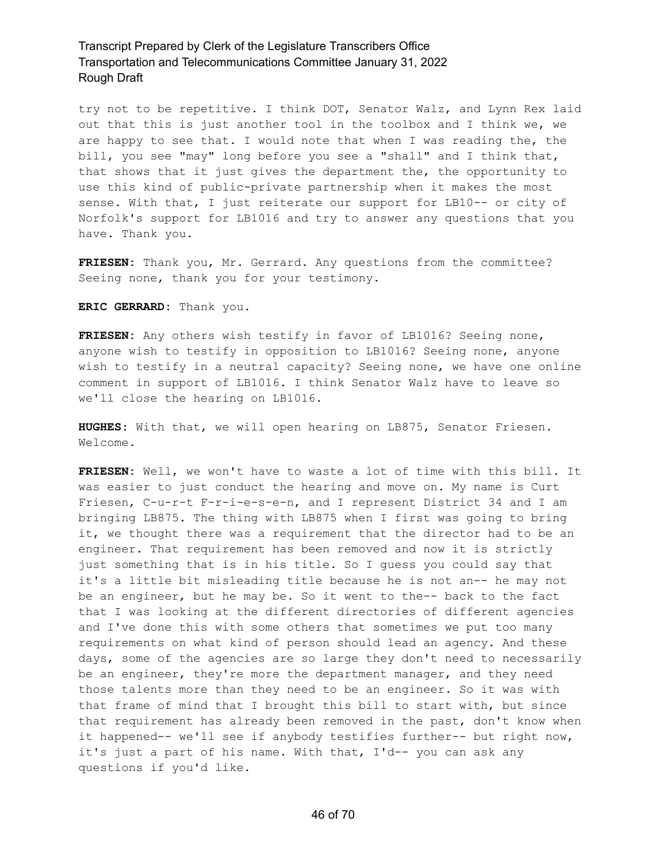try not to be repetitive. I think DOT, Senator Walz, and Lynn Rex laid out that this is just another tool in the toolbox and I think we, we are happy to see that. I would note that when I was reading the, the bill, you see "may" long before you see a "shall" and I think that, that shows that it just gives the department the, the opportunity to use this kind of public-private partnership when it makes the most sense. With that, I just reiterate our support for LB10-- or city of Norfolk's support for LB1016 and try to answer any questions that you have. Thank you.

**FRIESEN:** Thank you, Mr. Gerrard. Any questions from the committee? Seeing none, thank you for your testimony.

**ERIC GERRARD:** Thank you.

**FRIESEN:** Any others wish testify in favor of LB1016? Seeing none, anyone wish to testify in opposition to LB1016? Seeing none, anyone wish to testify in a neutral capacity? Seeing none, we have one online comment in support of LB1016. I think Senator Walz have to leave so we'll close the hearing on LB1016.

**HUGHES:** With that, we will open hearing on LB875, Senator Friesen. Welcome.

**FRIESEN:** Well, we won't have to waste a lot of time with this bill. It was easier to just conduct the hearing and move on. My name is Curt Friesen, C-u-r-t F-r-i-e-s-e-n, and I represent District 34 and I am bringing LB875. The thing with LB875 when I first was going to bring it, we thought there was a requirement that the director had to be an engineer. That requirement has been removed and now it is strictly just something that is in his title. So I guess you could say that it's a little bit misleading title because he is not an-- he may not be an engineer, but he may be. So it went to the-- back to the fact that I was looking at the different directories of different agencies and I've done this with some others that sometimes we put too many requirements on what kind of person should lead an agency. And these days, some of the agencies are so large they don't need to necessarily be an engineer, they're more the department manager, and they need those talents more than they need to be an engineer. So it was with that frame of mind that I brought this bill to start with, but since that requirement has already been removed in the past, don't know when it happened-- we'll see if anybody testifies further-- but right now, it's just a part of his name. With that, I'd-- you can ask any questions if you'd like.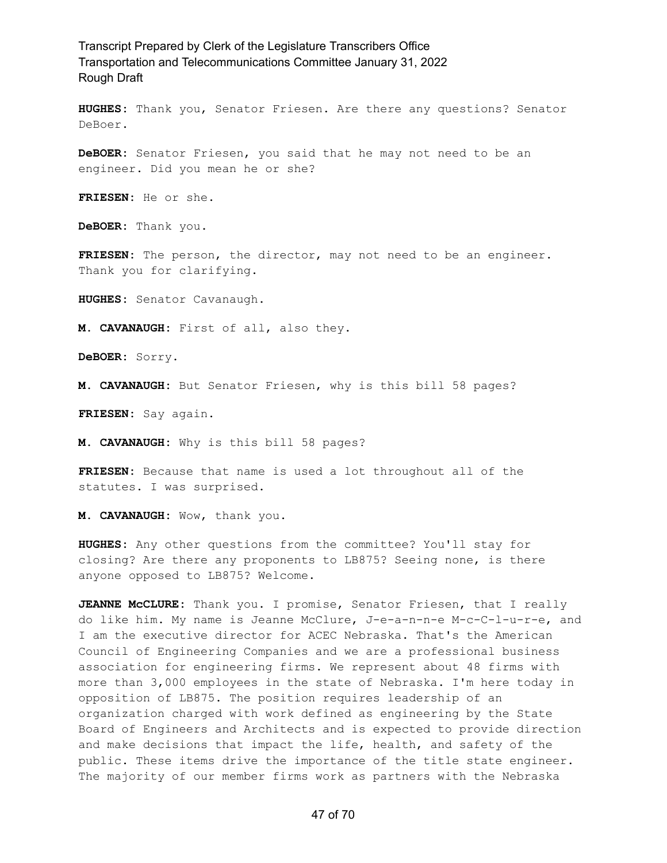**HUGHES:** Thank you, Senator Friesen. Are there any questions? Senator DeBoer.

**DeBOER:** Senator Friesen, you said that he may not need to be an engineer. Did you mean he or she?

**FRIESEN:** He or she.

**DeBOER:** Thank you.

FRIESEN: The person, the director, may not need to be an engineer. Thank you for clarifying.

**HUGHES:** Senator Cavanaugh.

**M. CAVANAUGH:** First of all, also they.

**DeBOER:** Sorry.

**M. CAVANAUGH:** But Senator Friesen, why is this bill 58 pages?

**FRIESEN:** Say again.

**M. CAVANAUGH:** Why is this bill 58 pages?

**FRIESEN:** Because that name is used a lot throughout all of the statutes. I was surprised.

**M. CAVANAUGH:** Wow, thank you.

**HUGHES:** Any other questions from the committee? You'll stay for closing? Are there any proponents to LB875? Seeing none, is there anyone opposed to LB875? Welcome.

**JEANNE McCLURE:** Thank you. I promise, Senator Friesen, that I really do like him. My name is Jeanne McClure, J-e-a-n-n-e M-c-C-l-u-r-e, and I am the executive director for ACEC Nebraska. That's the American Council of Engineering Companies and we are a professional business association for engineering firms. We represent about 48 firms with more than 3,000 employees in the state of Nebraska. I'm here today in opposition of LB875. The position requires leadership of an organization charged with work defined as engineering by the State Board of Engineers and Architects and is expected to provide direction and make decisions that impact the life, health, and safety of the public. These items drive the importance of the title state engineer. The majority of our member firms work as partners with the Nebraska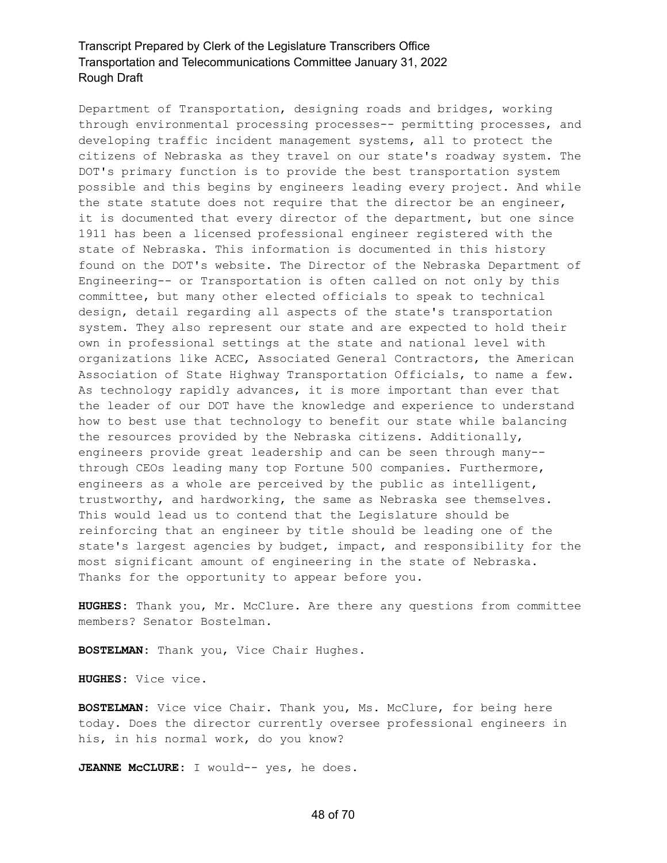Department of Transportation, designing roads and bridges, working through environmental processing processes-- permitting processes, and developing traffic incident management systems, all to protect the citizens of Nebraska as they travel on our state's roadway system. The DOT's primary function is to provide the best transportation system possible and this begins by engineers leading every project. And while the state statute does not require that the director be an engineer, it is documented that every director of the department, but one since 1911 has been a licensed professional engineer registered with the state of Nebraska. This information is documented in this history found on the DOT's website. The Director of the Nebraska Department of Engineering-- or Transportation is often called on not only by this committee, but many other elected officials to speak to technical design, detail regarding all aspects of the state's transportation system. They also represent our state and are expected to hold their own in professional settings at the state and national level with organizations like ACEC, Associated General Contractors, the American Association of State Highway Transportation Officials, to name a few. As technology rapidly advances, it is more important than ever that the leader of our DOT have the knowledge and experience to understand how to best use that technology to benefit our state while balancing the resources provided by the Nebraska citizens. Additionally, engineers provide great leadership and can be seen through many- through CEOs leading many top Fortune 500 companies. Furthermore, engineers as a whole are perceived by the public as intelligent, trustworthy, and hardworking, the same as Nebraska see themselves. This would lead us to contend that the Legislature should be reinforcing that an engineer by title should be leading one of the state's largest agencies by budget, impact, and responsibility for the most significant amount of engineering in the state of Nebraska. Thanks for the opportunity to appear before you.

**HUGHES:** Thank you, Mr. McClure. Are there any questions from committee members? Senator Bostelman.

**BOSTELMAN:** Thank you, Vice Chair Hughes.

**HUGHES:** Vice vice.

**BOSTELMAN:** Vice vice Chair. Thank you, Ms. McClure, for being here today. Does the director currently oversee professional engineers in his, in his normal work, do you know?

**JEANNE McCLURE:** I would-- yes, he does.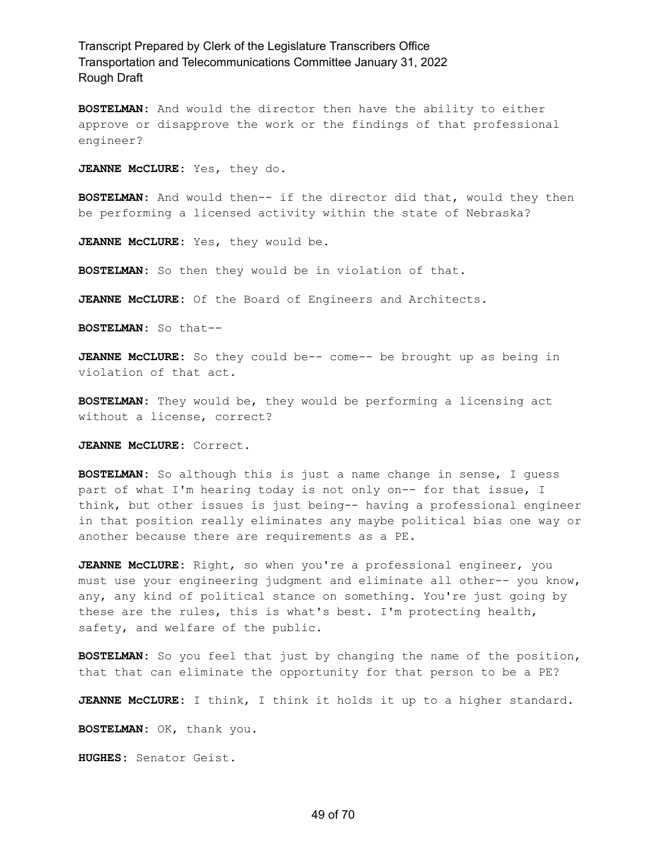**BOSTELMAN:** And would the director then have the ability to either approve or disapprove the work or the findings of that professional engineer?

**JEANNE McCLURE:** Yes, they do.

**BOSTELMAN:** And would then-- if the director did that, would they then be performing a licensed activity within the state of Nebraska?

**JEANNE McCLURE:** Yes, they would be.

**BOSTELMAN:** So then they would be in violation of that.

**JEANNE McCLURE:** Of the Board of Engineers and Architects.

**BOSTELMAN:** So that--

**JEANNE McCLURE:** So they could be-- come-- be brought up as being in violation of that act.

**BOSTELMAN:** They would be, they would be performing a licensing act without a license, correct?

**JEANNE McCLURE:** Correct.

**BOSTELMAN:** So although this is just a name change in sense, I guess part of what I'm hearing today is not only on-- for that issue, I think, but other issues is just being-- having a professional engineer in that position really eliminates any maybe political bias one way or another because there are requirements as a PE.

**JEANNE McCLURE:** Right, so when you're a professional engineer, you must use your engineering judgment and eliminate all other-- you know, any, any kind of political stance on something. You're just going by these are the rules, this is what's best. I'm protecting health, safety, and welfare of the public.

**BOSTELMAN:** So you feel that just by changing the name of the position, that that can eliminate the opportunity for that person to be a PE?

**JEANNE McCLURE:** I think, I think it holds it up to a higher standard.

**BOSTELMAN:** OK, thank you.

**HUGHES:** Senator Geist.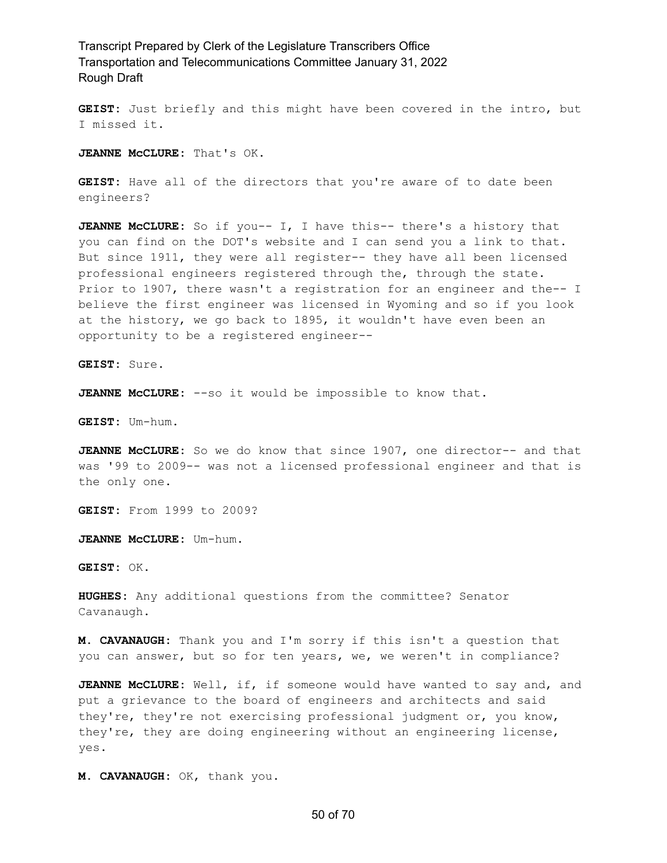**GEIST:** Just briefly and this might have been covered in the intro, but I missed it.

**JEANNE McCLURE:** That's OK.

**GEIST:** Have all of the directors that you're aware of to date been engineers?

**JEANNE McCLURE:** So if you-- I, I have this-- there's a history that you can find on the DOT's website and I can send you a link to that. But since 1911, they were all register-- they have all been licensed professional engineers registered through the, through the state. Prior to 1907, there wasn't a registration for an engineer and the-- I believe the first engineer was licensed in Wyoming and so if you look at the history, we go back to 1895, it wouldn't have even been an opportunity to be a registered engineer--

**GEIST:** Sure.

**JEANNE McCLURE:** --so it would be impossible to know that.

**GEIST:** Um-hum.

**JEANNE McCLURE:** So we do know that since 1907, one director-- and that was '99 to 2009-- was not a licensed professional engineer and that is the only one.

**GEIST:** From 1999 to 2009?

**JEANNE McCLURE:** Um-hum.

**GEIST:** OK.

**HUGHES:** Any additional questions from the committee? Senator Cavanaugh.

**M. CAVANAUGH:** Thank you and I'm sorry if this isn't a question that you can answer, but so for ten years, we, we weren't in compliance?

**JEANNE McCLURE:** Well, if, if someone would have wanted to say and, and put a grievance to the board of engineers and architects and said they're, they're not exercising professional judgment or, you know, they're, they are doing engineering without an engineering license, yes.

**M. CAVANAUGH:** OK, thank you.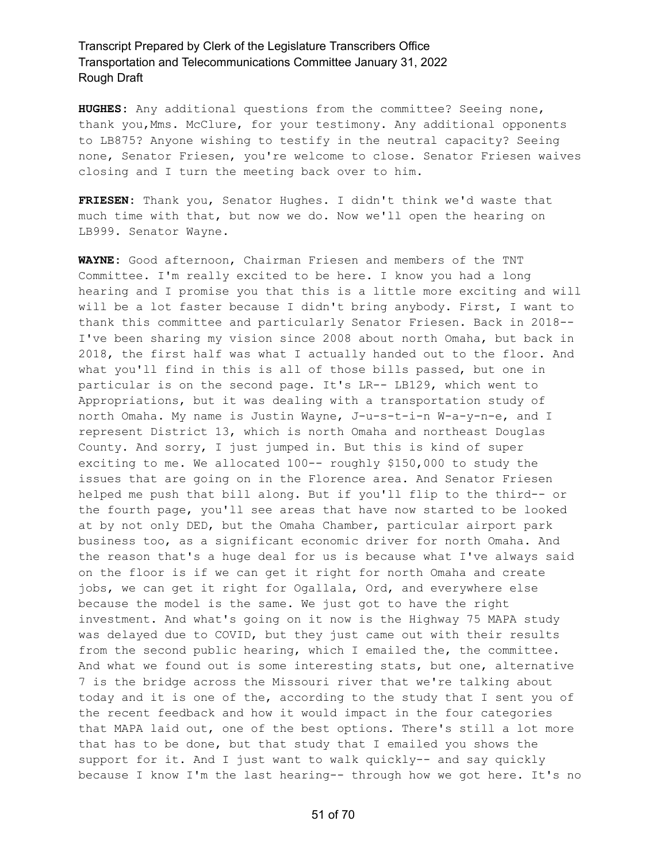**HUGHES:** Any additional questions from the committee? Seeing none, thank you,Mms. McClure, for your testimony. Any additional opponents to LB875? Anyone wishing to testify in the neutral capacity? Seeing none, Senator Friesen, you're welcome to close. Senator Friesen waives closing and I turn the meeting back over to him.

**FRIESEN:** Thank you, Senator Hughes. I didn't think we'd waste that much time with that, but now we do. Now we'll open the hearing on LB999. Senator Wayne.

**WAYNE:** Good afternoon, Chairman Friesen and members of the TNT Committee. I'm really excited to be here. I know you had a long hearing and I promise you that this is a little more exciting and will will be a lot faster because I didn't bring anybody. First, I want to thank this committee and particularly Senator Friesen. Back in 2018-- I've been sharing my vision since 2008 about north Omaha, but back in 2018, the first half was what I actually handed out to the floor. And what you'll find in this is all of those bills passed, but one in particular is on the second page. It's LR-- LB129, which went to Appropriations, but it was dealing with a transportation study of north Omaha. My name is Justin Wayne, J-u-s-t-i-n W-a-y-n-e, and I represent District 13, which is north Omaha and northeast Douglas County. And sorry, I just jumped in. But this is kind of super exciting to me. We allocated 100-- roughly \$150,000 to study the issues that are going on in the Florence area. And Senator Friesen helped me push that bill along. But if you'll flip to the third-- or the fourth page, you'll see areas that have now started to be looked at by not only DED, but the Omaha Chamber, particular airport park business too, as a significant economic driver for north Omaha. And the reason that's a huge deal for us is because what I've always said on the floor is if we can get it right for north Omaha and create jobs, we can get it right for Ogallala, Ord, and everywhere else because the model is the same. We just got to have the right investment. And what's going on it now is the Highway 75 MAPA study was delayed due to COVID, but they just came out with their results from the second public hearing, which I emailed the, the committee. And what we found out is some interesting stats, but one, alternative 7 is the bridge across the Missouri river that we're talking about today and it is one of the, according to the study that I sent you of the recent feedback and how it would impact in the four categories that MAPA laid out, one of the best options. There's still a lot more that has to be done, but that study that I emailed you shows the support for it. And I just want to walk quickly-- and say quickly because I know I'm the last hearing-- through how we got here. It's no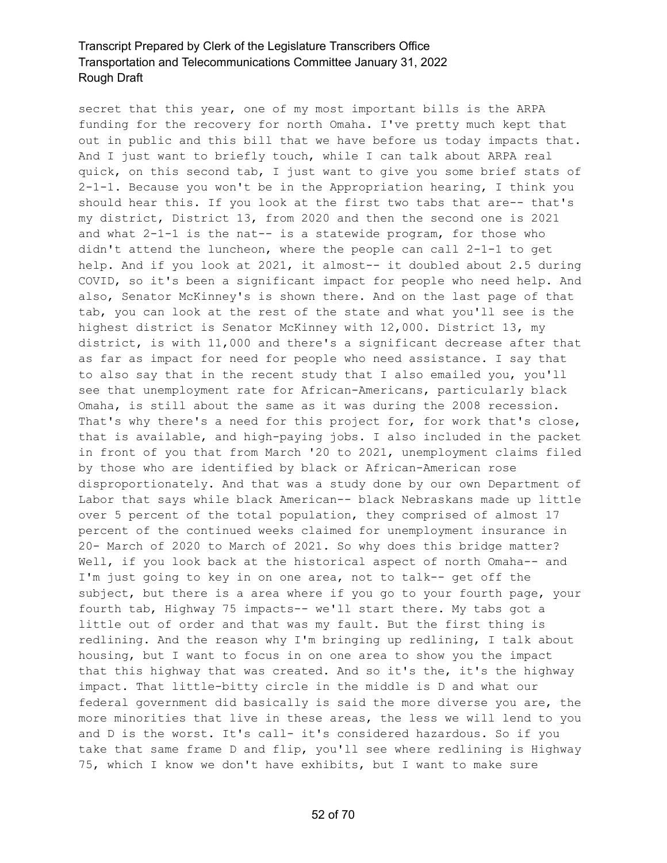secret that this year, one of my most important bills is the ARPA funding for the recovery for north Omaha. I've pretty much kept that out in public and this bill that we have before us today impacts that. And I just want to briefly touch, while I can talk about ARPA real quick, on this second tab, I just want to give you some brief stats of  $2-1-1$ . Because you won't be in the Appropriation hearing, I think you should hear this. If you look at the first two tabs that are-- that's my district, District 13, from 2020 and then the second one is 2021 and what 2-1-1 is the nat-- is a statewide program, for those who didn't attend the luncheon, where the people can call 2-1-1 to get help. And if you look at 2021, it almost-- it doubled about 2.5 during COVID, so it's been a significant impact for people who need help. And also, Senator McKinney's is shown there. And on the last page of that tab, you can look at the rest of the state and what you'll see is the highest district is Senator McKinney with 12,000. District 13, my district, is with 11,000 and there's a significant decrease after that as far as impact for need for people who need assistance. I say that to also say that in the recent study that I also emailed you, you'll see that unemployment rate for African-Americans, particularly black Omaha, is still about the same as it was during the 2008 recession. That's why there's a need for this project for, for work that's close, that is available, and high-paying jobs. I also included in the packet in front of you that from March '20 to 2021, unemployment claims filed by those who are identified by black or African-American rose disproportionately. And that was a study done by our own Department of Labor that says while black American-- black Nebraskans made up little over 5 percent of the total population, they comprised of almost 17 percent of the continued weeks claimed for unemployment insurance in 20- March of 2020 to March of 2021. So why does this bridge matter? Well, if you look back at the historical aspect of north Omaha-- and I'm just going to key in on one area, not to talk-- get off the subject, but there is a area where if you go to your fourth page, your fourth tab, Highway 75 impacts-- we'll start there. My tabs got a little out of order and that was my fault. But the first thing is redlining. And the reason why I'm bringing up redlining, I talk about housing, but I want to focus in on one area to show you the impact that this highway that was created. And so it's the, it's the highway impact. That little-bitty circle in the middle is D and what our federal government did basically is said the more diverse you are, the more minorities that live in these areas, the less we will lend to you and D is the worst. It's call- it's considered hazardous. So if you take that same frame D and flip, you'll see where redlining is Highway 75, which I know we don't have exhibits, but I want to make sure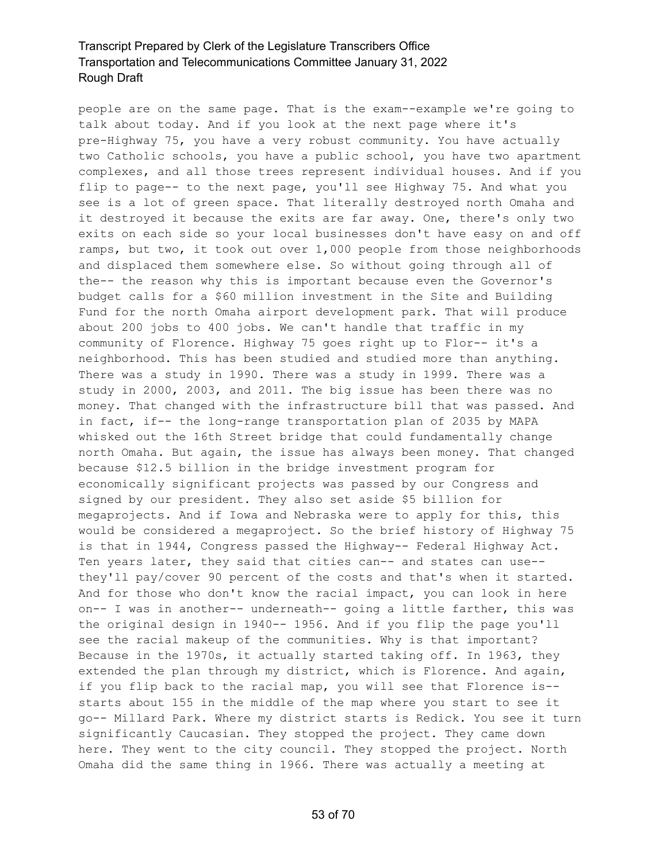people are on the same page. That is the exam--example we're going to talk about today. And if you look at the next page where it's pre-Highway 75, you have a very robust community. You have actually two Catholic schools, you have a public school, you have two apartment complexes, and all those trees represent individual houses. And if you flip to page-- to the next page, you'll see Highway 75. And what you see is a lot of green space. That literally destroyed north Omaha and it destroyed it because the exits are far away. One, there's only two exits on each side so your local businesses don't have easy on and off ramps, but two, it took out over 1,000 people from those neighborhoods and displaced them somewhere else. So without going through all of the-- the reason why this is important because even the Governor's budget calls for a \$60 million investment in the Site and Building Fund for the north Omaha airport development park. That will produce about 200 jobs to 400 jobs. We can't handle that traffic in my community of Florence. Highway 75 goes right up to Flor-- it's a neighborhood. This has been studied and studied more than anything. There was a study in 1990. There was a study in 1999. There was a study in 2000, 2003, and 2011. The big issue has been there was no money. That changed with the infrastructure bill that was passed. And in fact, if-- the long-range transportation plan of 2035 by MAPA whisked out the 16th Street bridge that could fundamentally change north Omaha. But again, the issue has always been money. That changed because \$12.5 billion in the bridge investment program for economically significant projects was passed by our Congress and signed by our president. They also set aside \$5 billion for megaprojects. And if Iowa and Nebraska were to apply for this, this would be considered a megaproject. So the brief history of Highway 75 is that in 1944, Congress passed the Highway-- Federal Highway Act. Ten years later, they said that cities can-- and states can use- they'll pay/cover 90 percent of the costs and that's when it started. And for those who don't know the racial impact, you can look in here on-- I was in another-- underneath-- going a little farther, this was the original design in 1940-- 1956. And if you flip the page you'll see the racial makeup of the communities. Why is that important? Because in the 1970s, it actually started taking off. In 1963, they extended the plan through my district, which is Florence. And again, if you flip back to the racial map, you will see that Florence is- starts about 155 in the middle of the map where you start to see it go-- Millard Park. Where my district starts is Redick. You see it turn significantly Caucasian. They stopped the project. They came down here. They went to the city council. They stopped the project. North Omaha did the same thing in 1966. There was actually a meeting at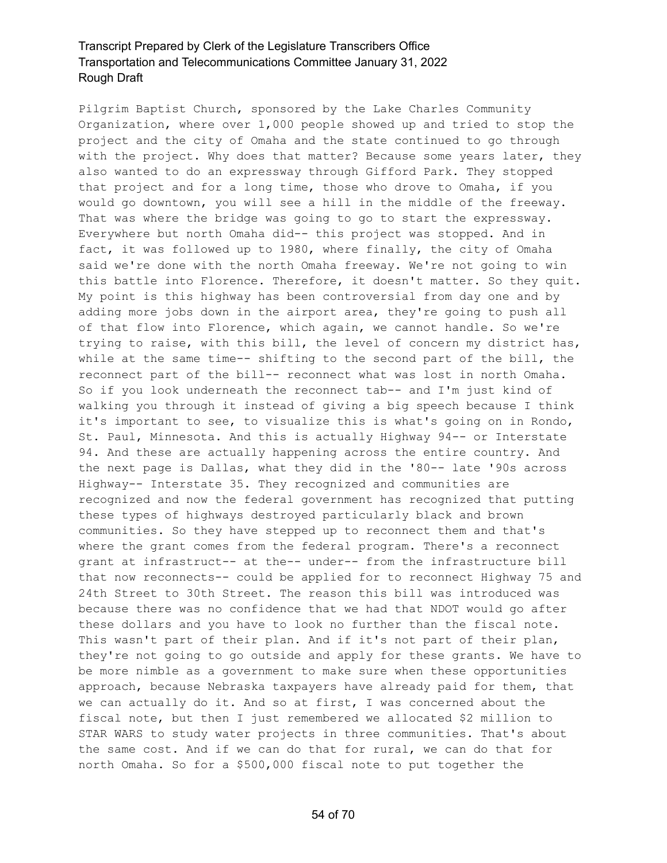Pilgrim Baptist Church, sponsored by the Lake Charles Community Organization, where over 1,000 people showed up and tried to stop the project and the city of Omaha and the state continued to go through with the project. Why does that matter? Because some years later, they also wanted to do an expressway through Gifford Park. They stopped that project and for a long time, those who drove to Omaha, if you would go downtown, you will see a hill in the middle of the freeway. That was where the bridge was going to go to start the expressway. Everywhere but north Omaha did-- this project was stopped. And in fact, it was followed up to 1980, where finally, the city of Omaha said we're done with the north Omaha freeway. We're not going to win this battle into Florence. Therefore, it doesn't matter. So they quit. My point is this highway has been controversial from day one and by adding more jobs down in the airport area, they're going to push all of that flow into Florence, which again, we cannot handle. So we're trying to raise, with this bill, the level of concern my district has, while at the same time-- shifting to the second part of the bill, the reconnect part of the bill-- reconnect what was lost in north Omaha. So if you look underneath the reconnect tab-- and I'm just kind of walking you through it instead of giving a big speech because I think it's important to see, to visualize this is what's going on in Rondo, St. Paul, Minnesota. And this is actually Highway 94-- or Interstate 94. And these are actually happening across the entire country. And the next page is Dallas, what they did in the '80-- late '90s across Highway-- Interstate 35. They recognized and communities are recognized and now the federal government has recognized that putting these types of highways destroyed particularly black and brown communities. So they have stepped up to reconnect them and that's where the grant comes from the federal program. There's a reconnect grant at infrastruct-- at the-- under-- from the infrastructure bill that now reconnects-- could be applied for to reconnect Highway 75 and 24th Street to 30th Street. The reason this bill was introduced was because there was no confidence that we had that NDOT would go after these dollars and you have to look no further than the fiscal note. This wasn't part of their plan. And if it's not part of their plan, they're not going to go outside and apply for these grants. We have to be more nimble as a government to make sure when these opportunities approach, because Nebraska taxpayers have already paid for them, that we can actually do it. And so at first, I was concerned about the fiscal note, but then I just remembered we allocated \$2 million to STAR WARS to study water projects in three communities. That's about the same cost. And if we can do that for rural, we can do that for north Omaha. So for a \$500,000 fiscal note to put together the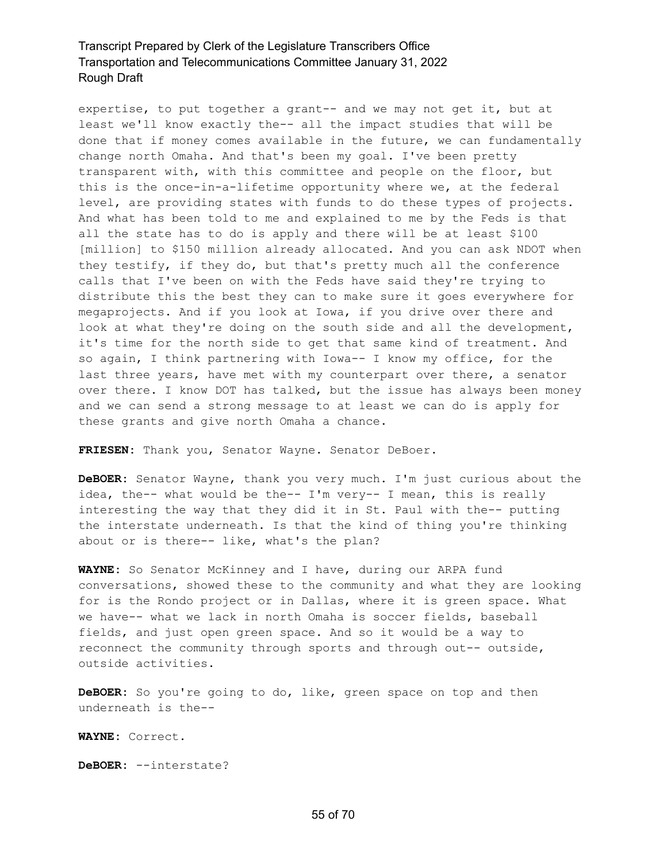expertise, to put together a grant-- and we may not get it, but at least we'll know exactly the-- all the impact studies that will be done that if money comes available in the future, we can fundamentally change north Omaha. And that's been my goal. I've been pretty transparent with, with this committee and people on the floor, but this is the once-in-a-lifetime opportunity where we, at the federal level, are providing states with funds to do these types of projects. And what has been told to me and explained to me by the Feds is that all the state has to do is apply and there will be at least \$100 [million] to \$150 million already allocated. And you can ask NDOT when they testify, if they do, but that's pretty much all the conference calls that I've been on with the Feds have said they're trying to distribute this the best they can to make sure it goes everywhere for megaprojects. And if you look at Iowa, if you drive over there and look at what they're doing on the south side and all the development, it's time for the north side to get that same kind of treatment. And so again, I think partnering with Iowa-- I know my office, for the last three years, have met with my counterpart over there, a senator over there. I know DOT has talked, but the issue has always been money and we can send a strong message to at least we can do is apply for these grants and give north Omaha a chance.

**FRIESEN:** Thank you, Senator Wayne. Senator DeBoer.

**DeBOER:** Senator Wayne, thank you very much. I'm just curious about the idea, the-- what would be the-- I'm very-- I mean, this is really interesting the way that they did it in St. Paul with the-- putting the interstate underneath. Is that the kind of thing you're thinking about or is there-- like, what's the plan?

**WAYNE:** So Senator McKinney and I have, during our ARPA fund conversations, showed these to the community and what they are looking for is the Rondo project or in Dallas, where it is green space. What we have-- what we lack in north Omaha is soccer fields, baseball fields, and just open green space. And so it would be a way to reconnect the community through sports and through out-- outside, outside activities.

**DeBOER:** So you're going to do, like, green space on top and then underneath is the--

**WAYNE:** Correct.

**DeBOER:** --interstate?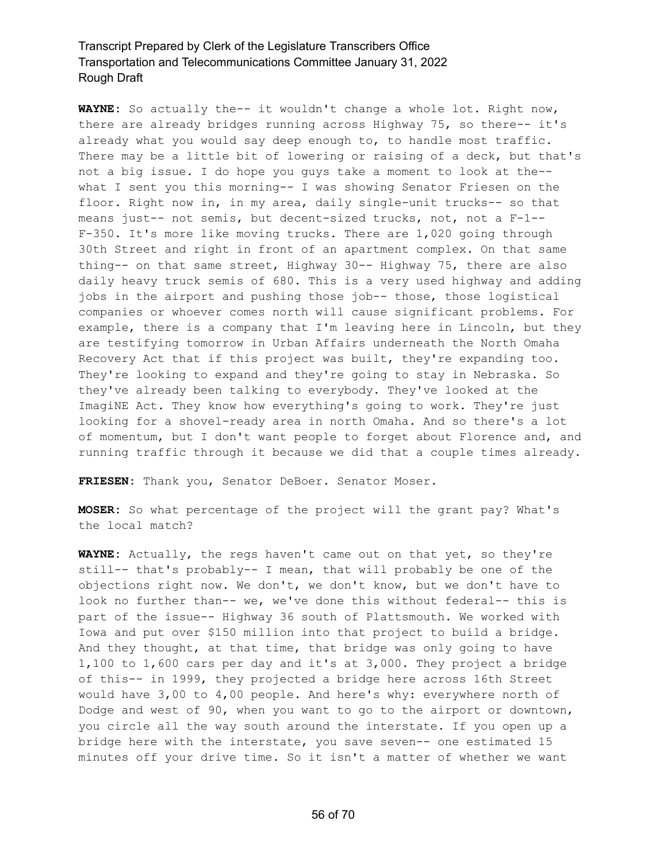**WAYNE:** So actually the-- it wouldn't change a whole lot. Right now, there are already bridges running across Highway 75, so there-- it's already what you would say deep enough to, to handle most traffic. There may be a little bit of lowering or raising of a deck, but that's not a big issue. I do hope you guys take a moment to look at the- what I sent you this morning-- I was showing Senator Friesen on the floor. Right now in, in my area, daily single-unit trucks-- so that means just-- not semis, but decent-sized trucks, not, not a F-1-- F-350. It's more like moving trucks. There are 1,020 going through 30th Street and right in front of an apartment complex. On that same thing-- on that same street, Highway 30-- Highway 75, there are also daily heavy truck semis of 680. This is a very used highway and adding jobs in the airport and pushing those job-- those, those logistical companies or whoever comes north will cause significant problems. For example, there is a company that I'm leaving here in Lincoln, but they are testifying tomorrow in Urban Affairs underneath the North Omaha Recovery Act that if this project was built, they're expanding too. They're looking to expand and they're going to stay in Nebraska. So they've already been talking to everybody. They've looked at the ImagiNE Act. They know how everything's going to work. They're just looking for a shovel-ready area in north Omaha. And so there's a lot of momentum, but I don't want people to forget about Florence and, and running traffic through it because we did that a couple times already.

**FRIESEN:** Thank you, Senator DeBoer. Senator Moser.

**MOSER:** So what percentage of the project will the grant pay? What's the local match?

**WAYNE:** Actually, the regs haven't came out on that yet, so they're still-- that's probably-- I mean, that will probably be one of the objections right now. We don't, we don't know, but we don't have to look no further than-- we, we've done this without federal-- this is part of the issue-- Highway 36 south of Plattsmouth. We worked with Iowa and put over \$150 million into that project to build a bridge. And they thought, at that time, that bridge was only going to have 1,100 to 1,600 cars per day and it's at 3,000. They project a bridge of this-- in 1999, they projected a bridge here across 16th Street would have 3,00 to 4,00 people. And here's why: everywhere north of Dodge and west of 90, when you want to go to the airport or downtown, you circle all the way south around the interstate. If you open up a bridge here with the interstate, you save seven-- one estimated 15 minutes off your drive time. So it isn't a matter of whether we want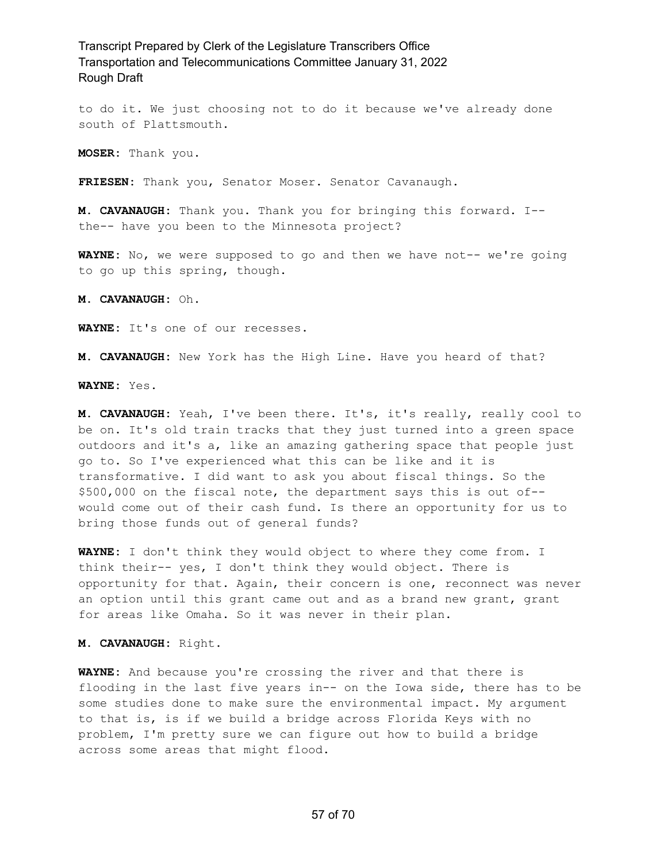to do it. We just choosing not to do it because we've already done south of Plattsmouth.

**MOSER:** Thank you.

**FRIESEN:** Thank you, Senator Moser. Senator Cavanaugh.

**M. CAVANAUGH:** Thank you. Thank you for bringing this forward. I- the-- have you been to the Minnesota project?

**WAYNE:** No, we were supposed to go and then we have not-- we're going to go up this spring, though.

**M. CAVANAUGH:** Oh.

**WAYNE:** It's one of our recesses.

**M. CAVANAUGH:** New York has the High Line. Have you heard of that?

**WAYNE:** Yes.

**M. CAVANAUGH:** Yeah, I've been there. It's, it's really, really cool to be on. It's old train tracks that they just turned into a green space outdoors and it's a, like an amazing gathering space that people just go to. So I've experienced what this can be like and it is transformative. I did want to ask you about fiscal things. So the \$500,000 on the fiscal note, the department says this is out of- would come out of their cash fund. Is there an opportunity for us to bring those funds out of general funds?

**WAYNE:** I don't think they would object to where they come from. I think their-- yes, I don't think they would object. There is opportunity for that. Again, their concern is one, reconnect was never an option until this grant came out and as a brand new grant, grant for areas like Omaha. So it was never in their plan.

**M. CAVANAUGH:** Right.

**WAYNE:** And because you're crossing the river and that there is flooding in the last five years in-- on the Iowa side, there has to be some studies done to make sure the environmental impact. My argument to that is, is if we build a bridge across Florida Keys with no problem, I'm pretty sure we can figure out how to build a bridge across some areas that might flood.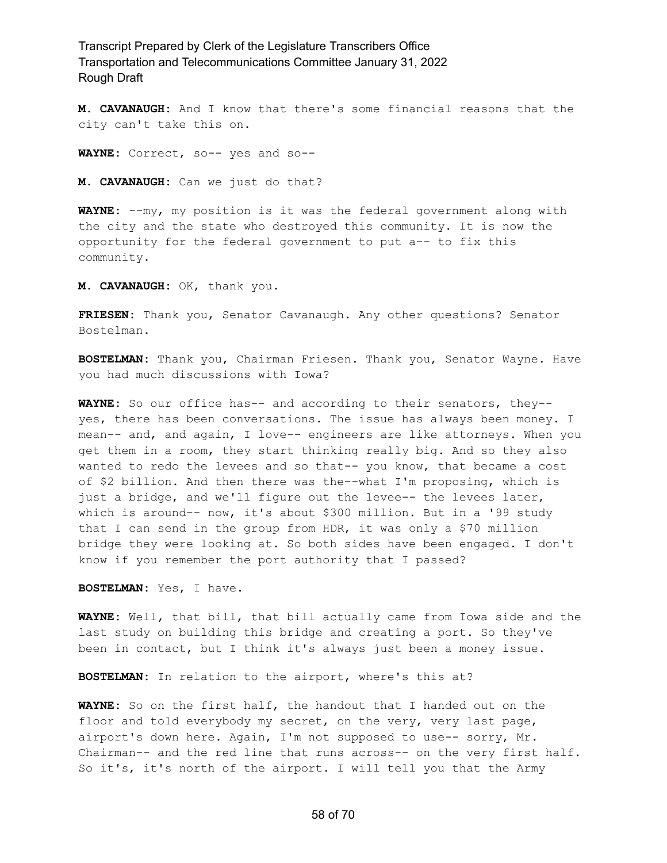**M. CAVANAUGH:** And I know that there's some financial reasons that the city can't take this on.

**WAYNE:** Correct, so-- yes and so--

**M. CAVANAUGH:** Can we just do that?

**WAYNE:** --my, my position is it was the federal government along with the city and the state who destroyed this community. It is now the opportunity for the federal government to put a-- to fix this community.

**M. CAVANAUGH:** OK, thank you.

**FRIESEN:** Thank you, Senator Cavanaugh. Any other questions? Senator Bostelman.

**BOSTELMAN:** Thank you, Chairman Friesen. Thank you, Senator Wayne. Have you had much discussions with Iowa?

**WAYNE:** So our office has-- and according to their senators, they- yes, there has been conversations. The issue has always been money. I mean-- and, and again, I love-- engineers are like attorneys. When you get them in a room, they start thinking really big. And so they also wanted to redo the levees and so that-- you know, that became a cost of \$2 billion. And then there was the--what I'm proposing, which is just a bridge, and we'll figure out the levee-- the levees later, which is around-- now, it's about \$300 million. But in a '99 study that I can send in the group from HDR, it was only a \$70 million bridge they were looking at. So both sides have been engaged. I don't know if you remember the port authority that I passed?

**BOSTELMAN:** Yes, I have.

**WAYNE:** Well, that bill, that bill actually came from Iowa side and the last study on building this bridge and creating a port. So they've been in contact, but I think it's always just been a money issue.

**BOSTELMAN:** In relation to the airport, where's this at?

**WAYNE:** So on the first half, the handout that I handed out on the floor and told everybody my secret, on the very, very last page, airport's down here. Again, I'm not supposed to use-- sorry, Mr. Chairman-- and the red line that runs across-- on the very first half. So it's, it's north of the airport. I will tell you that the Army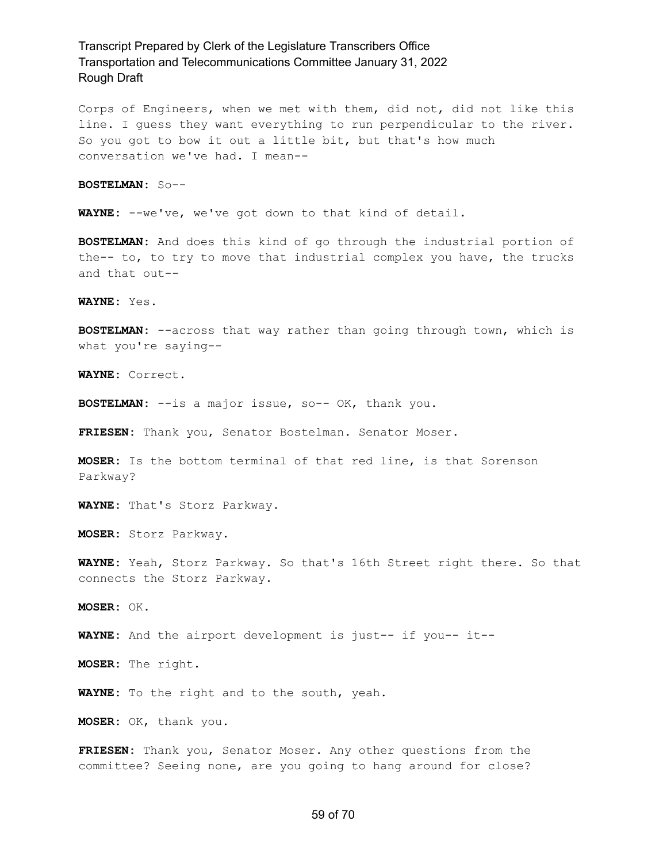Corps of Engineers, when we met with them, did not, did not like this line. I guess they want everything to run perpendicular to the river. So you got to bow it out a little bit, but that's how much conversation we've had. I mean--

**BOSTELMAN:** So--

**WAYNE:** --we've, we've got down to that kind of detail.

**BOSTELMAN:** And does this kind of go through the industrial portion of the-- to, to try to move that industrial complex you have, the trucks and that out--

**WAYNE:** Yes.

**BOSTELMAN:** --across that way rather than going through town, which is what you're saying--

**WAYNE:** Correct.

**BOSTELMAN:** --is a major issue, so-- OK, thank you.

**FRIESEN:** Thank you, Senator Bostelman. Senator Moser.

**MOSER:** Is the bottom terminal of that red line, is that Sorenson Parkway?

**WAYNE:** That's Storz Parkway.

**MOSER:** Storz Parkway.

**WAYNE:** Yeah, Storz Parkway. So that's 16th Street right there. So that connects the Storz Parkway.

**MOSER:** OK.

**WAYNE:** And the airport development is just-- if you-- it--

**MOSER:** The right.

**WAYNE:** To the right and to the south, yeah.

**MOSER:** OK, thank you.

**FRIESEN:** Thank you, Senator Moser. Any other questions from the committee? Seeing none, are you going to hang around for close?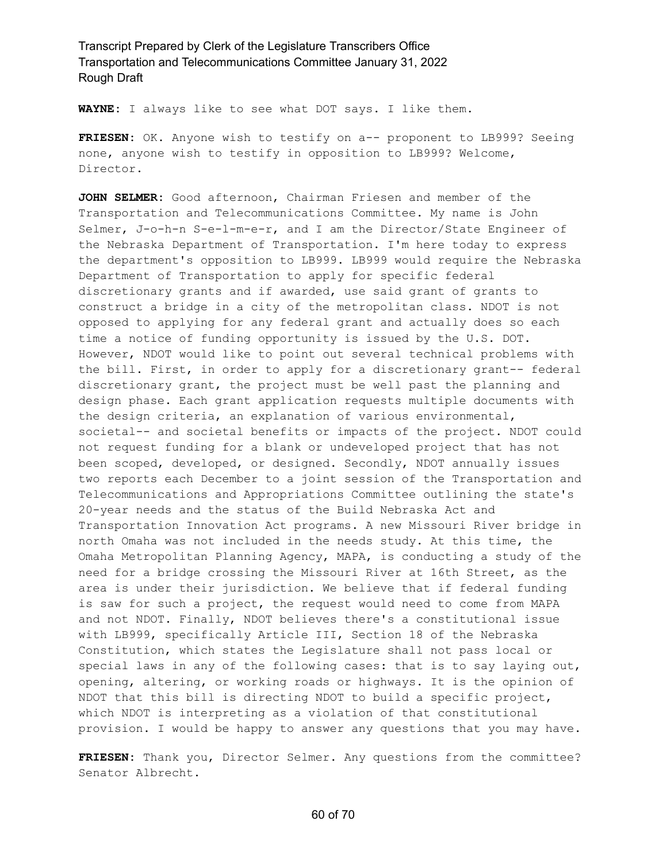**WAYNE:** I always like to see what DOT says. I like them.

**FRIESEN:** OK. Anyone wish to testify on a-- proponent to LB999? Seeing none, anyone wish to testify in opposition to LB999? Welcome, Director.

**JOHN SELMER:** Good afternoon, Chairman Friesen and member of the Transportation and Telecommunications Committee. My name is John Selmer, J-o-h-n S-e-l-m-e-r, and I am the Director/State Engineer of the Nebraska Department of Transportation. I'm here today to express the department's opposition to LB999. LB999 would require the Nebraska Department of Transportation to apply for specific federal discretionary grants and if awarded, use said grant of grants to construct a bridge in a city of the metropolitan class. NDOT is not opposed to applying for any federal grant and actually does so each time a notice of funding opportunity is issued by the U.S. DOT. However, NDOT would like to point out several technical problems with the bill. First, in order to apply for a discretionary grant-- federal discretionary grant, the project must be well past the planning and design phase. Each grant application requests multiple documents with the design criteria, an explanation of various environmental, societal-- and societal benefits or impacts of the project. NDOT could not request funding for a blank or undeveloped project that has not been scoped, developed, or designed. Secondly, NDOT annually issues two reports each December to a joint session of the Transportation and Telecommunications and Appropriations Committee outlining the state's 20-year needs and the status of the Build Nebraska Act and Transportation Innovation Act programs. A new Missouri River bridge in north Omaha was not included in the needs study. At this time, the Omaha Metropolitan Planning Agency, MAPA, is conducting a study of the need for a bridge crossing the Missouri River at 16th Street, as the area is under their jurisdiction. We believe that if federal funding is saw for such a project, the request would need to come from MAPA and not NDOT. Finally, NDOT believes there's a constitutional issue with LB999, specifically Article III, Section 18 of the Nebraska Constitution, which states the Legislature shall not pass local or special laws in any of the following cases: that is to say laying out, opening, altering, or working roads or highways. It is the opinion of NDOT that this bill is directing NDOT to build a specific project, which NDOT is interpreting as a violation of that constitutional provision. I would be happy to answer any questions that you may have.

**FRIESEN:** Thank you, Director Selmer. Any questions from the committee? Senator Albrecht.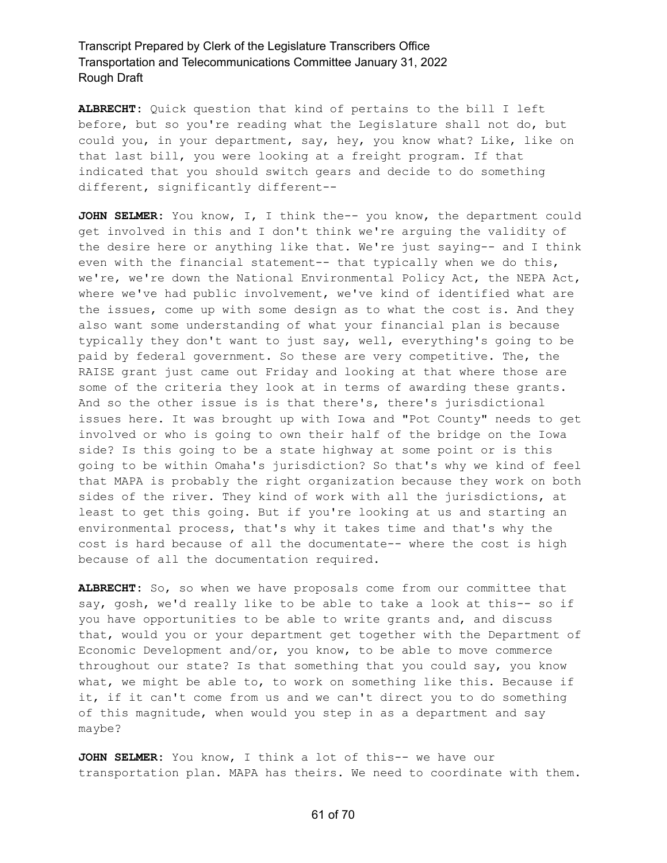**ALBRECHT:** Quick question that kind of pertains to the bill I left before, but so you're reading what the Legislature shall not do, but could you, in your department, say, hey, you know what? Like, like on that last bill, you were looking at a freight program. If that indicated that you should switch gears and decide to do something different, significantly different--

JOHN SELMER: You know, I, I think the-- you know, the department could get involved in this and I don't think we're arguing the validity of the desire here or anything like that. We're just saying-- and I think even with the financial statement-- that typically when we do this, we're, we're down the National Environmental Policy Act, the NEPA Act, where we've had public involvement, we've kind of identified what are the issues, come up with some design as to what the cost is. And they also want some understanding of what your financial plan is because typically they don't want to just say, well, everything's going to be paid by federal government. So these are very competitive. The, the RAISE grant just came out Friday and looking at that where those are some of the criteria they look at in terms of awarding these grants. And so the other issue is is that there's, there's jurisdictional issues here. It was brought up with Iowa and "Pot County" needs to get involved or who is going to own their half of the bridge on the Iowa side? Is this going to be a state highway at some point or is this going to be within Omaha's jurisdiction? So that's why we kind of feel that MAPA is probably the right organization because they work on both sides of the river. They kind of work with all the jurisdictions, at least to get this going. But if you're looking at us and starting an environmental process, that's why it takes time and that's why the cost is hard because of all the documentate-- where the cost is high because of all the documentation required.

**ALBRECHT:** So, so when we have proposals come from our committee that say, gosh, we'd really like to be able to take a look at this-- so if you have opportunities to be able to write grants and, and discuss that, would you or your department get together with the Department of Economic Development and/or, you know, to be able to move commerce throughout our state? Is that something that you could say, you know what, we might be able to, to work on something like this. Because if it, if it can't come from us and we can't direct you to do something of this magnitude, when would you step in as a department and say maybe?

**JOHN SELMER:** You know, I think a lot of this-- we have our transportation plan. MAPA has theirs. We need to coordinate with them.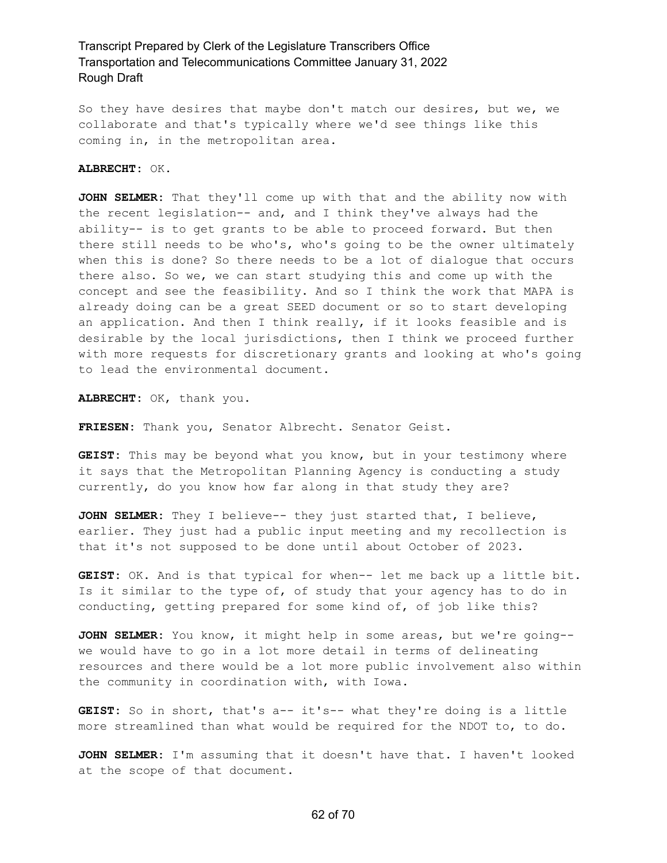So they have desires that maybe don't match our desires, but we, we collaborate and that's typically where we'd see things like this coming in, in the metropolitan area.

**ALBRECHT:** OK.

**JOHN SELMER:** That they'll come up with that and the ability now with the recent legislation-- and, and I think they've always had the ability-- is to get grants to be able to proceed forward. But then there still needs to be who's, who's going to be the owner ultimately when this is done? So there needs to be a lot of dialogue that occurs there also. So we, we can start studying this and come up with the concept and see the feasibility. And so I think the work that MAPA is already doing can be a great SEED document or so to start developing an application. And then I think really, if it looks feasible and is desirable by the local jurisdictions, then I think we proceed further with more requests for discretionary grants and looking at who's going to lead the environmental document.

**ALBRECHT:** OK, thank you.

**FRIESEN:** Thank you, Senator Albrecht. Senator Geist.

**GEIST:** This may be beyond what you know, but in your testimony where it says that the Metropolitan Planning Agency is conducting a study currently, do you know how far along in that study they are?

**JOHN SELMER:** They I believe-- they just started that, I believe, earlier. They just had a public input meeting and my recollection is that it's not supposed to be done until about October of 2023.

**GEIST:** OK. And is that typical for when-- let me back up a little bit. Is it similar to the type of, of study that your agency has to do in conducting, getting prepared for some kind of, of job like this?

**JOHN SELMER:** You know, it might help in some areas, but we're going- we would have to go in a lot more detail in terms of delineating resources and there would be a lot more public involvement also within the community in coordination with, with Iowa.

**GEIST:** So in short, that's a-- it's-- what they're doing is a little more streamlined than what would be required for the NDOT to, to do.

**JOHN SELMER:** I'm assuming that it doesn't have that. I haven't looked at the scope of that document.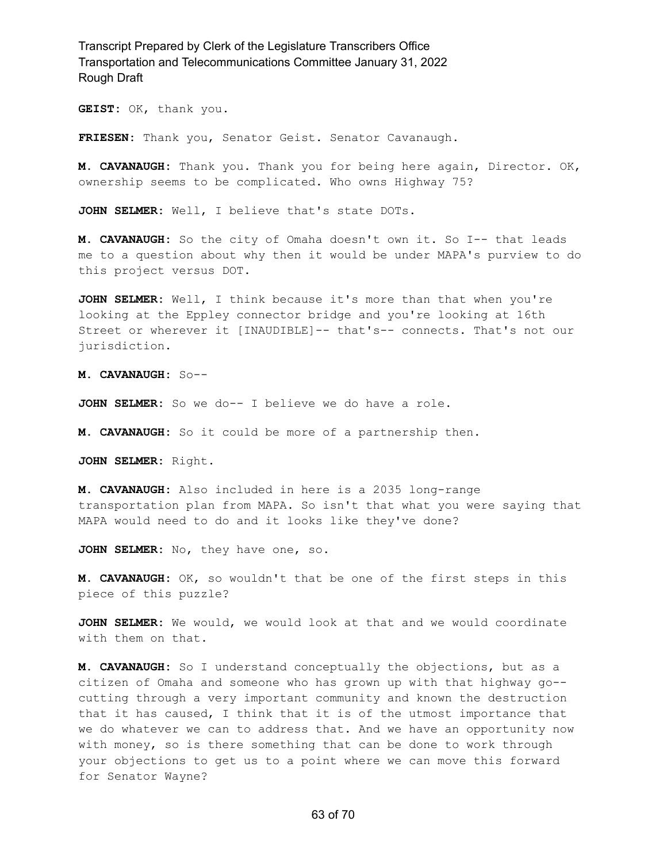**GEIST:** OK, thank you.

**FRIESEN:** Thank you, Senator Geist. Senator Cavanaugh.

**M. CAVANAUGH:** Thank you. Thank you for being here again, Director. OK, ownership seems to be complicated. Who owns Highway 75?

**JOHN SELMER:** Well, I believe that's state DOTs.

**M. CAVANAUGH:** So the city of Omaha doesn't own it. So I-- that leads me to a question about why then it would be under MAPA's purview to do this project versus DOT.

**JOHN SELMER:** Well, I think because it's more than that when you're looking at the Eppley connector bridge and you're looking at 16th Street or wherever it [INAUDIBLE]-- that's-- connects. That's not our jurisdiction.

**M. CAVANAUGH:** So--

**JOHN SELMER:** So we do-- I believe we do have a role.

**M. CAVANAUGH:** So it could be more of a partnership then.

**JOHN SELMER:** Right.

**M. CAVANAUGH:** Also included in here is a 2035 long-range transportation plan from MAPA. So isn't that what you were saying that MAPA would need to do and it looks like they've done?

**JOHN SELMER:** No, they have one, so.

**M. CAVANAUGH:** OK, so wouldn't that be one of the first steps in this piece of this puzzle?

**JOHN SELMER:** We would, we would look at that and we would coordinate with them on that.

**M. CAVANAUGH:** So I understand conceptually the objections, but as a citizen of Omaha and someone who has grown up with that highway go- cutting through a very important community and known the destruction that it has caused, I think that it is of the utmost importance that we do whatever we can to address that. And we have an opportunity now with money, so is there something that can be done to work through your objections to get us to a point where we can move this forward for Senator Wayne?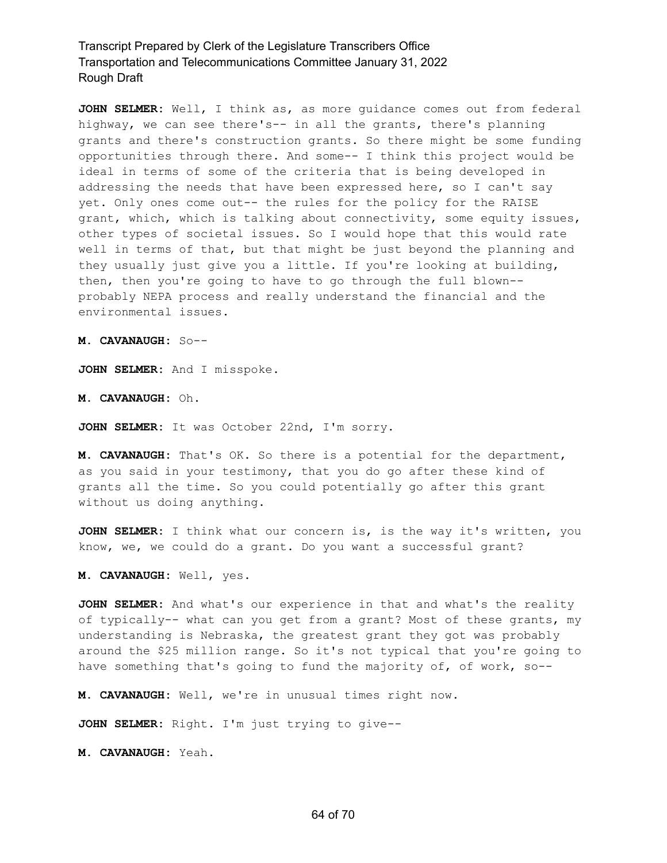**JOHN SELMER:** Well, I think as, as more guidance comes out from federal highway, we can see there's-- in all the grants, there's planning grants and there's construction grants. So there might be some funding opportunities through there. And some-- I think this project would be ideal in terms of some of the criteria that is being developed in addressing the needs that have been expressed here, so I can't say yet. Only ones come out-- the rules for the policy for the RAISE grant, which, which is talking about connectivity, some equity issues, other types of societal issues. So I would hope that this would rate well in terms of that, but that might be just beyond the planning and they usually just give you a little. If you're looking at building, then, then you're going to have to go through the full blown- probably NEPA process and really understand the financial and the environmental issues.

**M. CAVANAUGH:** So--

**JOHN SELMER:** And I misspoke.

**M. CAVANAUGH:** Oh.

**JOHN SELMER:** It was October 22nd, I'm sorry.

**M. CAVANAUGH:** That's OK. So there is a potential for the department, as you said in your testimony, that you do go after these kind of grants all the time. So you could potentially go after this grant without us doing anything.

**JOHN SELMER:** I think what our concern is, is the way it's written, you know, we, we could do a grant. Do you want a successful grant?

**M. CAVANAUGH:** Well, yes.

**JOHN SELMER:** And what's our experience in that and what's the reality of typically-- what can you get from a grant? Most of these grants, my understanding is Nebraska, the greatest grant they got was probably around the \$25 million range. So it's not typical that you're going to have something that's going to fund the majority of, of work, so--

**M. CAVANAUGH:** Well, we're in unusual times right now.

**JOHN SELMER:** Right. I'm just trying to give--

**M. CAVANAUGH:** Yeah.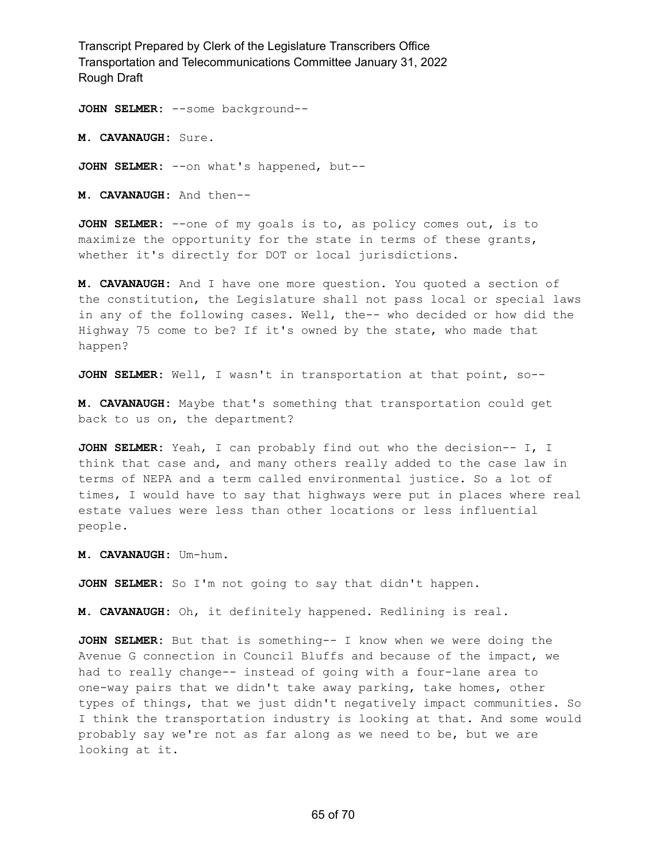**JOHN SELMER:** --some background--

**M. CAVANAUGH:** Sure.

**JOHN SELMER:** --on what's happened, but--

**M. CAVANAUGH:** And then--

**JOHN SELMER:** --one of my goals is to, as policy comes out, is to maximize the opportunity for the state in terms of these grants, whether it's directly for DOT or local jurisdictions.

**M. CAVANAUGH:** And I have one more question. You quoted a section of the constitution, the Legislature shall not pass local or special laws in any of the following cases. Well, the-- who decided or how did the Highway 75 come to be? If it's owned by the state, who made that happen?

**JOHN SELMER:** Well, I wasn't in transportation at that point, so--

**M. CAVANAUGH:** Maybe that's something that transportation could get back to us on, the department?

**JOHN SELMER:** Yeah, I can probably find out who the decision-- I, I think that case and, and many others really added to the case law in terms of NEPA and a term called environmental justice. So a lot of times, I would have to say that highways were put in places where real estate values were less than other locations or less influential people.

**M. CAVANAUGH:** Um-hum.

**JOHN SELMER:** So I'm not going to say that didn't happen.

**M. CAVANAUGH:** Oh, it definitely happened. Redlining is real.

**JOHN SELMER:** But that is something-- I know when we were doing the Avenue G connection in Council Bluffs and because of the impact, we had to really change-- instead of going with a four-lane area to one-way pairs that we didn't take away parking, take homes, other types of things, that we just didn't negatively impact communities. So I think the transportation industry is looking at that. And some would probably say we're not as far along as we need to be, but we are looking at it.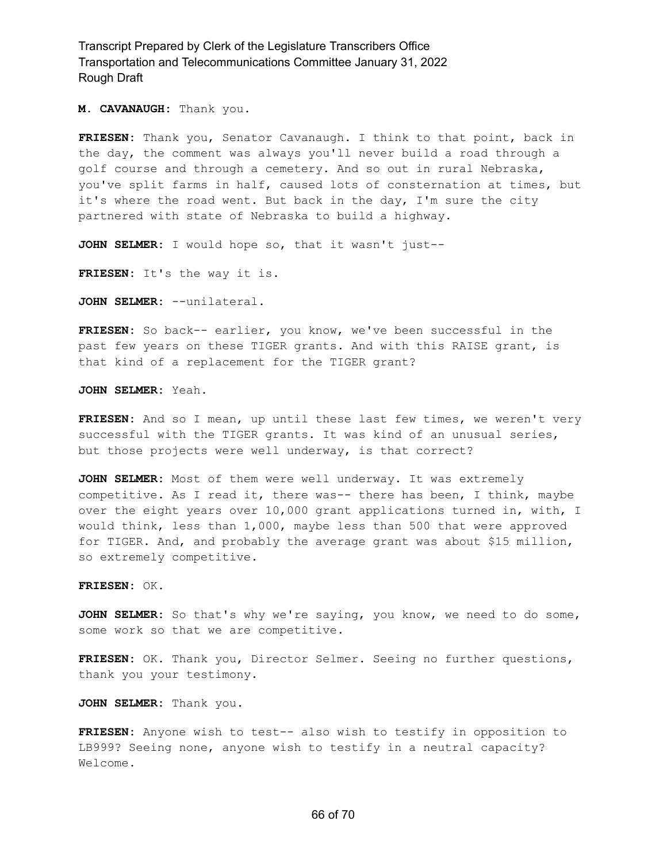**M. CAVANAUGH:** Thank you.

**FRIESEN:** Thank you, Senator Cavanaugh. I think to that point, back in the day, the comment was always you'll never build a road through a golf course and through a cemetery. And so out in rural Nebraska, you've split farms in half, caused lots of consternation at times, but it's where the road went. But back in the day, I'm sure the city partnered with state of Nebraska to build a highway.

**JOHN SELMER:** I would hope so, that it wasn't just--

**FRIESEN:** It's the way it is.

**JOHN SELMER:** --unilateral.

**FRIESEN:** So back-- earlier, you know, we've been successful in the past few years on these TIGER grants. And with this RAISE grant, is that kind of a replacement for the TIGER grant?

**JOHN SELMER:** Yeah.

**FRIESEN:** And so I mean, up until these last few times, we weren't very successful with the TIGER grants. It was kind of an unusual series, but those projects were well underway, is that correct?

**JOHN SELMER:** Most of them were well underway. It was extremely competitive. As I read it, there was-- there has been, I think, maybe over the eight years over 10,000 grant applications turned in, with, I would think, less than 1,000, maybe less than 500 that were approved for TIGER. And, and probably the average grant was about \$15 million, so extremely competitive.

**FRIESEN:** OK.

**JOHN SELMER:** So that's why we're saying, you know, we need to do some, some work so that we are competitive.

**FRIESEN:** OK. Thank you, Director Selmer. Seeing no further questions, thank you your testimony.

**JOHN SELMER:** Thank you.

**FRIESEN:** Anyone wish to test-- also wish to testify in opposition to LB999? Seeing none, anyone wish to testify in a neutral capacity? Welcome.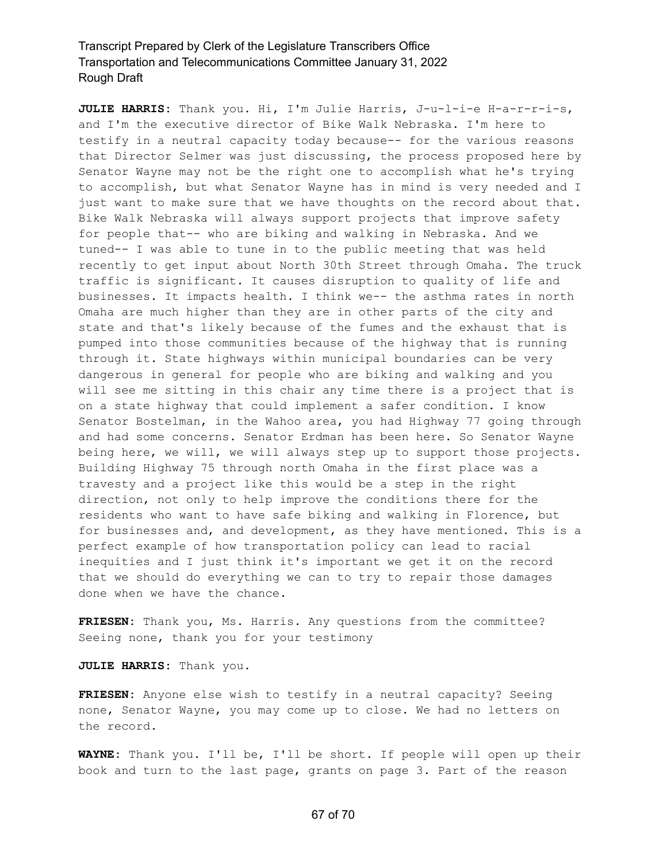**JULIE HARRIS:** Thank you. Hi, I'm Julie Harris, J-u-l-i-e H-a-r-r-i-s, and I'm the executive director of Bike Walk Nebraska. I'm here to testify in a neutral capacity today because-- for the various reasons that Director Selmer was just discussing, the process proposed here by Senator Wayne may not be the right one to accomplish what he's trying to accomplish, but what Senator Wayne has in mind is very needed and I just want to make sure that we have thoughts on the record about that. Bike Walk Nebraska will always support projects that improve safety for people that-- who are biking and walking in Nebraska. And we tuned-- I was able to tune in to the public meeting that was held recently to get input about North 30th Street through Omaha. The truck traffic is significant. It causes disruption to quality of life and businesses. It impacts health. I think we-- the asthma rates in north Omaha are much higher than they are in other parts of the city and state and that's likely because of the fumes and the exhaust that is pumped into those communities because of the highway that is running through it. State highways within municipal boundaries can be very dangerous in general for people who are biking and walking and you will see me sitting in this chair any time there is a project that is on a state highway that could implement a safer condition. I know Senator Bostelman, in the Wahoo area, you had Highway 77 going through and had some concerns. Senator Erdman has been here. So Senator Wayne being here, we will, we will always step up to support those projects. Building Highway 75 through north Omaha in the first place was a travesty and a project like this would be a step in the right direction, not only to help improve the conditions there for the residents who want to have safe biking and walking in Florence, but for businesses and, and development, as they have mentioned. This is a perfect example of how transportation policy can lead to racial inequities and I just think it's important we get it on the record that we should do everything we can to try to repair those damages done when we have the chance.

**FRIESEN:** Thank you, Ms. Harris. Any questions from the committee? Seeing none, thank you for your testimony

**JULIE HARRIS:** Thank you.

**FRIESEN:** Anyone else wish to testify in a neutral capacity? Seeing none, Senator Wayne, you may come up to close. We had no letters on the record.

**WAYNE:** Thank you. I'll be, I'll be short. If people will open up their book and turn to the last page, grants on page 3. Part of the reason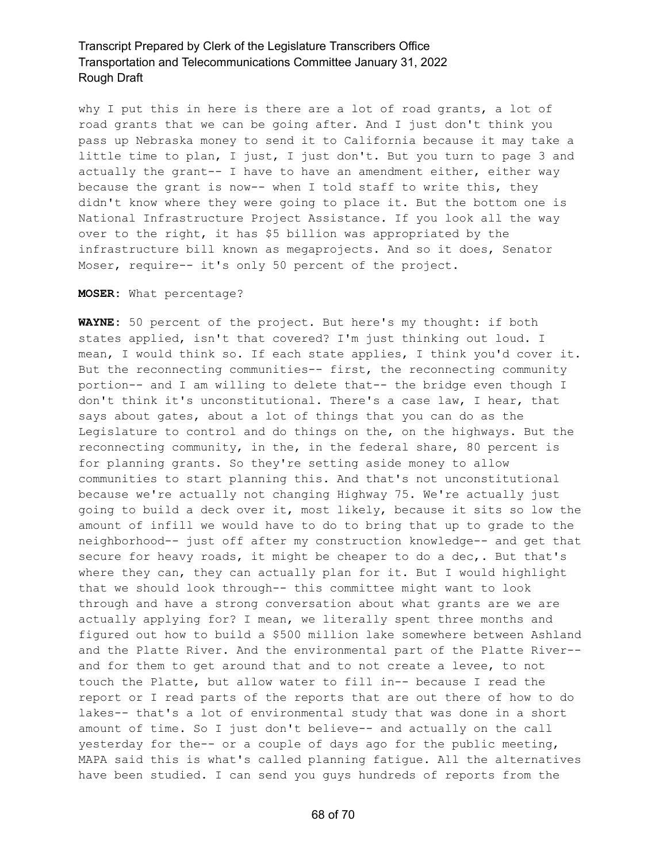why I put this in here is there are a lot of road grants, a lot of road grants that we can be going after. And I just don't think you pass up Nebraska money to send it to California because it may take a little time to plan, I just, I just don't. But you turn to page 3 and actually the grant-- I have to have an amendment either, either way because the grant is now-- when I told staff to write this, they didn't know where they were going to place it. But the bottom one is National Infrastructure Project Assistance. If you look all the way over to the right, it has \$5 billion was appropriated by the infrastructure bill known as megaprojects. And so it does, Senator Moser, require-- it's only 50 percent of the project.

#### **MOSER:** What percentage?

**WAYNE:** 50 percent of the project. But here's my thought: if both states applied, isn't that covered? I'm just thinking out loud. I mean, I would think so. If each state applies, I think you'd cover it. But the reconnecting communities-- first, the reconnecting community portion-- and I am willing to delete that-- the bridge even though I don't think it's unconstitutional. There's a case law, I hear, that says about gates, about a lot of things that you can do as the Legislature to control and do things on the, on the highways. But the reconnecting community, in the, in the federal share, 80 percent is for planning grants. So they're setting aside money to allow communities to start planning this. And that's not unconstitutional because we're actually not changing Highway 75. We're actually just going to build a deck over it, most likely, because it sits so low the amount of infill we would have to do to bring that up to grade to the neighborhood-- just off after my construction knowledge-- and get that secure for heavy roads, it might be cheaper to do a dec,. But that's where they can, they can actually plan for it. But I would highlight that we should look through-- this committee might want to look through and have a strong conversation about what grants are we are actually applying for? I mean, we literally spent three months and figured out how to build a \$500 million lake somewhere between Ashland and the Platte River. And the environmental part of the Platte River- and for them to get around that and to not create a levee, to not touch the Platte, but allow water to fill in-- because I read the report or I read parts of the reports that are out there of how to do lakes-- that's a lot of environmental study that was done in a short amount of time. So I just don't believe-- and actually on the call yesterday for the-- or a couple of days ago for the public meeting, MAPA said this is what's called planning fatigue. All the alternatives have been studied. I can send you guys hundreds of reports from the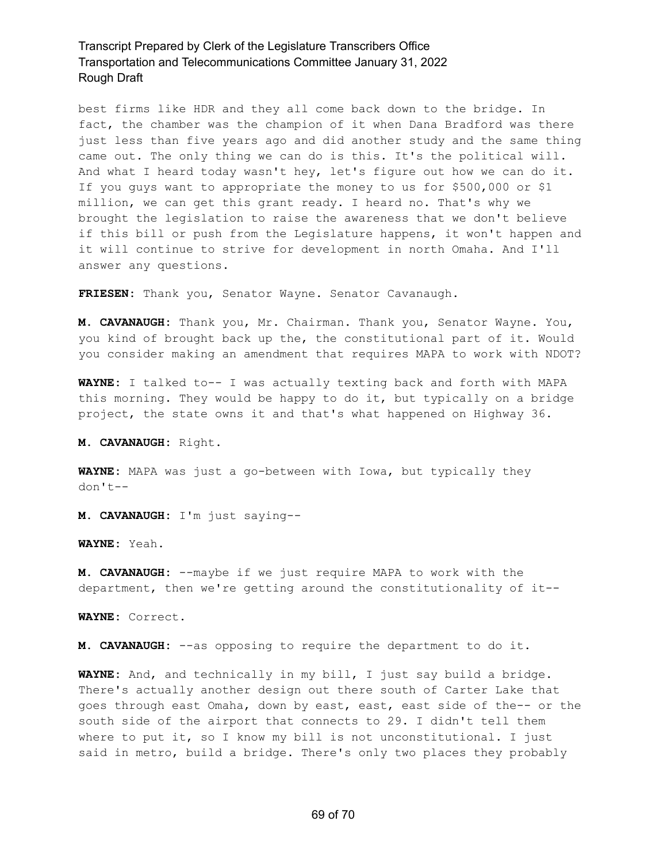best firms like HDR and they all come back down to the bridge. In fact, the chamber was the champion of it when Dana Bradford was there just less than five years ago and did another study and the same thing came out. The only thing we can do is this. It's the political will. And what I heard today wasn't hey, let's figure out how we can do it. If you guys want to appropriate the money to us for \$500,000 or \$1 million, we can get this grant ready. I heard no. That's why we brought the legislation to raise the awareness that we don't believe if this bill or push from the Legislature happens, it won't happen and it will continue to strive for development in north Omaha. And I'll answer any questions.

**FRIESEN:** Thank you, Senator Wayne. Senator Cavanaugh.

**M. CAVANAUGH:** Thank you, Mr. Chairman. Thank you, Senator Wayne. You, you kind of brought back up the, the constitutional part of it. Would you consider making an amendment that requires MAPA to work with NDOT?

**WAYNE:** I talked to-- I was actually texting back and forth with MAPA this morning. They would be happy to do it, but typically on a bridge project, the state owns it and that's what happened on Highway 36.

**M. CAVANAUGH:** Right.

**WAYNE:** MAPA was just a go-between with Iowa, but typically they don't--

**M. CAVANAUGH:** I'm just saying--

**WAYNE:** Yeah.

**M. CAVANAUGH:** --maybe if we just require MAPA to work with the department, then we're getting around the constitutionality of it--

**WAYNE:** Correct.

**M. CAVANAUGH:** --as opposing to require the department to do it.

**WAYNE:** And, and technically in my bill, I just say build a bridge. There's actually another design out there south of Carter Lake that goes through east Omaha, down by east, east, east side of the-- or the south side of the airport that connects to 29. I didn't tell them where to put it, so I know my bill is not unconstitutional. I just said in metro, build a bridge. There's only two places they probably